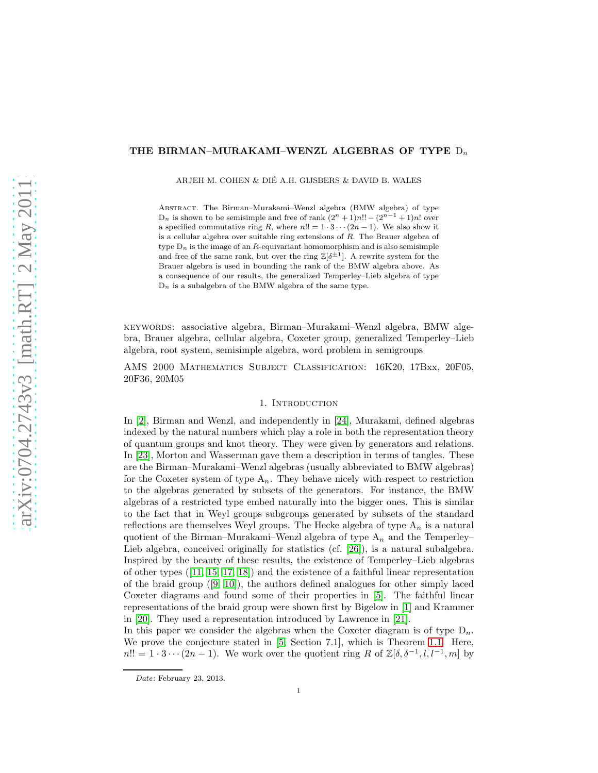# THE BIRMAN-MURAKAMI-WENZL ALGEBRAS OF TYPE  $D_n$

ARJEH M. COHEN & DIE A.H. GIJSBERS & DAVID B. WALES ´

Abstract. The Birman–Murakami–Wenzl algebra (BMW algebra) of type  $D_n$  is shown to be semisimple and free of rank  $(2^n + 1)n!! - (2^{n-1} + 1)n!$  over a specified commutative ring R, where  $n!! = 1 \cdot 3 \cdots (2n-1)$ . We also show it is a cellular algebra over suitable ring extensions of R. The Brauer algebra of type  $D_n$  is the image of an R-equivariant homomorphism and is also semisimple and free of the same rank, but over the ring  $\mathbb{Z}[\delta^{\pm 1}]$ . A rewrite system for the Brauer algebra is used in bounding the rank of the BMW algebra above. As a consequence of our results, the generalized Temperley–Lieb algebra of type  $D_n$  is a subalgebra of the BMW algebra of the same type.

keywords: associative algebra, Birman–Murakami–Wenzl algebra, BMW algebra, Brauer algebra, cellular algebra, Coxeter group, generalized Temperley–Lieb algebra, root system, semisimple algebra, word problem in semigroups

AMS 2000 Mathematics Subject Classification: 16K20, 17Bxx, 20F05, 20F36, 20M05

## 1. INTRODUCTION

In [\[2\]](#page-30-0), Birman and Wenzl, and independently in [\[24\]](#page-31-0), Murakami, defined algebras indexed by the natural numbers which play a role in both the representation theory of quantum groups and knot theory. They were given by generators and relations. In [\[23\]](#page-31-1), Morton and Wasserman gave them a description in terms of tangles. These are the Birman–Murakami–Wenzl algebras (usually abbreviated to BMW algebras) for the Coxeter system of type  $A_n$ . They behave nicely with respect to restriction to the algebras generated by subsets of the generators. For instance, the BMW algebras of a restricted type embed naturally into the bigger ones. This is similar to the fact that in Weyl groups subgroups generated by subsets of the standard reflections are themselves Weyl groups. The Hecke algebra of type  $A_n$  is a natural quotient of the Birman–Murakami–Wenzl algebra of type  $A_n$  and the Temperley– Lieb algebra, conceived originally for statistics (cf. [\[26\]](#page-31-2)), is a natural subalgebra. Inspired by the beauty of these results, the existence of Temperley–Lieb algebras of other types ([\[11,](#page-30-1) [15,](#page-31-3) [17,](#page-31-4) [18\]](#page-31-5)) and the existence of a faithful linear representation of the braid group  $([9, 10])$  $([9, 10])$  $([9, 10])$  $([9, 10])$ , the authors defined analogues for other simply laced Coxeter diagrams and found some of their properties in [\[5\]](#page-30-4). The faithful linear representations of the braid group were shown first by Bigelow in [\[1\]](#page-30-5) and Krammer in [\[20\]](#page-31-6). They used a representation introduced by Lawrence in [\[21\]](#page-31-7).

In this paper we consider the algebras when the Coxeter diagram is of type  $D_n$ . We prove the conjecture stated in [\[5,](#page-30-4) Section 7.1], which is Theorem [1.1.](#page-1-0) Here,  $n!! = 1 \cdot 3 \cdots (2n-1)$ . We work over the quotient ring R of  $\mathbb{Z}[\delta, \delta^{-1}, l, l^{-1}, m]$  by

Date: February 23, 2013.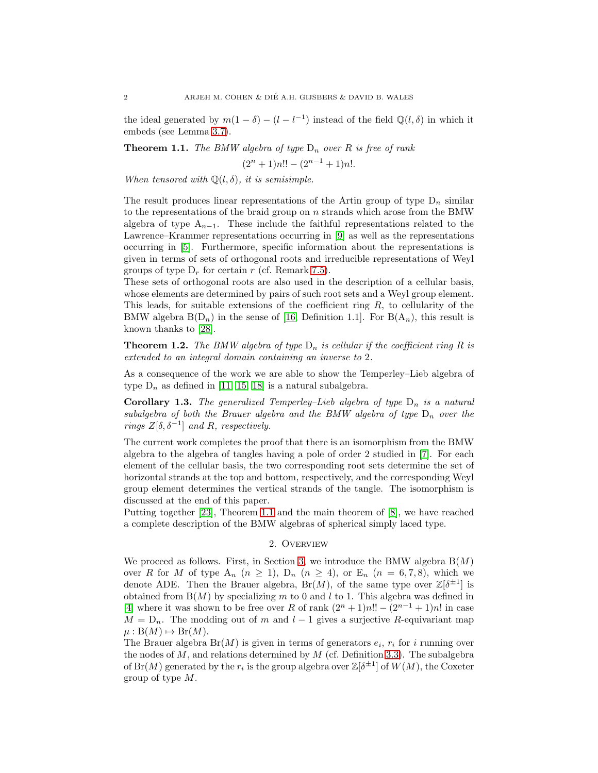the ideal generated by  $m(1 - \delta) - (l - l^{-1})$  instead of the field  $\mathbb{Q}(l, \delta)$  in which it embeds (see Lemma [3.7\)](#page-6-0).

<span id="page-1-0"></span>**Theorem 1.1.** The BMW algebra of type  $D_n$  over R is free of rank

 $(2^{n} + 1)n!! - (2^{n-1} + 1)n!$ .

When tensored with  $\mathbb{Q}(l, \delta)$ , it is semisimple.

The result produces linear representations of the Artin group of type  $D_n$  similar to the representations of the braid group on  $n$  strands which arose from the BMW algebra of type  $A_{n-1}$ . These include the faithful representations related to the Lawrence–Krammer representations occurring in [\[9\]](#page-30-2) as well as the representations occurring in [\[5\]](#page-30-4). Furthermore, specific information about the representations is given in terms of sets of orthogonal roots and irreducible representations of Weyl groups of type  $D_r$  for certain r (cf. Remark [7.5\)](#page-23-0).

These sets of orthogonal roots are also used in the description of a cellular basis, whose elements are determined by pairs of such root sets and a Weyl group element. This leads, for suitable extensions of the coefficient ring R, to cellularity of the BMW algebra  $B(D_n)$  in the sense of [\[16,](#page-31-8) Definition 1.1]. For  $B(A_n)$ , this result is known thanks to [\[28\]](#page-31-9).

<span id="page-1-2"></span>**Theorem 1.2.** The BMW algebra of type  $D_n$  is cellular if the coefficient ring R is extended to an integral domain containing an inverse to 2.

As a consequence of the work we are able to show the Temperley–Lieb algebra of type  $D_n$  as defined in [\[11,](#page-30-1) [15,](#page-31-3) [18\]](#page-31-5) is a natural subalgebra.

<span id="page-1-1"></span>**Corollary 1.3.** The generalized Temperley–Lieb algebra of type  $D_n$  is a natural subalgebra of both the Brauer algebra and the BMW algebra of type  $D_n$  over the rings  $Z[\delta, \delta^{-1}]$  and R, respectively.

The current work completes the proof that there is an isomorphism from the BMW algebra to the algebra of tangles having a pole of order 2 studied in [\[7\]](#page-30-6). For each element of the cellular basis, the two corresponding root sets determine the set of horizontal strands at the top and bottom, respectively, and the corresponding Weyl group element determines the vertical strands of the tangle. The isomorphism is discussed at the end of this paper.

Putting together [\[23\]](#page-31-1), Theorem [1.1](#page-1-0) and the main theorem of [\[8\]](#page-30-7), we have reached a complete description of the BMW algebras of spherical simply laced type.

### 2. Overview

We proceed as follows. First, in Section [3,](#page-2-0) we introduce the BMW algebra  $B(M)$ over R for M of type  $A_n$   $(n \geq 1)$ ,  $D_n$   $(n \geq 4)$ , or  $E_n$   $(n = 6, 7, 8)$ , which we denote ADE. Then the Brauer algebra,  $Br(M)$ , of the same type over  $\mathbb{Z}[\delta^{\pm 1}]$  is obtained from  $B(M)$  by specializing m to 0 and l to 1. This algebra was defined in [\[4\]](#page-30-8) where it was shown to be free over R of rank  $(2^{n} + 1)n!! - (2^{n-1} + 1)n!$  in case  $M = D_n$ . The modding out of m and  $l - 1$  gives a surjective R-equivariant map  $\mu: B(M) \mapsto Br(M).$ 

The Brauer algebra  $Br(M)$  is given in terms of generators  $e_i$ ,  $r_i$  for i running over the nodes of  $M$ , and relations determined by  $M$  (cf. Definition [3.3\)](#page-4-0). The subalgebra of  $Br(M)$  generated by the  $r_i$  is the group algebra over  $\mathbb{Z}[\delta^{\pm 1}]$  of  $W(M)$ , the Coxeter group of type M.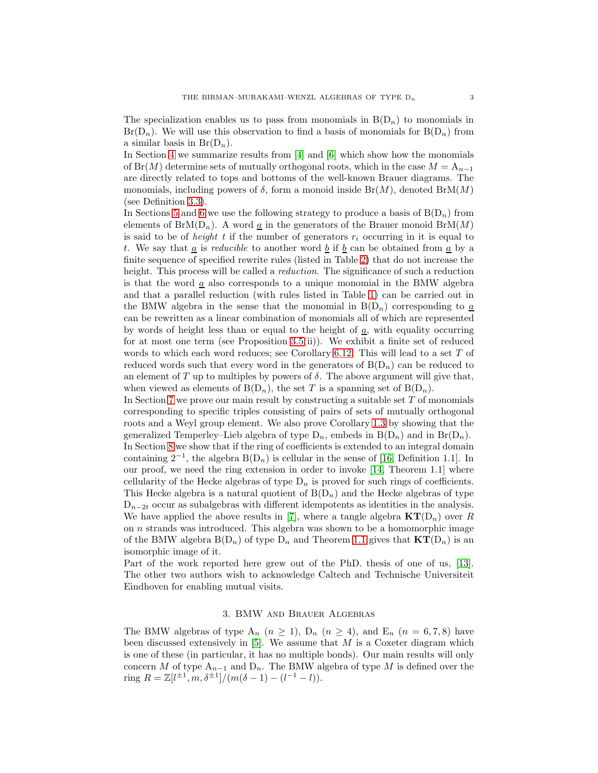The specialization enables us to pass from monomials in  $B(D_n)$  to monomials in  $Br(D_n)$ . We will use this observation to find a basis of monomials for  $B(D_n)$  from a similar basis in  $Br(D_n)$ .

In Section [4](#page-7-0) we summarize results from [\[4\]](#page-30-8) and [\[6\]](#page-30-9) which show how the monomials of Br(M) determine sets of mutually orthogonal roots, which in the case  $M = A_{n-1}$ are directly related to tops and bottoms of the well-known Brauer diagrams. The monomials, including powers of  $\delta$ , form a monoid inside  $Br(M)$ , denoted  $BrM(M)$ (see Definition [3.3\)](#page-4-0).

In Sections [5](#page-9-0) and [6](#page-15-0) we use the following strategy to produce a basis of  $B(D_n)$  from elements of BrM( $D_n$ ). A word  $\underline{a}$  in the generators of the Brauer monoid BrM( $M$ ) is said to be of *height* t if the number of generators  $r_i$  occurring in it is equal to t. We say that  $\underline{a}$  is *reducible* to another word  $\underline{b}$  if  $\underline{b}$  can be obtained from  $\underline{a}$  by a finite sequence of specified rewrite rules (listed in Table [2\)](#page-4-1) that do not increase the height. This process will be called a *reduction*. The significance of such a reduction is that the word  $\underline{a}$  also corresponds to a unique monomial in the BMW algebra and that a parallel reduction (with rules listed in Table [1\)](#page-3-0) can be carried out in the BMW algebra in the sense that the monomial in  $B(D_n)$  corresponding to  $\underline{a}$ can be rewritten as a linear combination of monomials all of which are represented by words of height less than or equal to the height of  $\underline{a}$ , with equality occurring for at most one term (see Proposition [3.5\(](#page-5-0)ii)). We exhibit a finite set of reduced words to which each word reduces; see Corollary [6.12.](#page-21-0) This will lead to a set T of reduced words such that every word in the generators of  $B(D_n)$  can be reduced to an element of T up to multiples by powers of  $\delta$ . The above argument will give that, when viewed as elements of  $B(D_n)$ , the set T is a spanning set of  $B(D_n)$ .

In Section [7](#page-22-0) we prove our main result by constructing a suitable set  $T$  of monomials corresponding to specific triples consisting of pairs of sets of mutually orthogonal roots and a Weyl group element. We also prove Corollary [1.3](#page-1-1) by showing that the generalized Temperley–Lieb algebra of type  $D_n$ , embeds in  $B(D_n)$  and in  $Br(D_n)$ . In Section [8](#page-24-0) we show that if the ring of coefficients is extended to an integral domain containing  $2^{-1}$ , the algebra B(D<sub>n</sub>) is cellular in the sense of [\[16,](#page-31-8) Definition 1.1]. In our proof, we need the ring extension in order to invoke [\[14,](#page-31-10) Theorem 1.1] where cellularity of the Hecke algebras of type  $D_n$  is proved for such rings of coefficients. This Hecke algebra is a natural quotient of  $B(D_n)$  and the Hecke algebras of type  $D_{n-2t}$  occur as subalgebras with different idempotents as identities in the analysis. We have applied the above results in [\[7\]](#page-30-6), where a tangle algebra  $\mathbf{KT}(D_n)$  over R on n strands was introduced. This algebra was shown to be a homomorphic image of the BMW algebra  $B(D_n)$  of type  $D_n$  and Theorem [1.1](#page-1-0) gives that  $KT(D_n)$  is an isomorphic image of it.

Part of the work reported here grew out of the PhD. thesis of one of us, [\[13\]](#page-31-11). The other two authors wish to acknowledge Caltech and Technische Universiteit Eindhoven for enabling mutual visits.

## 3. BMW and Brauer Algebras

<span id="page-2-0"></span>The BMW algebras of type  $A_n$   $(n \geq 1)$ ,  $D_n$   $(n \geq 4)$ , and  $E_n$   $(n = 6, 7, 8)$  have been discussed extensively in  $[5]$ . We assume that  $M$  is a Coxeter diagram which is one of these (in particular, it has no multiple bonds). Our main results will only concern M of type  $A_{n-1}$  and  $D_n$ . The BMW algebra of type M is defined over the ring  $R = \mathbb{Z}[l^{\pm 1}, m, \delta^{\pm 1}]/(m(\delta - 1) - (l^{-1} - l)).$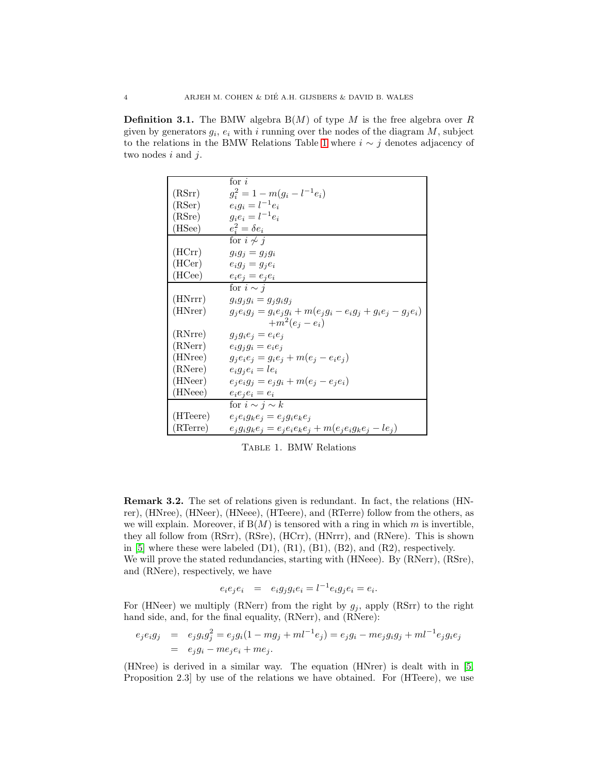**Definition 3.1.** The BMW algebra  $B(M)$  of type M is the free algebra over R given by generators  $g_i$ ,  $e_i$  with i running over the nodes of the diagram M, subject to the relations in the BMW Relations Table [1](#page-3-0) where  $i \sim j$  denotes adjacency of two nodes  $i$  and  $j$ .

|          | for $i$                                                                |
|----------|------------------------------------------------------------------------|
| (RSrr)   | $g_i^2 = 1 - m(g_i - l^{-1}e_i)$                                       |
| (RSer)   | $e_i g_i = l^{-1} e_i$                                                 |
| (RSre)   | $g_i e_i = l^{-1} e_i$                                                 |
| (HSee)   | $e_i^2 = \delta e_i$                                                   |
|          | for $i\not\sim j$                                                      |
| (HCrr)   | $g_i g_j = g_j g_i$                                                    |
| (HCer)   | $e_i g_j = g_j e_i$                                                    |
| (HCee)   | $e_i e_j = e_j e_i$                                                    |
|          | for $i \sim j$                                                         |
| (HNrrr)  | $g_i g_j g_i = g_j g_i g_j$                                            |
| (HNrer)  | $g_j e_i g_j = g_i e_j g_i + m(e_j g_i - e_i g_j + g_i e_j - g_j e_i)$ |
|          | $+m^2(e_i-e_i)$                                                        |
| (RNrre)  | $g_jg_ie_j=e_ie_j$                                                     |
| (RNerr)  | $e_i g_j g_i = e_i e_j$                                                |
| (HNree)  | $g_j e_i e_j = g_i e_j + m(e_j - e_i e_j)$                             |
| (RNere)  | $e_i g_j e_i = l e_i$                                                  |
| (HNeer)  | $e_j e_i g_j = e_j g_i + m(e_j - e_j e_i)$                             |
| (HNeee)  | $e_i e_j e_i = e_i$                                                    |
|          | for $i \sim j \sim k$                                                  |
| (HTeere) | $e_i e_i g_k e_j = e_j g_i e_k e_j$                                    |
| (RTerre) | $e_j g_i g_k e_j = e_j e_i e_k e_j + m(e_j e_i g_k e_j - le_j)$        |

<span id="page-3-0"></span>Table 1. BMW Relations

Remark 3.2. The set of relations given is redundant. In fact, the relations (HNrer), (HNree), (HNeer), (HNeee), (HTeere), and (RTerre) follow from the others, as we will explain. Moreover, if  $B(M)$  is tensored with a ring in which m is invertible, they all follow from (RSrr), (RSre), (HCrr), (HNrrr), and (RNere). This is shown in [\[5\]](#page-30-4) where these were labeled  $(D1)$ ,  $(R1)$ ,  $(B1)$ ,  $(B2)$ , and  $(R2)$ , respectively. We will prove the stated redundancies, starting with (HNeee). By (RNerr), (RSre), and (RNere), respectively, we have

$$
e_i e_j e_i = e_i g_j g_i e_i = l^{-1} e_i g_j e_i = e_i.
$$

For (HNeer) we multiply (RNerr) from the right by  $g_j$ , apply (RSrr) to the right hand side, and, for the final equality, (RNerr), and (RNere):

$$
e_j e_i g_j = e_j g_i g_j^2 = e_j g_i (1 - mg_j + ml^{-1} e_j) = e_j g_i - me_j g_i g_j + ml^{-1} e_j g_i e_j
$$
  
=  $e_j g_i - me_j e_i + me_j$ .

(HNree) is derived in a similar way. The equation (HNrer) is dealt with in [\[5,](#page-30-4) Proposition 2.3] by use of the relations we have obtained. For (HTeere), we use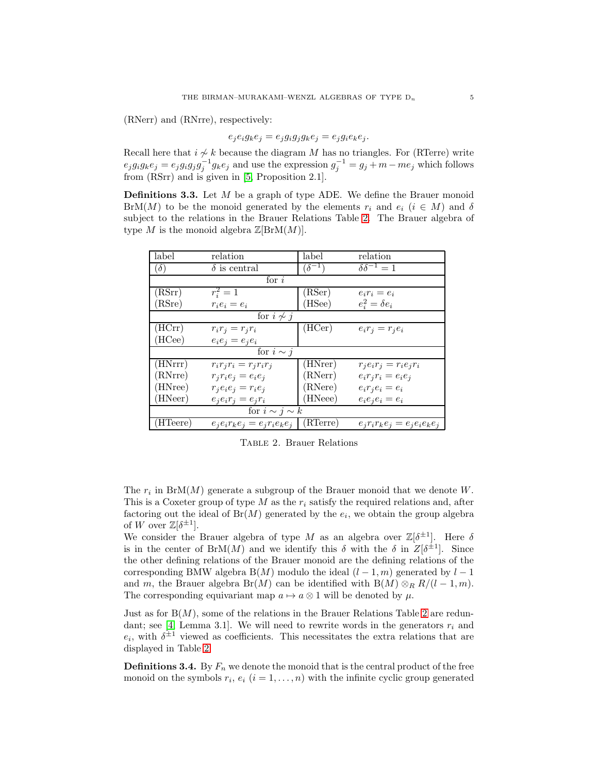(RNerr) and (RNrre), respectively:

$$
e_j e_i g_k e_j = e_j g_i g_j g_k e_j = e_j g_i e_k e_j.
$$

Recall here that  $i \nsim k$  because the diagram M has no triangles. For (RTerre) write  $e_j g_i g_k e_j = e_j g_i g_j g_j^{-1} g_k e_j$  and use the expression  $g_j^{-1} = g_j + m - m e_j$  which follows from (RSrr) and is given in [\[5,](#page-30-4) Proposition 2.1].

<span id="page-4-0"></span>**Definitions 3.3.** Let  $M$  be a graph of type ADE. We define the Brauer monoid BrM(M) to be the monoid generated by the elements  $r_i$  and  $e_i$  ( $i \in M$ ) and  $\delta$ subject to the relations in the Brauer Relations Table [2.](#page-4-1) The Brauer algebra of type M is the monoid algebra  $\mathbb{Z}[\text{BrM}(M)].$ 

| label                 | relation                            | label           | relation                    |  |  |  |
|-----------------------|-------------------------------------|-----------------|-----------------------------|--|--|--|
| $\partial$            | $\delta$ is central                 | $(\delta^{-1})$ | $\delta \delta^{-1} = 1$    |  |  |  |
| for $i$               |                                     |                 |                             |  |  |  |
| (RSrr)                | $r_i^2 = 1$                         | (RSer)          | $e_i r_i = e_i$             |  |  |  |
| (RSre)                | $r_i e_i = e_i$                     | (HSee)          | $e_i^2 = \delta e_i$        |  |  |  |
| for $i \nsim j$       |                                     |                 |                             |  |  |  |
| (HCrr)                | $r_i r_j = r_j r_i$                 | (HCer)          | $e_i r_j = r_j e_i$         |  |  |  |
| (HCee)                | $e_i e_j = e_i e_i$                 |                 |                             |  |  |  |
| for $i \sim j$        |                                     |                 |                             |  |  |  |
| (HNrrr)               | $r_i r_j r_i = r_j r_i r_j$         | (HNrer)         | $r_j e_i r_j = r_i e_j r_i$ |  |  |  |
| (RNrre)               | $r_jr_ie_j=e_ie_j$                  | (RNerr)         | $e_i r_j r_i = e_i e_j$     |  |  |  |
| (HNree)               | $r_i e_i e_j = r_i e_j$             | (RNere)         | $e_i r_j e_i = e_i$         |  |  |  |
| (HNeer)               | $e_i e_i r_j = e_j r_i$             | (HNeee)         | $e_i e_i e_i = e_i$         |  |  |  |
| for $i \sim j \sim k$ |                                     |                 |                             |  |  |  |
| (HTeere)              | $e_i e_i r_k e_j = e_j r_i e_k e_j$ | (RTerre)        | $e_jr_ir_ke_j=e_je_ie_ke_j$ |  |  |  |

<span id="page-4-1"></span>Table 2. Brauer Relations

The  $r_i$  in BrM(M) generate a subgroup of the Brauer monoid that we denote W. This is a Coxeter group of type M as the  $r_i$  satisfy the required relations and, after factoring out the ideal of  $Br(M)$  generated by the  $e_i$ , we obtain the group algebra of W over  $\mathbb{Z}[\delta^{\pm 1}].$ 

We consider the Brauer algebra of type M as an algebra over  $\mathbb{Z}[\delta^{\pm 1}]$ . Here  $\delta$ is in the center of BrM(M) and we identify this  $\delta$  with the  $\delta$  in  $Z[\delta^{\pm 1}]$ . Since the other defining relations of the Brauer monoid are the defining relations of the corresponding BMW algebra B(M) modulo the ideal  $(l-1, m)$  generated by  $l-1$ and m, the Brauer algebra Br(M) can be identified with B(M)  $\otimes_R R/(l-1,m)$ . The corresponding equivariant map  $a \mapsto a \otimes 1$  will be denoted by  $\mu$ .

Just as for  $B(M)$ , some of the relations in the Brauer Relations Table [2](#page-4-1) are redun-dant; see [\[4,](#page-30-8) Lemma 3.1]. We will need to rewrite words in the generators  $r_i$  and  $e_i$ , with  $\delta^{\pm 1}$  viewed as coefficients. This necessitates the extra relations that are displayed in Table [2.](#page-4-1)

<span id="page-4-2"></span>**Definitions 3.4.** By  $F_n$  we denote the monoid that is the central product of the free monoid on the symbols  $r_i, e_i$   $(i = 1, ..., n)$  with the infinite cyclic group generated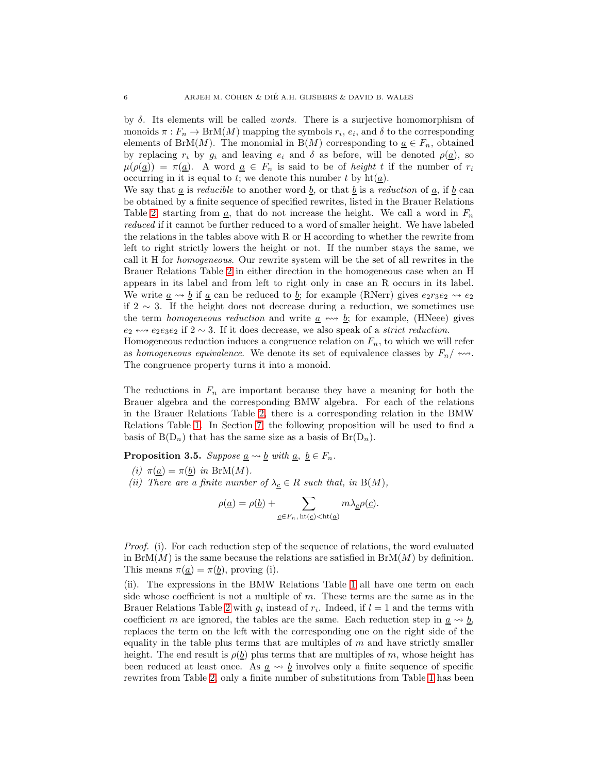by  $\delta$ . Its elements will be called *words*. There is a surjective homomorphism of monoids  $\pi: F_n \to \text{BrM}(M)$  mapping the symbols  $r_i, e_i$ , and  $\delta$  to the corresponding elements of BrM(M). The monomial in B(M) corresponding to  $\underline{a} \in F_n$ , obtained by replacing  $r_i$  by  $g_i$  and leaving  $e_i$  and  $\delta$  as before, will be denoted  $\rho(\underline{a})$ , so  $\mu(\rho(\underline{a})) = \pi(\underline{a})$ . A word  $\underline{a} \in F_n$  is said to be of *height* t if the number of  $r_i$ occurring in it is equal to t; we denote this number t by  $\text{ht}(\underline{a})$ .

We say that <u>a</u> is *reducible* to another word <u>b</u>, or that <u>b</u> is a *reduction* of <u>a</u>, if <u>b</u> can be obtained by a finite sequence of specified rewrites, listed in the Brauer Relations Table [2,](#page-4-1) starting from  $\underline{a}$ , that do not increase the height. We call a word in  $F_n$ reduced if it cannot be further reduced to a word of smaller height. We have labeled the relations in the tables above with R or H according to whether the rewrite from left to right strictly lowers the height or not. If the number stays the same, we call it H for homogeneous. Our rewrite system will be the set of all rewrites in the Brauer Relations Table [2](#page-4-1) in either direction in the homogeneous case when an H appears in its label and from left to right only in case an R occurs in its label. We write  $\underline{a} \rightsquigarrow \underline{b}$  if  $\underline{a}$  can be reduced to  $\underline{b}$ ; for example (RNerr) gives  $e_2r_3e_2 \rightsquigarrow e_2$ if 2 ∼ 3. If the height does not decrease during a reduction, we sometimes use the term *homogeneous reduction* and write  $\underline{a} \leftrightarrow \underline{b}$ ; for example, (HNeee) gives  $e_2 \leftrightarrow e_2e_3e_2$  if  $2 \sim 3$ . If it does decrease, we also speak of a *strict reduction*.

Homogeneous reduction induces a congruence relation on  $F_n$ , to which we will refer as homogeneous equivalence. We denote its set of equivalence classes by  $F_n / \n\leftrightarrow$ . The congruence property turns it into a monoid.

The reductions in  $F_n$  are important because they have a meaning for both the Brauer algebra and the corresponding BMW algebra. For each of the relations in the Brauer Relations Table [2,](#page-4-1) there is a corresponding relation in the BMW Relations Table [1.](#page-3-0) In Section [7,](#page-22-0) the following proposition will be used to find a basis of  $B(D_n)$  that has the same size as a basis of  $Br(D_n)$ .

<span id="page-5-0"></span>**Proposition 3.5.** Suppose  $\underline{a} \rightsquigarrow \underline{b}$  with  $\underline{a}$ ,  $\underline{b} \in F_n$ .

<span id="page-5-1"></span>(i) 
$$
\pi(\underline{a}) = \pi(\underline{b})
$$
 in BrM(M).

(ii) There are a finite number of  $\lambda_{\underline{c}} \in R$  such that, in B(M),

$$
\rho(\underline{a}) = \rho(\underline{b}) + \sum_{\underline{c} \in F_n, \, \mathrm{ht}(\underline{c}) < \mathrm{ht}(\underline{a})} m \lambda_{\underline{c}} \rho(\underline{c}).
$$

Proof. (i). For each reduction step of the sequence of relations, the word evaluated in  $BrM(M)$  is the same because the relations are satisfied in  $BrM(M)$  by definition. This means  $\pi(\underline{a}) = \pi(\underline{b})$ , proving (i).

(ii). The expressions in the BMW Relations Table [1](#page-3-0) all have one term on each side whose coefficient is not a multiple of  $m$ . These terms are the same as in the Brauer Relations Table [2](#page-4-1) with  $g_i$  instead of  $r_i$ . Indeed, if  $l = 1$  and the terms with coefficient m are ignored, the tables are the same. Each reduction step in  $\underline{a} \rightsquigarrow \underline{b}$ , replaces the term on the left with the corresponding one on the right side of the equality in the table plus terms that are multiples of  $m$  and have strictly smaller height. The end result is  $\rho(\underline{b})$  plus terms that are multiples of m, whose height has been reduced at least once. As  $a \leftrightarrow b$  involves only a finite sequence of specific rewrites from Table [2,](#page-4-1) only a finite number of substitutions from Table [1](#page-3-0) has been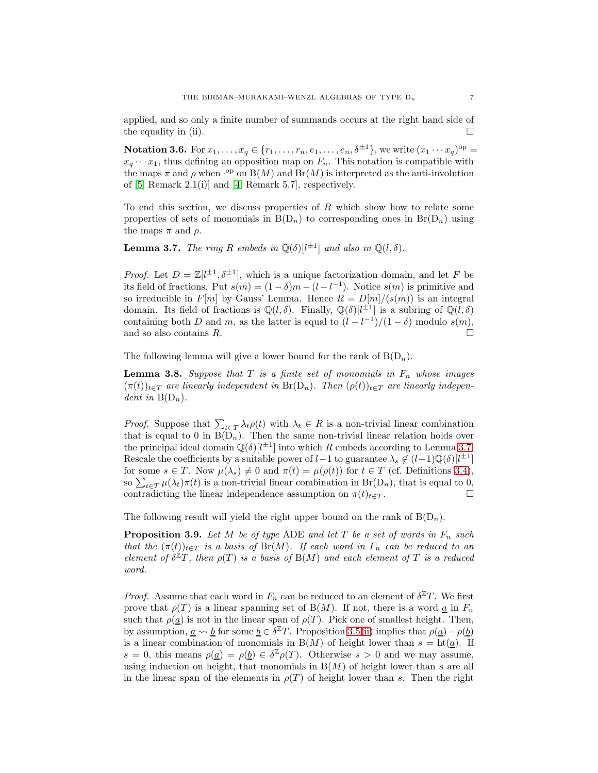applied, and so only a finite number of summands occurs at the right hand side of the equality in (ii).

<span id="page-6-3"></span>**Notation 3.6.** For  $x_1, \ldots, x_q \in \{r_1, \ldots, r_n, e_1, \ldots, e_n, \delta^{\pm 1}\},\,$  we write  $(x_1 \cdots x_q)^{\mathrm{op}} =$  $x_q \cdots x_1$ , thus defining an opposition map on  $F_n$ . This notation is compatible with the maps  $\pi$  and  $\rho$  when  $\cdot^{\text{op}}$  on  $B(M)$  and  $Br(M)$  is interpreted as the anti-involution of [\[5,](#page-30-4) Remark 2.1(i)] and [\[4,](#page-30-8) Remark 5.7], respectively.

To end this section, we discuss properties of  $R$  which show how to relate some properties of sets of monomials in  $B(D_n)$  to corresponding ones in  $Br(D_n)$  using the maps  $\pi$  and  $\rho$ .

<span id="page-6-0"></span>**Lemma 3.7.** The ring R embeds in  $\mathbb{Q}(\delta)[l^{\pm 1}]$  and also in  $\mathbb{Q}(l, \delta)$ .

*Proof.* Let  $D = \mathbb{Z}[l^{\pm 1}, \delta^{\pm 1}]$ , which is a unique factorization domain, and let F be its field of fractions. Put  $s(m) = (1 - \delta)m - (l - l^{-1})$ . Notice  $s(m)$  is primitive and so irreducible in  $F[m]$  by Gauss' Lemma. Hence  $R = D[m]/(s(m))$  is an integral domain. Its field of fractions is  $\mathbb{Q}(l,\delta)$ . Finally,  $\mathbb{Q}(\delta)[l^{\pm 1}]$  is a subring of  $\mathbb{Q}(l,\delta)$ containing both D and m, as the latter is equal to  $(l - l^{-1})/(1 - \delta)$  modulo  $s(m)$ , and so also contains  $R$ .

The following lemma will give a lower bound for the rank of  $B(D_n)$ .

<span id="page-6-1"></span>**Lemma 3.8.** Suppose that  $T$  is a finite set of monomials in  $F_n$  whose images  $(\pi(t))_{t\in T}$  are linearly independent in Br(D<sub>n</sub>). Then  $(\rho(t))_{t\in T}$  are linearly independent in  $B(D_n)$ .

*Proof.* Suppose that  $\sum_{t \in T} \lambda_t \rho(t)$  with  $\lambda_t \in R$  is a non-trivial linear combination that is equal to 0 in  $B(D_n)$ . Then the same non-trivial linear relation holds over the principal ideal domain  $\mathbb{Q}(\delta)[l^{\pm 1}]$  into which R embeds according to Lemma [3.7.](#page-6-0) Rescale the coefficients by a suitable power of  $l-1$  to guarantee  $\lambda_s \notin (l-1)\mathbb{Q}(\delta)[l^{\pm 1}]$ for some  $s \in T$ . Now  $\mu(\lambda_s) \neq 0$  and  $\pi(t) = \mu(\rho(t))$  for  $t \in T$  (cf. Definitions [3.4\)](#page-4-2), so  $\sum_{t \in T} \mu(\lambda_t) \pi(t)$  is a non-trivial linear combination in  $Br(D_n)$ , that is equal to 0, contradicting the linear independence assumption on  $\pi(t)_{t\in T}$ .

The following result will yield the right upper bound on the rank of  $B(D_n)$ .

<span id="page-6-2"></span>**Proposition 3.9.** Let M be of type ADE and let T be a set of words in  $F_n$  such that the  $(\pi(t))_{t\in T}$  is a basis of Br(M). If each word in  $F_n$  can be reduced to an element of  $\delta^{\mathbb{Z}}T$ , then  $\rho(T)$  is a basis of  $B(M)$  and each element of T is a reduced word.

*Proof.* Assume that each word in  $F_n$  can be reduced to an element of  $\delta^{\mathbb{Z}}T$ . We first prove that  $\rho(T)$  is a linear spanning set of B(M). If not, there is a word  $\underline{a}$  in  $F_n$ such that  $\rho(\underline{a})$  is not in the linear span of  $\rho(T)$ . Pick one of smallest height. Then, by assumption,  $\underline{a} \leadsto \underline{b}$  for some  $\underline{b} \in \delta^{\mathbb{Z}}T$ . Proposition [3.5\(](#page-5-0)[ii\)](#page-5-1) implies that  $\rho(\underline{a}) - \rho(\underline{b})$ is a linear combination of monomials in B(M) of height lower than  $s = ht(\underline{a})$ . If  $s = 0$ , this means  $\rho(\underline{a}) = \rho(\underline{b}) \in \delta^{\mathbb{Z}} \rho(T)$ . Otherwise  $s > 0$  and we may assume, using induction on height, that monomials in  $B(M)$  of height lower than s are all in the linear span of the elements in  $\rho(T)$  of height lower than s. Then the right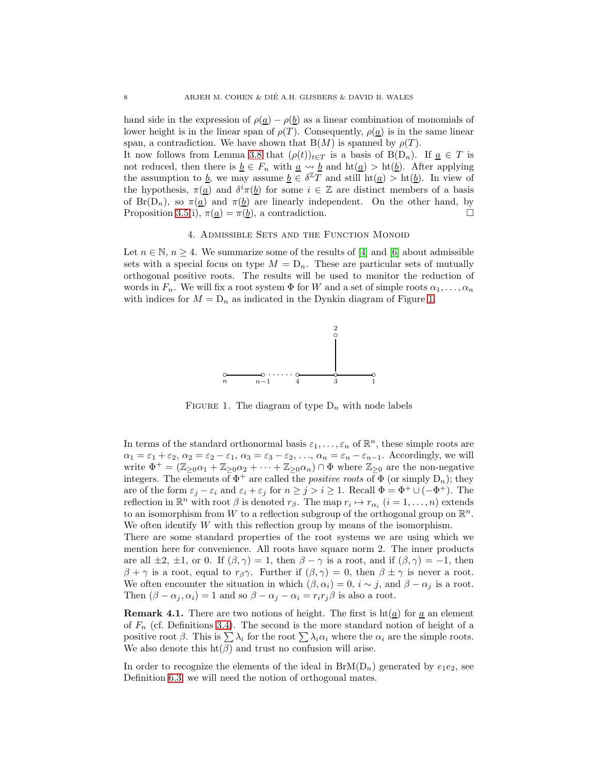hand side in the expression of  $\rho(\underline{a}) - \rho(\underline{b})$  as a linear combination of monomials of lower height is in the linear span of  $\rho(T)$ . Consequently,  $\rho(\underline{a})$  is in the same linear span, a contradiction. We have shown that  $B(M)$  is spanned by  $\rho(T)$ .

It now follows from Lemma [3.8](#page-6-1) that  $(\rho(t))_{t\in T}$  is a basis of B(D<sub>n</sub>). If <u>a</u>  $\in T$  is not reduced, then there is  $\underline{b} \in F_n$  with  $\underline{a} \leadsto \underline{b}$  and  $ht(\underline{a}) > ht(\underline{b})$ . After applying the assumption to b, we may assume  $\underline{b} \in \delta^{\mathbb{Z}} T$  and still  $\mathrm{ht}(\underline{a}) > \mathrm{ht}(\underline{b})$ . In view of the hypothesis,  $\pi(\underline{a})$  and  $\delta^i \pi(\underline{b})$  for some  $i \in \mathbb{Z}$  are distinct members of a basis of Br(D<sub>n</sub>), so  $\pi(\underline{a})$  and  $\pi(\underline{b})$  are linearly independent. On the other hand, by Proposition [3.5\(](#page-5-0)i),  $\pi(\underline{a}) = \pi(\underline{b})$ , a contradiction.

### 4. Admissible Sets and the Function Monoid

<span id="page-7-0"></span>Let  $n \in \mathbb{N}, n \geq 4$ . We summarize some of the results of [\[4\]](#page-30-8) and [\[6\]](#page-30-9) about admissible sets with a special focus on type  $M = D_n$ . These are particular sets of mutually orthogonal positive roots. The results will be used to monitor the reduction of words in  $F_n$ . We will fix a root system  $\Phi$  for W and a set of simple roots  $\alpha_1, \ldots, \alpha_n$ with indices for  $M = D_n$  as indicated in the Dynkin diagram of Figure [1.](#page-7-1)



<span id="page-7-1"></span>FIGURE 1. The diagram of type  $D_n$  with node labels

In terms of the standard orthonormal basis  $\varepsilon_1, \ldots, \varepsilon_n$  of  $\mathbb{R}^n$ , these simple roots are  $\alpha_1 = \varepsilon_1 + \varepsilon_2, \, \alpha_2 = \varepsilon_2 - \varepsilon_1, \, \alpha_3 = \varepsilon_3 - \varepsilon_2, \, \ldots, \, \alpha_n = \varepsilon_n - \varepsilon_{n-1}.$  Accordingly, we will write  $\Phi^+ = (\mathbb{Z}_{\geq 0}\alpha_1 + \mathbb{Z}_{\geq 0}\alpha_2 + \cdots + \mathbb{Z}_{\geq 0}\alpha_n) \cap \Phi$  where  $\mathbb{Z}_{\geq 0}$  are the non-negative integers. The elements of  $\Phi^+$  are called the *positive roots* of  $\Phi$  (or simply  $D_n$ ); they are of the form  $\varepsilon_j - \varepsilon_i$  and  $\varepsilon_i + \varepsilon_j$  for  $n \ge j > i \ge 1$ . Recall  $\Phi = \Phi^+ \cup (-\Phi^+)$ . The reflection in  $\mathbb{R}^n$  with root  $\beta$  is denoted  $r_{\beta}$ . The map  $r_i \mapsto r_{\alpha_i}$   $(i = 1, \ldots, n)$  extends to an isomorphism from W to a reflection subgroup of the orthogonal group on  $\mathbb{R}^n$ . We often identify  $W$  with this reflection group by means of the isomorphism.

There are some standard properties of the root systems we are using which we mention here for convenience. All roots have square norm 2. The inner products are all  $\pm 2$ ,  $\pm 1$ , or 0. If  $(\beta, \gamma) = 1$ , then  $\beta - \gamma$  is a root, and if  $(\beta, \gamma) = -1$ , then  $\beta + \gamma$  is a root, equal to  $r_{\beta} \gamma$ . Further if  $(\beta, \gamma) = 0$ , then  $\beta \pm \gamma$  is never a root. We often encounter the situation in which  $(\beta, \alpha_i) = 0$ ,  $i \sim j$ , and  $\beta - \alpha_j$  is a root. Then  $(\beta - \alpha_j, \alpha_i) = 1$  and so  $\beta - \alpha_j - \alpha_i = r_i r_j \beta$  is also a root.

**Remark 4.1.** There are two notions of height. The first is  $h(\underline{a})$  for  $\underline{a}$  an element of  $F_n$  (cf. Definitions [3.4\)](#page-4-2). The second is the more standard notion of height of a positive root  $\beta$ . This is  $\sum \lambda_i$  for the root  $\sum \lambda_i \alpha_i$  where the  $\alpha_i$  are the simple roots. We also denote this  $ht(\beta)$  and trust no confusion will arise.

In order to recognize the elements of the ideal in  $BrM(D_n)$  generated by  $e_1e_2$ , see Definition [6.3,](#page-17-0) we will need the notion of orthogonal mates.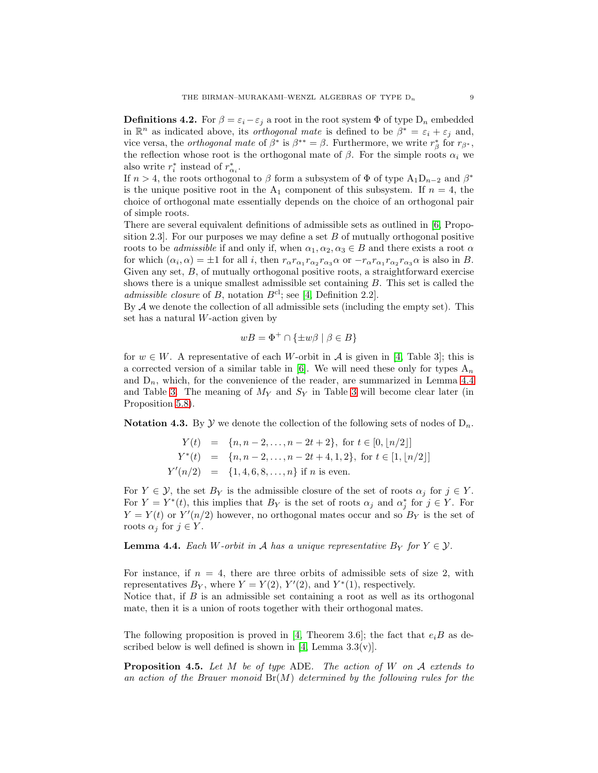<span id="page-8-1"></span>**Definitions 4.2.** For  $\beta = \varepsilon_i - \varepsilon_j$  a root in the root system  $\Phi$  of type  $D_n$  embedded in  $\mathbb{R}^n$  as indicated above, its *orthogonal mate* is defined to be  $\beta^* = \varepsilon_i + \varepsilon_j$  and, vice versa, the *orthogonal mate* of  $\beta^*$  is  $\beta^{**} = \beta$ . Furthermore, we write  $r^*_{\beta}$  for  $r_{\beta^*}$ , the reflection whose root is the orthogonal mate of  $\beta$ . For the simple roots  $\alpha_i$  we also write  $r_i^*$  instead of  $r_{\alpha_i}^*$ .

If  $n > 4$ , the roots orthogonal to  $\beta$  form a subsystem of  $\Phi$  of type  $A_1D_{n-2}$  and  $\beta^*$ is the unique positive root in the  $A_1$  component of this subsystem. If  $n = 4$ , the choice of orthogonal mate essentially depends on the choice of an orthogonal pair of simple roots.

There are several equivalent definitions of admissible sets as outlined in [\[6,](#page-30-9) Proposition 2.3. For our purposes we may define a set  $B$  of mutually orthogonal positive roots to be *admissible* if and only if, when  $\alpha_1, \alpha_2, \alpha_3 \in B$  and there exists a root  $\alpha$ for which  $(\alpha_i, \alpha) = \pm 1$  for all *i*, then  $r_{\alpha}r_{\alpha_1}r_{\alpha_2}r_{\alpha_3}\alpha$  or  $-r_{\alpha}r_{\alpha_1}r_{\alpha_2}r_{\alpha_3}\alpha$  is also in B. Given any set,  $B$ , of mutually orthogonal positive roots, a straightforward exercise shows there is a unique smallest admissible set containing B. This set is called the admissible closure of B, notation  $B^{cl}$ ; see [\[4,](#page-30-8) Definition 2.2].

By  $A$  we denote the collection of all admissible sets (including the empty set). This set has a natural W-action given by

$$
wB = \Phi^+ \cap \{\pm w\beta \mid \beta \in B\}
$$

for  $w \in W$ . A representative of each W-orbit in A is given in [\[4,](#page-30-8) Table 3]; this is a corrected version of a similar table in [\[6\]](#page-30-9). We will need these only for types  $A_n$ and  $D_n$ , which, for the convenience of the reader, are summarized in Lemma [4.4](#page-8-0) and Table [3.](#page-9-1) The meaning of  $M_Y$  and  $S_Y$  in Table [3](#page-9-1) will become clear later (in Proposition [5.8\)](#page-14-0).

**Notation 4.3.** By Y we denote the collection of the following sets of nodes of  $D_n$ .

$$
Y(t) = \{n, n-2, ..., n-2t+2\}, \text{ for } t \in [0, \lfloor n/2 \rfloor]
$$
  
\n
$$
Y^*(t) = \{n, n-2, ..., n-2t+4, 1, 2\}, \text{ for } t \in [1, \lfloor n/2 \rfloor]
$$
  
\n
$$
Y'(n/2) = \{1, 4, 6, 8, ..., n\} \text{ if } n \text{ is even.}
$$

For  $Y \in \mathcal{Y}$ , the set  $B_Y$  is the admissible closure of the set of roots  $\alpha_j$  for  $j \in Y$ . For  $Y = Y^*(t)$ , this implies that  $B_Y$  is the set of roots  $\alpha_j$  and  $\alpha_j^*$  for  $j \in Y$ . For  $Y = Y(t)$  or  $Y'(n/2)$  however, no orthogonal mates occur and so  $B<sub>Y</sub>$  is the set of roots  $\alpha_j$  for  $j \in Y$ .

<span id="page-8-0"></span>**Lemma 4.4.** Each W-orbit in A has a unique representative  $B_Y$  for  $Y \in \mathcal{Y}$ .

For instance, if  $n = 4$ , there are three orbits of admissible sets of size 2, with representatives  $B_Y$ , where  $Y = Y(2)$ ,  $Y'(2)$ , and  $Y^*(1)$ , respectively.

Notice that, if  $B$  is an admissible set containing a root as well as its orthogonal mate, then it is a union of roots together with their orthogonal mates.

The following proposition is proved in [\[4,](#page-30-8) Theorem 3.6]; the fact that  $e_iB$  as de-scribed below is well defined is shown in [\[4,](#page-30-8) Lemma  $3.3(v)$ ].

<span id="page-8-2"></span>**Proposition 4.5.** Let M be of type ADE. The action of W on A extends to an action of the Brauer monoid  $Br(M)$  determined by the following rules for the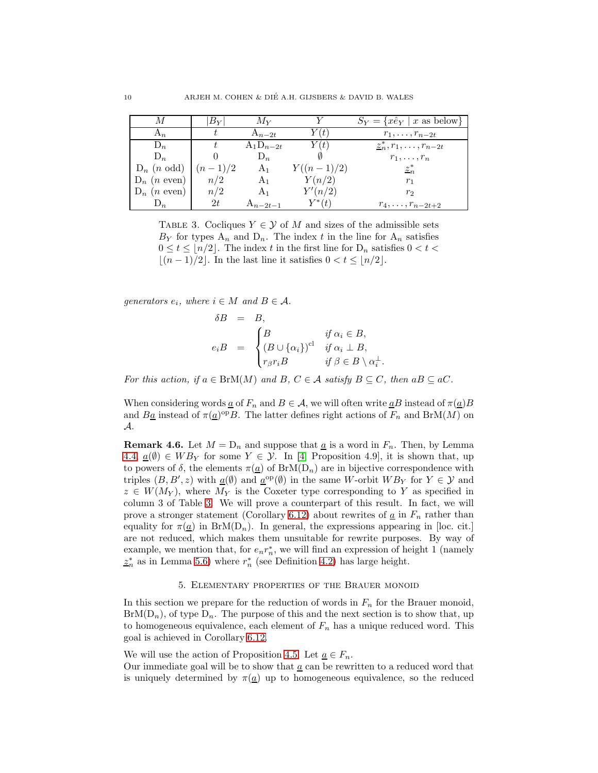|                        | $B_Y\vert$ | $M_Y$          |              | $S_Y = \{x \hat{e}_Y \mid x \text{ as below}\}\$ |
|------------------------|------------|----------------|--------------|--------------------------------------------------|
| $A_n$                  |            | $A_{n-2t}$     | Y(t)         | $r_1,\ldots,r_{n-2t}$                            |
| $D_n$                  |            | $A_1D_{n-2t}$  | Y(t)         | $\underline{z}_n^*, r_1, \ldots, r_{n-2t}$       |
| $D_n$                  |            | $D_n$          |              | $r_1,\ldots,r_n$                                 |
| $D_n$ ( <i>n</i> odd)  | $(n-1)/2$  | A <sub>1</sub> | $Y((n-1)/2)$ | $z_n^*$                                          |
| $D_n$ ( <i>n</i> even) | n/2        | A <sub>1</sub> | Y(n/2)       | $r_1$                                            |
| $D_n$ ( <i>n</i> even) | n/2        | A <sub>1</sub> | Y'(n/2)      | $r_2$                                            |
|                        | 2t         | $A_{n-2t-1}$   | $Y^*(t)$     | $r_4, \ldots, r_{n-2t+2}$                        |

<span id="page-9-1"></span>TABLE 3. Cocliques  $Y \in \mathcal{Y}$  of M and sizes of the admissible sets  $B_Y$  for types  $A_n$  and  $D_n$ . The index t in the line for  $A_n$  satisfies  $0 \le t \le \lfloor n/2 \rfloor$ . The index t in the first line for  $D_n$  satisfies  $0 < t <$  $\lfloor (n-1)/2 \rfloor$ . In the last line it satisfies  $0 < t \leq \lfloor n/2 \rfloor$ .

generators  $e_i$ , where  $i \in M$  and  $B \in \mathcal{A}$ .

$$
\delta B = B,
$$
  
\n
$$
e_i B = \begin{cases}\nB & \text{if } \alpha_i \in B, \\
(B \cup {\alpha_i})^{\text{cl}} & \text{if } \alpha_i \perp B, \\
r_\beta r_i B & \text{if } \beta \in B \setminus \alpha_i^\perp\n\end{cases}
$$

.

For this action, if  $a \in {\rm BrM}(M)$  and  $B, C \in \mathcal{A}$  satisfy  $B \subseteq C$ , then  $aB \subseteq aC$ .

When considering words  $\underline{a}$  of  $F_n$  and  $B \in \mathcal{A}$ , we will often write  $\underline{a}B$  instead of  $\pi(\underline{a})B$ and  $B\underline{a}$  instead of  $\pi(\underline{a})^{\text{op}}B$ . The latter defines right actions of  $F_n$  and  $BrM(M)$  on A.

**Remark 4.6.** Let  $M = D_n$  and suppose that  $\underline{a}$  is a word in  $F_n$ . Then, by Lemma [4.4,](#page-8-0)  $\underline{a}(\emptyset) \in WB_Y$  for some  $Y \in \mathcal{Y}$ . In [\[4,](#page-30-8) Proposition 4.9], it is shown that, up to powers of  $\delta$ , the elements  $\pi(\underline{a})$  of  $BrM(D_n)$  are in bijective correspondence with triples  $(B, B', z)$  with  $\underline{a}(\emptyset)$  and  $\underline{a}^{\text{op}}(\emptyset)$  in the same W-orbit  $WB_Y$  for  $Y \in \mathcal{Y}$  and  $z \in W(M_Y)$ , where  $M_Y$  is the Coxeter type corresponding to Y as specified in column 3 of Table [3.](#page-9-1) We will prove a counterpart of this result. In fact, we will prove a stronger statement (Corollary [6.12\)](#page-21-0) about rewrites of  $\underline{a}$  in  $F_n$  rather than equality for  $\pi(\underline{a})$  in BrM(D<sub>n</sub>). In general, the expressions appearing in [loc. cit.] are not reduced, which makes them unsuitable for rewrite purposes. By way of example, we mention that, for  $e_n r_n^*$ , we will find an expression of height 1 (namely  $z_n^*$  as in Lemma [5.6\)](#page-12-0) where  $r_n^*$  (see Definition [4.2\)](#page-8-1) has large height.

## 5. Elementary properties of the Brauer monoid

<span id="page-9-0"></span>In this section we prepare for the reduction of words in  $F_n$  for the Brauer monoid,  $BrM(D_n)$ , of type  $D_n$ . The purpose of this and the next section is to show that, up to homogeneous equivalence, each element of  $F_n$  has a unique reduced word. This goal is achieved in Corollary [6.12.](#page-21-0)

We will use the action of Proposition [4.5.](#page-8-2) Let  $\underline{a} \in F_n$ .

Our immediate goal will be to show that a can be rewritten to a reduced word that is uniquely determined by  $\pi(\underline{a})$  up to homogeneous equivalence, so the reduced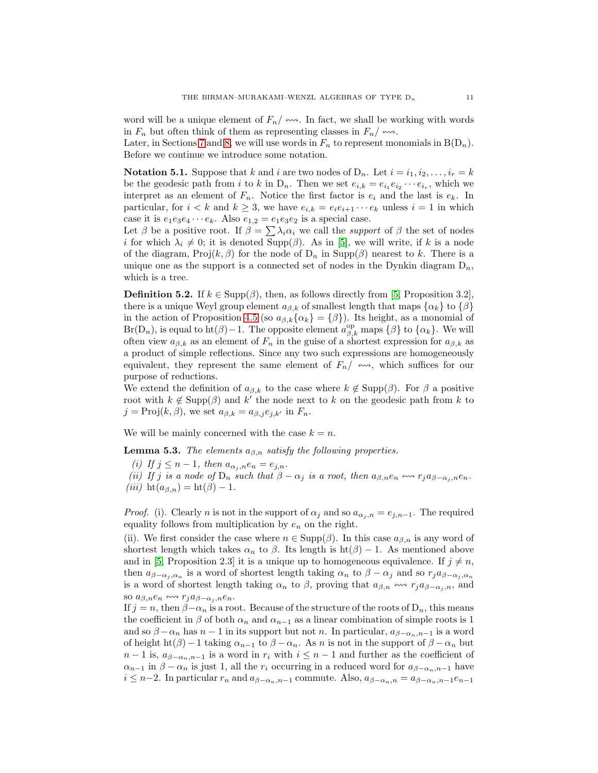word will be a unique element of  $F_n/\leftrightarrow$ . In fact, we shall be working with words in  $F_n$  but often think of them as representing classes in  $F_n / \n\rightsquigarrow$ .

Later, in Sections [7](#page-22-0) and [8,](#page-24-0) we will use words in  $F_n$  to represent monomials in  $B(D_n)$ . Before we continue we introduce some notation.

**Notation 5.1.** Suppose that k and i are two nodes of  $D_n$ . Let  $i = i_1, i_2, \ldots, i_r = k$ be the geodesic path from i to k in  $D_n$ . Then we set  $e_{i,k} = e_{i1}e_{i2} \cdots e_{i_r}$ , which we interpret as an element of  $F_n$ . Notice the first factor is  $e_i$  and the last is  $e_k$ . In particular, for  $i < k$  and  $k \geq 3$ , we have  $e_{i,k} = e_i e_{i+1} \cdots e_k$  unless  $i = 1$  in which case it is  $e_1e_3e_4\cdots e_k$ . Also  $e_{1,2} = e_1e_3e_2$  is a special case.

Let  $\beta$  be a positive root. If  $\beta = \sum \lambda_i \alpha_i$  we call the *support* of  $\beta$  the set of nodes i for which  $\lambda_i \neq 0$ ; it is denoted Supp( $\beta$ ). As in [\[5\]](#page-30-4), we will write, if k is a node of the diagram,  $Proj(k, \beta)$  for the node of  $D_n$  in  $Supp(\beta)$  nearest to k. There is a unique one as the support is a connected set of nodes in the Dynkin diagram  $D_n$ , which is a tree.

<span id="page-10-0"></span>**Definition 5.2.** If  $k \in \text{Supp}(\beta)$ , then, as follows directly from [\[5,](#page-30-4) Proposition 3.2], there is a unique Weyl group element  $a_{\beta,k}$  of smallest length that maps  $\{\alpha_k\}$  to  $\{\beta\}$ in the action of Proposition [4.5](#page-8-2) (so  $a_{\beta,k}\{\alpha_k\} = \{\beta\}$ ). Its height, as a monomial of  $Br(D_n)$ , is equal to ht( $\beta$ ) – 1. The opposite element  $a_{\beta,k}^{\text{op}}$  maps  $\{\beta\}$  to  $\{\alpha_k\}$ . We will often view  $a_{\beta,k}$  as an element of  $F_n$  in the guise of a shortest expression for  $a_{\beta,k}$  as a product of simple reflections. Since any two such expressions are homogeneously equivalent, they represent the same element of  $F_n/\leftrightarrow\to$ , which suffices for our purpose of reductions.

We extend the definition of  $a_{\beta,k}$  to the case where  $k \notin \text{Supp}(\beta)$ . For  $\beta$  a positive root with  $k \notin \text{Supp}(\beta)$  and k' the node next to k on the geodesic path from k to  $j = \text{Proj}(k, \beta)$ , we set  $a_{\beta,k} = a_{\beta,i} e_{i,k'}$  in  $F_n$ .

We will be mainly concerned with the case  $k = n$ .

<span id="page-10-1"></span>**Lemma 5.3.** The elements  $a_{\beta,n}$  satisfy the following properties.

(i) If  $j \leq n-1$ , then  $a_{\alpha_i,n}e_n = e_{j,n}$ .

(ii) If j is a node of  $D_n$  such that  $\beta - \alpha_j$  is a root, then  $a_{\beta,n}e_n \leftrightarrow r_j a_{\beta-\alpha_j,n}e_n$ . (iii) ht $(a_{\beta,n}) = \text{ht}(\beta) - 1$ .

*Proof.* (i). Clearly *n* is not in the support of  $\alpha_j$  and so  $a_{\alpha_j,n} = e_{j,n-1}$ . The required equality follows from multiplication by  $e_n$  on the right.

(ii). We first consider the case where  $n \in \text{Supp}(\beta)$ . In this case  $a_{\beta,n}$  is any word of shortest length which takes  $\alpha_n$  to  $\beta$ . Its length is  $ht(\beta) - 1$ . As mentioned above and in [\[5,](#page-30-4) Proposition 2.3] it is a unique up to homogeneous equivalence. If  $j \neq n$ , then  $a_{\beta-\alpha_j,\alpha_n}$  is a word of shortest length taking  $\alpha_n$  to  $\beta-\alpha_j$  and so  $r_j a_{\beta-\alpha_j,\alpha_n}$ is a word of shortest length taking  $\alpha_n$  to  $\beta$ , proving that  $a_{\beta,n} \leftrightarrow r_j a_{\beta-\alpha_j,n}$ , and so  $a_{\beta,n}e_n \leftrightarrow r_i a_{\beta-\alpha_i,n}e_n$ .

If  $j = n$ , then  $\beta - \alpha_n$  is a root. Because of the structure of the roots of D<sub>n</sub>, this means the coefficient in  $\beta$  of both  $\alpha_n$  and  $\alpha_{n-1}$  as a linear combination of simple roots is 1 and so  $\beta - \alpha_n$  has  $n-1$  in its support but not n. In particular,  $a_{\beta-\alpha_n,n-1}$  is a word of height ht( $\beta$ ) − 1 taking  $\alpha_{n-1}$  to  $\beta - \alpha_n$ . As n is not in the support of  $\beta - \alpha_n$  but  $n-1$  is,  $a_{\beta-\alpha_n,n-1}$  is a word in  $r_i$  with  $i \leq n-1$  and further as the coefficient of  $\alpha_{n-1}$  in  $\beta - \alpha_n$  is just 1, all the  $r_i$  occurring in a reduced word for  $a_{\beta-\alpha_n,n-1}$  have  $i \leq n-2$ . In particular  $r_n$  and  $a_{\beta-\alpha_n,n-1}$  commute. Also,  $a_{\beta-\alpha_n,n} = a_{\beta-\alpha_n,n-1}e_{n-1}$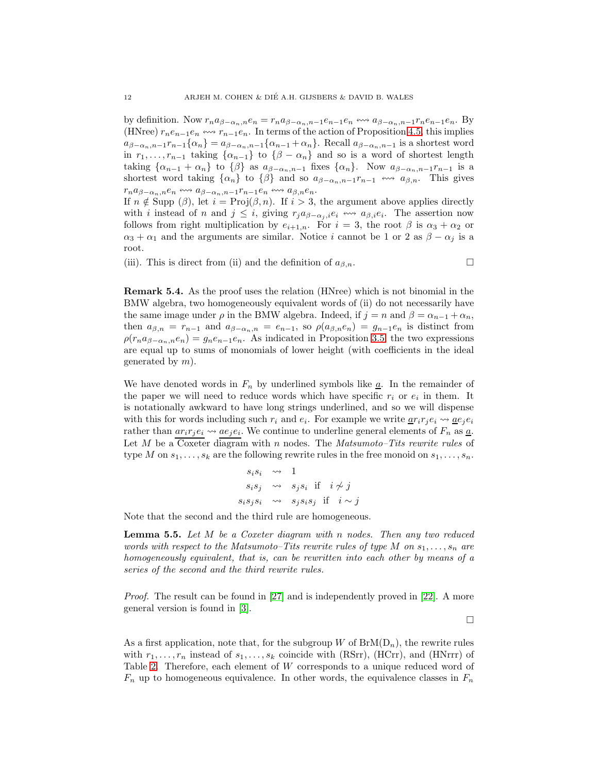by definition. Now  $r_n a_{\beta-\alpha_n,n} e_n = r_n a_{\beta-\alpha_n,n-1} e_{n-1}e_n \Leftrightarrow a_{\beta-\alpha_n,n-1}r_n e_{n-1}e_n$ . By (HNree)  $r_ne_{n-1}e_n \leftrightarrow r_{n-1}e_n$ . In terms of the action of Proposition [4.5,](#page-8-2) this implies  $a_{\beta-\alpha_n,n-1}r_{n-1}\{\alpha_n\}=a_{\beta-\alpha_n,n-1}\{\alpha_{n-1}+\alpha_n\}$ . Recall  $a_{\beta-\alpha_n,n-1}$  is a shortest word in  $r_1, \ldots, r_{n-1}$  taking  $\{\alpha_{n-1}\}\$ to  $\{\beta - \alpha_n\}$  and so is a word of shortest length taking  $\{\alpha_{n-1} + \alpha_n\}$  to  $\{\beta\}$  as  $a_{\beta-\alpha_n,n-1}$  fixes  $\{\alpha_n\}$ . Now  $a_{\beta-\alpha_n,n-1}r_{n-1}$  is a shortest word taking  $\{\alpha_n\}$  to  $\{\beta\}$  and so  $a_{\beta-\alpha_n,n-1}r_{n-1} \leftrightarrow a_{\beta,n}$ . This gives  $r_na_{\beta-\alpha_n,n}e_n \leftrightsquigarrow a_{\beta-\alpha_n,n-1}r_{n-1}e_n \leftrightsquigarrow a_{\beta,n}e_n.$ 

If  $n \notin \text{Supp } (\beta)$ , let  $i = \text{Proj}(\beta, n)$ . If  $i > 3$ , the argument above applies directly with i instead of n and  $j \leq i$ , giving  $r_j a_{\beta-\alpha_j,i} e_i \leftrightarrow a_{\beta,i} e_i$ . The assertion now follows from right multiplication by  $e_{i+1,n}$ . For  $i = 3$ , the root  $\beta$  is  $\alpha_3 + \alpha_2$  or  $\alpha_3 + \alpha_1$  and the arguments are similar. Notice i cannot be 1 or 2 as  $\beta - \alpha_i$  is a root.

(iii). This is direct from (ii) and the definition of  $a_{\beta,n}$ .

<span id="page-11-1"></span>Remark 5.4. As the proof uses the relation (HNree) which is not binomial in the BMW algebra, two homogeneously equivalent words of (ii) do not necessarily have the same image under  $\rho$  in the BMW algebra. Indeed, if  $j = n$  and  $\beta = \alpha_{n-1} + \alpha_n$ , then  $a_{\beta,n} = r_{n-1}$  and  $a_{\beta-\alpha_n,n} = e_{n-1}$ , so  $\rho(a_{\beta,n}e_n) = g_{n-1}e_n$  is distinct from  $\rho(r_na_{\beta-\alpha_n,n}e_n)=g_ne_{n-1}e_n$ . As indicated in Proposition [3.5,](#page-5-0) the two expressions are equal up to sums of monomials of lower height (with coefficients in the ideal generated by  $m$ ).

We have denoted words in  $F_n$  by underlined symbols like  $\underline{a}$ . In the remainder of the paper we will need to reduce words which have specific  $r_i$  or  $e_i$  in them. It is notationally awkward to have long strings underlined, and so we will dispense with this for words including such  $r_i$  and  $e_i$ . For example we write  $\underline{a}r_ir_je_i \leadsto \underline{a}e_je_i$ rather than  $ar_ir_je_i \leadsto ae_je_i$ . We continue to underline general elements of  $F_n$  as  $\underline{a}$ . Let  $M$  be a Coxeter diagram with  $n$  nodes. The  $Matsumoto-Tits$  rewrite rules of type M on  $s_1, \ldots, s_k$  are the following rewrite rules in the free monoid on  $s_1, \ldots, s_n$ .

$$
s_i s_i \rightsquigarrow 1
$$
  
\n
$$
s_i s_j \rightsquigarrow s_j s_i \text{ if } i \not\sim j
$$
  
\n
$$
s_i s_j s_i \rightsquigarrow s_j s_i s_j \text{ if } i \sim j
$$

Note that the second and the third rule are homogeneous.

<span id="page-11-0"></span>**Lemma 5.5.** Let M be a Coxeter diagram with n nodes. Then any two reduced words with respect to the Matsumoto–Tits rewrite rules of type M on  $s_1, \ldots, s_n$  are homogeneously equivalent, that is, can be rewritten into each other by means of a series of the second and the third rewrite rules.

Proof. The result can be found in [\[27\]](#page-31-12) and is independently proved in [\[22\]](#page-31-13). A more general version is found in [\[3\]](#page-30-10).

 $\Box$ 

As a first application, note that, for the subgroup W of  $BrM(D_n)$ , the rewrite rules with  $r_1, \ldots, r_n$  instead of  $s_1, \ldots, s_k$  coincide with (RSrr), (HCrr), and (HNrrr) of Table [2.](#page-4-1) Therefore, each element of W corresponds to a unique reduced word of  $F_n$  up to homogeneous equivalence. In other words, the equivalence classes in  $F_n$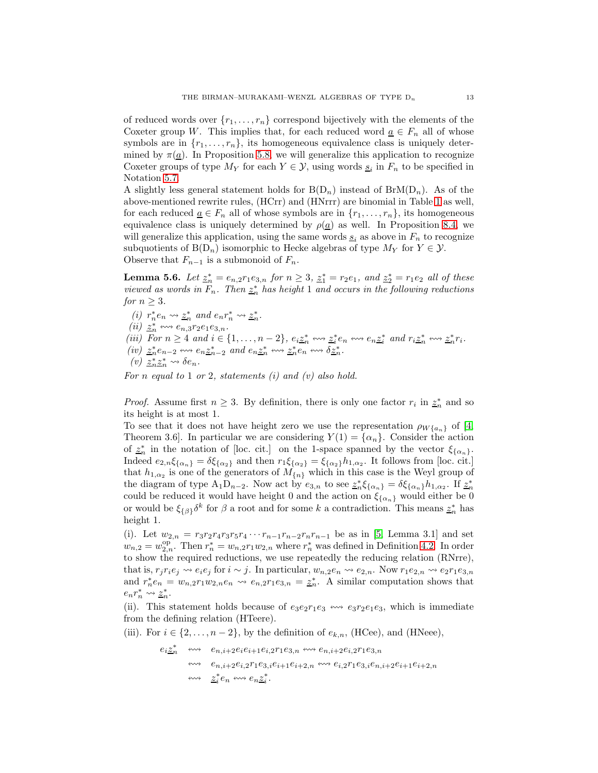of reduced words over  $\{r_1, \ldots, r_n\}$  correspond bijectively with the elements of the Coxeter group W. This implies that, for each reduced word  $\underline{a} \in F_n$  all of whose symbols are in  $\{r_1, \ldots, r_n\}$ , its homogeneous equivalence class is uniquely determined by  $\pi(\underline{a})$ . In Proposition [5.8,](#page-14-0) we will generalize this application to recognize Coxeter groups of type  $M_Y$  for each  $Y \in \mathcal{Y}$ , using words  $\underline{s}_i$  in  $F_n$  to be specified in Notation [5.7.](#page-13-0)

A slightly less general statement holds for  $B(D_n)$  instead of  $BrM(D_n)$ . As of the above-mentioned rewrite rules, (HCrr) and (HNrrr) are binomial in Table [1](#page-3-0) as well, for each reduced  $\underline{a} \in F_n$  all of whose symbols are in  $\{r_1, \ldots, r_n\}$ , its homogeneous equivalence class is uniquely determined by  $\rho(\underline{a})$  as well. In Proposition [8.4,](#page-25-0) we will generalize this application, using the same words  $\underline{s}_i$  as above in  $F_n$  to recognize subquotients of  $B(D_n)$  isomorphic to Hecke algebras of type  $M_Y$  for  $Y \in \mathcal{Y}$ . Observe that  $F_{n-1}$  is a submonoid of  $F_n$ .

<span id="page-12-0"></span>**Lemma 5.6.** Let  $\underline{z}_n^* = e_{n,2}r_1e_{3,n}$  for  $n \ge 3$ ,  $\underline{z}_1^* = r_2e_1$ , and  $\underline{z}_2^* = r_1e_2$  all of these viewed as words in  $F_n$ . Then  $\underline{z}_n^*$  has height 1 and occurs in the following reductions for  $n \geq 3$ .

(i)  $r_n^* e_n \leadsto \underline{z}_n^*$  and  $e_n r_n^* \leadsto \underline{z}_n^*$ . (*ii*)  $\underline{z}_n^* \iff e_{n,3}r_2e_1e_{3,n}.$ (iii) For  $n \geq 4$  and  $i \in \{1, ..., n-2\}$ ,  $e_i \underline{z}_n^* \leftrightarrow z_i^* e_n \leftrightarrow e_n \underline{z}_i^*$  and  $r_i \underline{z}_n^* \leftrightarrow z_n^* r_i$ .  $(iv)$   $\underline{z}_n^* e_{n-2} \leftrightarrow e_n \underline{z}_{n-2}^*$  and  $e_n \underline{z}_n^* \leftrightarrow \underline{z}_n^* e_n \leftrightarrow \underline{\delta \underline{z}_n^*}$ . (v)  $\underline{z}_n^* \underline{z}_n^* \leadsto \delta e_n$ .

For  $n$  equal to 1 or 2, statements (i) and (v) also hold.

*Proof.* Assume first  $n \geq 3$ . By definition, there is only one factor  $r_i$  in  $z_n^*$  and so its height is at most 1.

To see that it does not have height zero we use the representation  $\rho_{W{a_n}}$  of [\[4,](#page-30-8) Theorem 3.6. In particular we are considering  $Y(1) = \{\alpha_n\}$ . Consider the action of  $\underline{z}_n^*$  in the notation of [loc. cit.] on the 1-space spanned by the vector  $\xi_{\{\alpha_n\}}$ . Indeed  $e_{2,n}\xi_{\{\alpha_n\}} = \delta \xi_{\{\alpha_2\}}$  and then  $r_1 \xi_{\{\alpha_2\}} = \xi_{\{\alpha_2\}} h_{1,\alpha_2}$ . It follows from [loc. cit.] that  $h_{1,\alpha_2}$  is one of the generators of  $M_{\{n\}}$  which in this case is the Weyl group of the diagram of type  $A_1D_{n-2}$ . Now act by  $e_{3,n}$  to see  $\underline{z}_n^*\xi_{\{\alpha_n\}} = \delta \xi_{\{\alpha_n\}} h_{1,\alpha_2}$ . If  $\underline{z}_n^*$ could be reduced it would have height 0 and the action on  $\xi_{\{\alpha_n\}}$  would either be<br>  $0$ or would be  $\xi_{\{\beta\}}\delta^k$  for  $\beta$  a root and for some k a contradiction. This means  $\underline{z}_n^*$  has height 1.

(i). Let  $w_{2,n} = r_3r_2r_4r_3r_5r_4\cdots r_{n-1}r_{n-2}r_nr_{n-1}$  be as in [\[5,](#page-30-4) Lemma 3.1] and set  $w_{n,2} = w_{2,n}^{\rm op}$ . Then  $r_n^* = w_{n,2}r_1w_{2,n}$  where  $r_n^*$  was defined in Definition [4.2.](#page-8-1) In order to show the required reductions, we use repeatedly the reducing relation (RNrre), that is,  $r_j r_i e_j \rightsquigarrow e_i e_j$  for  $i \sim j$ . In particular,  $w_{n,2} e_n \rightsquigarrow e_{2,n}$ . Now  $r_1 e_{2,n} \rightsquigarrow e_2 r_1 e_{3,n}$ and  $r_n^* e_n = w_{n,2} r_1 w_{2,n} e_n \leadsto e_{n,2} r_1 e_{3,n} = \underline{z}_n^*$ . A similar computation shows that  $e_n r_n^* \leadsto \underline{z}_n^*.$ 

(ii). This statement holds because of  $e_3e_2r_1e_3 \leftrightarrow e_3r_2e_1e_3$ , which is immediate from the defining relation (HTeere).

(iii). For  $i \in \{2, \ldots, n-2\}$ , by the definition of  $e_{k,n}$ , (HCee), and (HNeee),

$$
e_i \underline{z}_n^* \quad \text{and} \quad e_{n,i+2} e_i e_{i+1} e_{i,2} r_1 e_{3,n} \quad \text{and} \quad e_{n,i+2} e_{i,2} r_1 e_{3,n}
$$
\n
$$
\text{and} \quad e_{n,i+2} e_{i,2} r_1 e_{3,i} e_{i+1} e_{i+2,n} \quad \text{and} \quad e_{i,2} r_1 e_{3,i} e_{n,i+2} e_{i+1} e_{i+2,n}
$$
\n
$$
\text{and} \quad \underline{z}_i^* e_n \quad \text{and} \quad e_{n,2} \underline{z}_i^*.
$$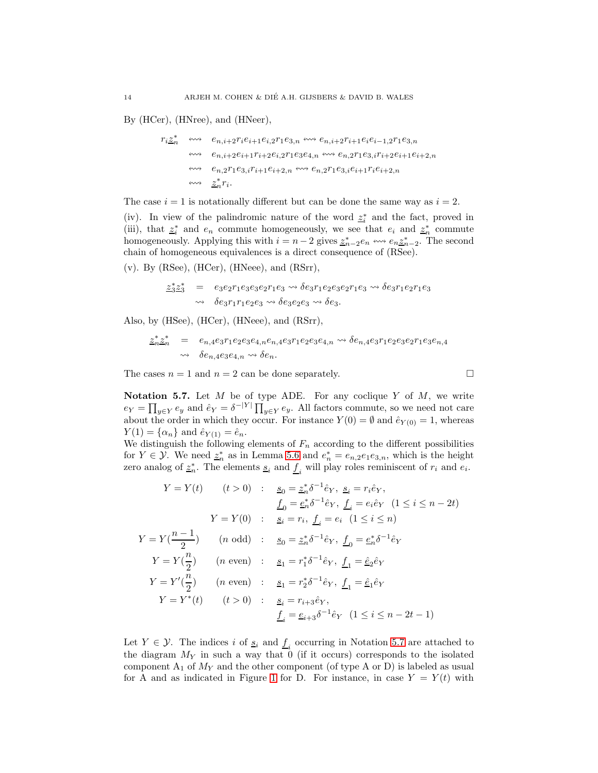By (HCer), (HNree), and (HNeer),

$$
r_i \underline{z}_n^* \quad \longleftrightarrow \quad e_{n,i+2} r_i e_{i+1} e_{i,2} r_1 e_{3,n} \leftrightarrow \leftrightarrow e_{n,i+2} r_{i+1} e_i e_{i-1,2} r_1 e_{3,n}
$$
\n
$$
\leftrightarrow \quad e_{n,i+2} e_{i+1} r_{i+2} e_{i,2} r_1 e_{3} e_{4,n} \leftrightarrow \leftrightarrow e_{n,2} r_1 e_{3,i} r_{i+2} e_{i+1} e_{i+2,n}
$$
\n
$$
\leftrightarrow \quad e_{n,2} r_1 e_{3,i} r_{i+1} e_{i+2,n} \leftrightarrow \leftrightarrow e_{n,2} r_1 e_{3,i} e_{i+1} r_i e_{i+2,n}
$$
\n
$$
\leftrightarrow \quad \underline{z}_n^* r_i.
$$

The case  $i = 1$  is notationally different but can be done the same way as  $i = 2$ .

(iv). In view of the palindromic nature of the word  $\underline{z}_i^*$  and the fact, proved in (iii), that  $z_i^*$  and  $e_n$  commute homogeneously, we see that  $e_i$  and  $z_n^*$  commute homogeneously. Applying this with  $i = n - 2$  gives  $\underline{z}_{n-2}^* e_n \leftrightarrow e_n \underline{z}_{n-2}^*$ . The second chain of homogeneous equivalences is a direct consequence of (RSee).

(v). By (RSee), (HCer), (HNeee), and (RSrr),

$$
\underline{z_3^*} \underline{z_3^*} = e_3 e_2 r_1 e_3 e_3 e_2 r_1 e_3 \rightsquigarrow \delta e_3 r_1 e_2 e_3 e_2 r_1 e_3 \rightsquigarrow \delta e_3 r_1 e_2 r_1 e_3
$$
  

$$
\rightsquigarrow \delta e_3 r_1 r_1 e_2 e_3 \rightsquigarrow \delta e_3 e_2 e_3 \rightsquigarrow \delta e_3.
$$

Also, by (HSee), (HCer), (HNeee), and (RSrr),

$$
\begin{array}{rcl}\n\underline{z}_n^* \underline{z}_n^* &=& e_{n,4} e_3 r_1 e_2 e_3 e_{4,n} e_{n,4} e_3 r_1 e_2 e_3 e_{4,n} \rightsquigarrow \delta e_{n,4} e_3 r_1 e_2 e_3 e_2 r_1 e_3 e_{n,4} \\
&\rightsquigarrow \quad \delta e_{n,4} e_3 e_{4,n} \rightsquigarrow \delta e_n.\n\end{array}
$$

The cases  $n = 1$  and  $n = 2$  can be done separately.

<span id="page-13-0"></span>Notation 5.7. Let  $M$  be of type ADE. For any coclique  $Y$  of  $M$ , we write  $e_Y = \prod_{y \in Y} e_y$  and  $\hat{e}_Y = \delta^{-|Y|} \prod_{y \in Y} e_y$ . All factors commute, so we need not care about the order in which they occur. For instance  $Y(0) = \emptyset$  and  $\hat{e}_{Y(0)} = 1$ , whereas  $Y(1) = {\alpha_n}$  and  $\hat{e}_{Y(1)} = \hat{e}_n$ .

We distinguish the following elements of  $F_n$  according to the different possibilities for  $Y \in \mathcal{Y}$ . We need  $\underline{z}_n^*$  as in Lemma [5.6](#page-12-0) and  $e_n^* = e_{n,2}e_1e_{3,n}$ , which is the height zero analog of  $\underline{z}_n^*$ . The elements  $\underline{s}_i$  and  $\underline{f}_i$  will play roles reminiscent of  $r_i$  and  $e_i$ .

$$
Y = Y(t) \qquad (t > 0) \qquad : \qquad \underline{s}_0 = \underline{z}_n^* \delta^{-1} \hat{e}_Y, \ \underline{s}_i = r_i \hat{e}_Y, \n\underline{f}_0 = \underline{e}_n^* \delta^{-1} \hat{e}_Y, \ \underline{f}_i = e_i \hat{e}_Y \quad (1 \le i \le n - 2t) \nY = Y(0) \qquad : \quad \underline{s}_i = r_i, \ \underline{f}_i = e_i \quad (1 \le i \le n) \nY = Y(\frac{n-1}{2}) \qquad (n \text{ odd}) \qquad : \quad \underline{s}_0 = \underline{z}_n^* \delta^{-1} \hat{e}_Y, \ \underline{f}_0 = \underline{e}_n^* \delta^{-1} \hat{e}_Y \nY = Y(\frac{n}{2}) \qquad (n \text{ even}) \qquad : \quad \underline{s}_1 = r_1^* \delta^{-1} \hat{e}_Y, \ \underline{f}_1 = \hat{e}_2 \hat{e}_Y \nY = Y'(\frac{n}{2}) \qquad (n \text{ even}) \qquad : \quad \underline{s}_1 = r_2^* \delta^{-1} \hat{e}_Y, \ \underline{f}_1 = \hat{e}_1 \hat{e}_Y \nY = Y^*(t) \qquad (t > 0) \qquad : \quad \underline{s}_i = r_{i+3} \hat{e}_Y, \n\underline{f}_i = \underline{e}_{i+3} \delta^{-1} \hat{e}_Y \quad (1 \le i \le n - 2t - 1)
$$

Let  $Y \in \mathcal{Y}$ . The indices i of  $\underline{s}_i$  and  $\underline{f}_i$  occurring in Notation [5.7](#page-13-0) are attached to the diagram  $M_Y$  in such a way that 0 (if it occurs) corresponds to the isolated component  $A_1$  of  $M_Y$  and the other component (of type A or D) is labeled as usual for A and as indicated in Figure [1](#page-7-1) for D. For instance, in case  $Y = Y(t)$  with

$$
\Box
$$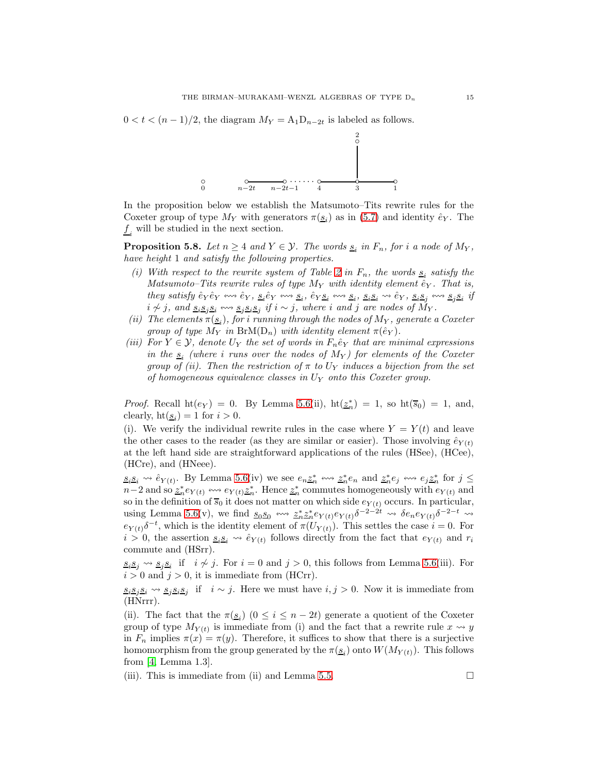$0 < t < (n-1)/2$ , the diagram  $M_Y = A_1 D_{n-2t}$  is labeled as follows.



In the proposition below we establish the Matsumoto–Tits rewrite rules for the Coxeter group of type  $M_Y$  with generators  $\pi(\underline{s_i})$  as in [\(5.7\)](#page-13-0) and identity  $\hat{e}_Y$ . The  $f_i$  will be studied in the next section.

<span id="page-14-0"></span>**Proposition 5.8.** Let  $n \geq 4$  and  $Y \in \mathcal{Y}$ . The words  $\underline{s}_i$  in  $F_n$ , for i a node of  $M_Y$ , have height 1 and satisfy the following properties.

- (i) With respect to the rewrite system of Table [2](#page-4-1) in  $F_n$ , the words  $\underline{s}_i$  satisfy the Matsumoto–Tits rewrite rules of type  $M_Y$  with identity element  $\hat{e}_Y$ . That is, they satisfy  $\hat{e}_Y \hat{e}_Y \leftrightarrow \hat{e}_Y$ ,  $\underline{s}_i \hat{e}_Y \leftrightarrow \underline{s}_i$ ,  $\hat{e}_Y \underline{s}_i \leftrightarrow \underline{s}_i$ ,  $\underline{s}_i \underline{s}_i \leftrightarrow \hat{e}_Y$ ,  $\underline{s}_i \underline{s}_j \leftrightarrow \underline{s}_j \underline{s}_i$  if  $i \not\sim j$ , and  $\underline{s_i s_j} \underline{s_i} \leftrightarrow \underline{s_j s_i} \underline{s_j}$  if  $i \sim j$ , where i and j are nodes of  $\dot{M}_Y$ .
- (ii) The elements  $\pi(\underline{s}_i)$ , for i running through the nodes of  $M_Y$ , generate a Coxeter group of type  $M_Y$  in  $BrM(D_n)$  with identity element  $\pi(\hat{e}_Y)$ .
- <span id="page-14-1"></span>(iii) For  $Y \in \mathcal{Y}$ , denote  $U_Y$  the set of words in  $F_n \hat{e}_Y$  that are minimal expressions in the  $s_i$  (where i runs over the nodes of  $M_Y$ ) for elements of the Coxeter group of (ii). Then the restriction of  $\pi$  to  $U_Y$  induces a bijection from the set of homogeneous equivalence classes in  $U_Y$  onto this Coxeter group.

*Proof.* Recall  $\text{ht}(e_Y) = 0$ . By Lemma [5.6\(](#page-12-0)ii),  $\text{ht}(\underline{z}_n^*) = 1$ , so  $\text{ht}(\overline{s}_0) = 1$ , and, clearly,  $\text{ht}(\underline{s}_i) = 1$  for  $i > 0$ .

(i). We verify the individual rewrite rules in the case where  $Y = Y(t)$  and leave the other cases to the reader (as they are similar or easier). Those involving  $\hat{e}_{Y(t)}$ at the left hand side are straightforward applications of the rules (HSee), (HCee), (HCre), and (HNeee).

 $s_i s_i \leadsto \hat{e}_{Y(t)}$ . By Lemma [5.6\(](#page-12-0)iv) we see  $e_n \underline{z}_n^* \leftrightarrow \underline{z}_n^* e_n$  and  $\underline{z}_n^* e_j \leftrightarrow \underline{e}_j \underline{z}_n^*$  for  $j \leq$  $n-2$  and so  $\frac{z^*_n}{2^n}e_{Y(t)} \leftrightarrow e_{Y(t)}\frac{z^*_n}{2^n}$ . Hence  $\frac{z^*_n}{2^n}$  commutes homogeneously with  $e_{Y(t)}$  and so in the definition of  $\overline{s_0}$  it does not matter on which side  $e_{Y(t)}$  occurs. In particular, using Lemma [5.6\(](#page-12-0)v), we find  $\underline{s_0 s_0} \leftrightarrow \underline{z_n^* z_n^*} e_{Y(t)} e_{Y(t)} \delta^{-2-2t} \rightarrow \delta e_n e_{Y(t)} \delta^{-2-t} \rightarrow$  $e_{Y(t)}\delta^{-t}$ , which is the identity element of  $\pi(U_{Y(t)})$ . This settles the case  $i=0$ . For  $i > 0$ , the assertion  $s_i s_i \leadsto \hat{e}_{Y(t)}$  follows directly from the fact that  $e_{Y(t)}$  and  $r_i$ commute and (HSrr).

 $s_i s_j \leadsto s_j s_i$  if *i*  $\neq j$ . For *i* = 0 and *j* > 0, this follows from Lemma [5.6\(](#page-12-0)iii). For  $i > 0$  and  $j > 0$ , it is immediate from (HCrr).

 $s_i s_j s_i$  →  $s_j s_i s_j$  if  $i \sim j$ . Here we must have  $i, j > 0$ . Now it is immediate from (HNrrr).

(ii). The fact that the  $\pi(\underline{s_i})$   $(0 \leq i \leq n-2t)$  generate a quotient of the Coxeter group of type  $M_{Y(t)}$  is immediate from (i) and the fact that a rewrite rule  $x \rightsquigarrow y$ in  $F_n$  implies  $\pi(x) = \pi(y)$ . Therefore, it suffices to show that there is a surjective homomorphism from the group generated by the  $\pi(\underline{s}_i)$  onto  $W(M_{Y(t)})$ . This follows from [\[4,](#page-30-8) Lemma 1.3].

(iii). This is immediate from (ii) and Lemma [5.5.](#page-11-0)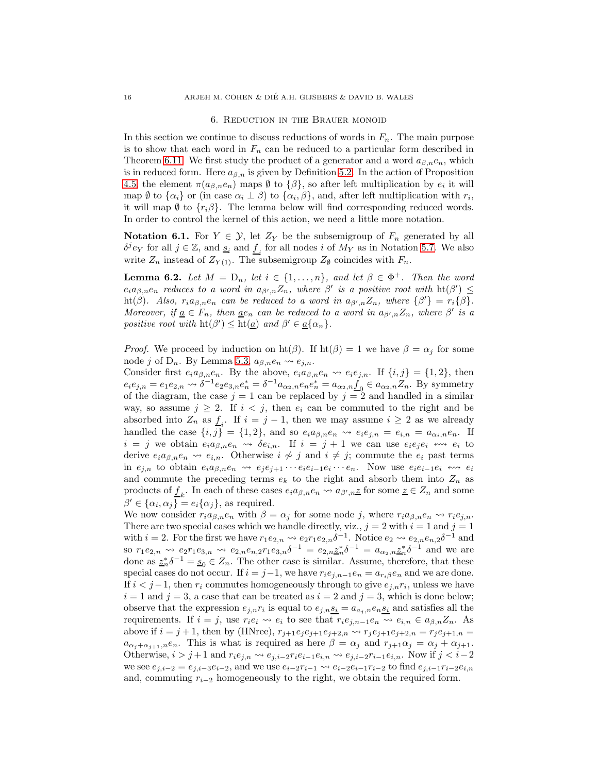#### 6. Reduction in the Brauer monoid

<span id="page-15-0"></span>In this section we continue to discuss reductions of words in  $F_n$ . The main purpose is to show that each word in  $F_n$  can be reduced to a particular form described in Theorem [6.11.](#page-20-0) We first study the product of a generator and a word  $a_{\beta,n}e_n$ , which is in reduced form. Here  $a_{\beta,n}$  is given by Definition [5.2.](#page-10-0) In the action of Proposition [4.5,](#page-8-2) the element  $\pi(a_{\beta,n}e_n)$  maps  $\emptyset$  to  $\{\beta\}$ , so after left multiplication by  $e_i$  it will map  $\emptyset$  to  $\{\alpha_i\}$  or (in case  $\alpha_i \perp \beta$ ) to  $\{\alpha_i, \beta\}$ , and, after left multiplication with  $r_i$ , it will map  $\emptyset$  to  $\{r_i\beta\}$ . The lemma below will find corresponding reduced words. In order to control the kernel of this action, we need a little more notation.

<span id="page-15-1"></span>**Notation 6.1.** For  $Y \in \mathcal{Y}$ , let  $Z_Y$  be the subsemigroup of  $F_n$  generated by all  $\delta^j e_Y$  for all  $j \in \mathbb{Z}$ , and  $\underline{s}_i$  and  $\underline{f}_i$  for all nodes i of  $M_Y$  as in Notation [5.7.](#page-13-0) We also write  $Z_n$  instead of  $Z_{Y(1)}$ . The subsemigroup  $Z_{\emptyset}$  coincides with  $F_n$ .

<span id="page-15-2"></span>**Lemma 6.2.** Let  $M = D_n$ , let  $i \in \{1, ..., n\}$ , and let  $\beta \in \Phi^+$ . Then the word  $e_i a_{\beta,n} e_n$  reduces to a word in  $a_{\beta',n} Z_n$ , where  $\beta'$  is a positive root with  $\text{ht}(\beta') \leq$ ht( $\beta$ ). Also,  $r_i a_{\beta,n} e_n$  can be reduced to a word in  $a_{\beta',n} Z_n$ , where  $\{\beta'\} = r_i {\{\beta\}}$ . Moreover, if  $\underline{a} \in F_n$ , then  $\underline{a}e_n$  can be reduced to a word in  $a_{\beta',n}Z_n$ , where  $\beta'$  is a positive root with  $\mathrm{ht}(\beta') \leq \mathrm{ht}(\underline{a})$  and  $\beta' \in \underline{a}\{\alpha_n\}.$ 

*Proof.* We proceed by induction on  $\text{ht}(\beta)$ . If  $\text{ht}(\beta) = 1$  we have  $\beta = \alpha_i$  for some node j of D<sub>n</sub>. By Lemma [5.3,](#page-10-1)  $a_{\beta,n}e_n \rightsquigarrow e_{j,n}$ .

Consider first  $e_i a_{\beta,n} e_n$ . By the above,  $e_i a_{\beta,n} e_n \leadsto e_i e_{j,n}$ . If  $\{i,j\} = \{1,2\}$ , then  $e_i e_{j,n} = e_1 e_{2,n} \leadsto \delta^{-1} e_2 e_{3,n} e_n^* = \delta^{-1} a_{\alpha_2, n} e_n e_n^* = a_{\alpha_2, n} \underline{f}_0 \in a_{\alpha_2, n} Z_n$ . By symmetry of the diagram, the case  $j = 1$  can be replaced by  $j = 2$  and handled in a similar way, so assume  $j \geq 2$ . If  $i < j$ , then  $e_i$  can be commuted to the right and be absorbed into  $Z_n$  as  $\underline{f}_i$ . If  $i = j - 1$ , then we may assume  $i \geq 2$  as we already handled the case  $\{i, j\} = \{1, 2\}$ , and so  $e_i a_{\beta,n} e_n \rightsquigarrow e_i e_{j,n} = e_{i,n} = a_{\alpha_i,n} e_n$ . If  $i = j$  we obtain  $e_i a_{\beta,n} e_n \leadsto \delta e_{i,n}$ . If  $i = j + 1$  we can use  $e_i e_j e_i \leadsto e_i$  to derive  $e_i a_{\beta,n} e_n \leadsto e_{i,n}$ . Otherwise  $i \not\sim j$  and  $i \not\equiv j$ ; commute the  $e_i$  past terms in  $e_{j,n}$  to obtain  $e_i a_{\beta,n} e_n \leadsto e_j e_{j+1} \cdots e_i e_{i-1} e_i \cdots e_n$ . Now use  $e_i e_{i-1} e_i \leftrightarrow e_i$ and commute the preceding terms  $e_k$  to the right and absorb them into  $Z_n$  as products of  $\underline{f}_k$ . In each of these cases  $e_i a_{\beta,n} e_n \leadsto a_{\beta',n} \underline{z}$  for some  $\underline{z} \in Z_n$  and some  $\beta' \in {\alpha_i, \alpha_j} = e_i {\alpha_j}$ , as required.

We now consider  $r_i a_{\beta,n} e_n$  with  $\beta = \alpha_j$  for some node j, where  $r_i a_{\beta,n} e_n \leadsto r_i e_{j,n}$ . There are two special cases which we handle directly, viz.,  $j = 2$  with  $i = 1$  and  $j = 1$ with  $i = 2$ . For the first we have  $r_1e_{2,n} \rightsquigarrow e_2r_1e_{2,n}\delta^{-1}$ . Notice  $e_2 \rightsquigarrow e_{2,n}e_{n,2}\delta^{-1}$  and so  $r_1e_{2,n} \rightsquigarrow e_2r_1e_{3,n} \rightsquigarrow e_{2,n}e_{n,2}r_1e_{3,n}\delta^{-1} = e_{2,n}\underline{z}_n^*\delta^{-1} = a_{\alpha_2,n}\underline{z}_n^*\delta^{-1}$  and we are done as  $\underline{z}_n^*\delta^{-1} = \underline{s}_0 \in Z_n$ . The other case is similar. Assume, therefore, that these special cases do not occur. If  $i = j-1$ , we have  $r_i e_{j,n-1} e_n = a_{r_i} \beta e_n$  and we are done. If  $i < j-1$ , then  $r_i$  commutes homogeneously through to give  $e_{j,n}r_i$ , unless we have  $i = 1$  and  $j = 3$ , a case that can be treated as  $i = 2$  and  $j = 3$ , which is done below; observe that the expression  $e_{j,n}r_i$  is equal to  $e_{j,n} s_i = a_{a_j,n} e_n s_i$  and satisfies all the requirements. If  $i = j$ , use  $r_i e_i \leadsto e_i$  to see that  $r_i e_{j,n-1} e_n \leadsto e_{i,n} \in a_{\beta,n} Z_n$ . As above if  $i = j + 1$ , then by (HNree),  $r_{j+1}e_j e_{j+1}e_{j+2,n} \rightarrow r_j e_{j+1}e_{j+2,n} = r_j e_{j+1,n} =$  $a_{\alpha_j+\alpha_{j+1},n}e_n$ . This is what is required as here  $\beta = \alpha_j$  and  $r_{j+1}\alpha_j = \alpha_j + \alpha_{j+1}$ . Otherwise,  $i > j+1$  and  $r_i e_{j,n} \leadsto e_{j,i-2} r_i e_{i-1} e_{i,n} \leadsto e_{j,i-2} r_{i-1} e_{i,n}$ . Now if  $j < i-2$ we see  $e_{i,i-2} = e_{i,i-3}e_{i-2}$ , and we use  $e_{i-2}r_{i-1} \rightarrow e_{i-2}e_{i-1}r_{i-2}$  to find  $e_{i,i-1}r_{i-2}e_{i,n}$ and, commuting  $r_{i-2}$  homogeneously to the right, we obtain the required form.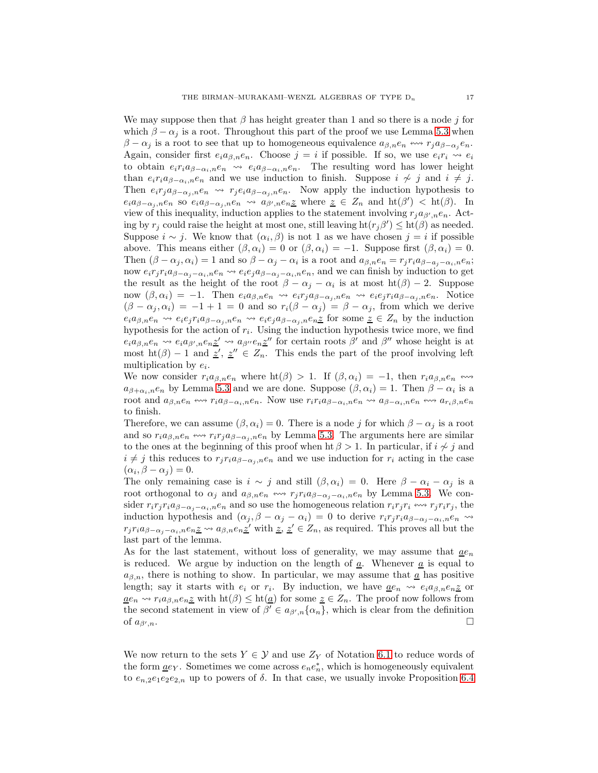We may suppose then that  $\beta$  has height greater than 1 and so there is a node j for which  $\beta - \alpha_j$  is a root. Throughout this part of the proof we use Lemma [5.3](#page-10-1) when  $\beta - \alpha_j$  is a root to see that up to homogeneous equivalence  $a_{\beta,n}e_n \leftrightarrow r_j a_{\beta-\alpha_j}e_n$ . Again, consider first  $e_i a_{\beta,n} e_n$ . Choose  $j = i$  if possible. If so, we use  $e_i r_i \leadsto e_i$ to obtain  $e_i r_i a_{\beta-\alpha_i,n} e_n \leadsto e_i a_{\beta-\alpha_i,n} e_n$ . The resulting word has lower height than  $e_i r_i a_{\beta-\alpha_i,n} e_n$  and we use induction to finish. Suppose  $i \nsim j$  and  $i \neq j$ . Then  $e_i r_j a_{\beta-\alpha_j,n} e_n \leadsto r_j e_i a_{\beta-\alpha_j,n} e_n$ . Now apply the induction hypothesis to  $e_i a_{\beta-\alpha_j,n} e_n$  so  $e_i a_{\beta-\alpha_j,n} e_n \leadsto a_{\beta',n} e_n$  where  $\underline{z} \in Z_n$  and  $\mathrm{ht}(\beta') < \mathrm{ht}(\beta)$ . In view of this inequality, induction applies to the statement involving  $r_j a_{\beta',n} e_n$ . Acting by  $r_j$  could raise the height at most one, still leaving  $\text{ht}(r_j\beta') \leq \text{ht}(\beta)$  as needed. Suppose  $i \sim j$ . We know that  $(\alpha_i, \beta)$  is not 1 as we have chosen  $j = i$  if possible above. This means either  $(\beta, \alpha_i) = 0$  or  $(\beta, \alpha_i) = -1$ . Suppose first  $(\beta, \alpha_i) = 0$ . Then  $(\beta - \alpha_j, \alpha_i) = 1$  and so  $\beta - \alpha_j - \alpha_i$  is a root and  $a_{\beta,n}e_n = r_jr_ia_{\beta-a_j-\alpha_i,n}e_n$ ; now  $e_i r_j r_i a_{\beta-\alpha_j-\alpha_i,n} e_n \leadsto e_i e_j a_{\beta-\alpha_j-\alpha_i,n} e_n$ , and we can finish by induction to get the result as the height of the root  $\beta - \alpha_j - \alpha_i$  is at most  $\text{ht}(\beta) - 2$ . Suppose now  $(\beta, \alpha_i) = -1$ . Then  $e_i a_{\beta,n} e_n \leadsto e_i r_j a_{\beta-\alpha_i,n} e_n \leadsto e_i e_j r_i a_{\beta-\alpha_i,n} e_n$ . Notice  $(\beta - \alpha_j, \alpha_i) = -1 + 1 = 0$  and so  $r_i(\beta - \alpha_j) = \beta - \alpha_j$ , from which we derive  $e_i a_{\beta,n} e_n \leadsto e_i e_j r_i a_{\beta-\alpha_j,n} e_n \leadsto e_i e_j a_{\beta-\alpha_j,n} e_n$  for some  $\underline{z} \in Z_n$  by the induction hypothesis for the action of  $r_i$ . Using the induction hypothesis twice more, we find  $e_i a_{\beta,n} e_n \leadsto e_i a_{\beta',n} e_n \underline{z'} \leadsto a_{\beta''} e_n \underline{z''}$  for certain roots  $\beta'$  and  $\beta''$  whose height is at most ht( $\beta$ ) – 1 and  $z'$ ,  $z'' \in Z_n$ . This ends the part of the proof involving left multiplication by  $e_i$ .

We now consider  $r_i a_{\beta,n} e_n$  where  $ht(\beta) > 1$ . If  $(\beta, \alpha_i) = -1$ , then  $r_i a_{\beta,n} e_n \leftrightarrow$  $a_{\beta+\alpha_i,n}e_n$  by Lemma [5.3](#page-10-1) and we are done. Suppose  $(\beta,\alpha_i)=1$ . Then  $\beta-\alpha_i$  is a root and  $a_{\beta,n}e_n \leftrightarrow r_i a_{\beta-\alpha_i,n}e_n$ . Now use  $r_i r_i a_{\beta-\alpha_i,n}e_n \leftrightarrow a_{\beta-\alpha_i,n}e_n \leftrightarrow a_{r_i\beta,n}e_n$ to finish.

Therefore, we can assume  $(\beta, \alpha_i) = 0$ . There is a node j for which  $\beta - \alpha_i$  is a root and so  $r_i a_{\beta,n} e_n \leftrightarrow r_i r_j a_{\beta-\alpha_i,n} e_n$  by Lemma [5.3.](#page-10-1) The arguments here are similar to the ones at the beginning of this proof when ht  $\beta > 1$ . In particular, if  $i \nsim j$  and  $i \neq j$  this reduces to  $r_j r_i a_{\beta-\alpha_j,n} e_n$  and we use induction for  $r_i$  acting in the case  $(\alpha_i, \beta - \alpha_j) = 0.$ 

The only remaining case is  $i \sim j$  and still  $(\beta, \alpha_i) = 0$ . Here  $\beta - \alpha_i - \alpha_j$  is a root orthogonal to  $\alpha_j$  and  $a_{\beta,n}e_n \leftrightarrow r_j r_i a_{\beta-\alpha_j-\alpha_i,n}e_n$  by Lemma [5.3.](#page-10-1) We consider  $r_i r_j r_i a_{\beta-\alpha_i-\alpha_i,n} e_n$  and so use the homogeneous relation  $r_i r_j r_i \leftrightarrow r_j r_i r_j$ , the induction hypothesis and  $(\alpha_j, \beta - \alpha_j - \alpha_i) = 0$  to derive  $r_i r_j r_i a_{\beta-\alpha_j-\alpha_i,n} e_n \rightsquigarrow$  $r_j r_i a_{\beta-\alpha_j-\alpha_i,n} e_{n} \leq \cdots a_{\beta,n} e_{n} \leq'$  with  $z, z' \in Z_n$ , as required. This proves all but the last part of the lemma.

As for the last statement, without loss of generality, we may assume that  $\underline{ae}_n$ is reduced. We argue by induction on the length of  $\underline{a}$ . Whenever  $\underline{a}$  is equal to  $a_{\beta,n}$ , there is nothing to show. In particular, we may assume that  $\underline{a}$  has positive length; say it starts with  $e_i$  or  $r_i$ . By induction, we have  $\underline{a}e_n \rightsquigarrow e_i a_{\beta,n} e_n \underline{z}$  or  $\underline{a}e_n \leadsto r_ia_{\beta,n}e_n\underline{z}$  with  $\mathrm{ht}(\beta) \leq \mathrm{ht}(\underline{a})$  for some  $\underline{z} \in Z_n$ . The proof now follows from the second statement in view of  $\beta' \in a_{\beta',n} \{\alpha_n\}$ , which is clear from the definition of  $a_{\beta',n}$ .  $\Box$ 

We now return to the sets  $Y \in \mathcal{Y}$  and use  $Z_Y$  of Notation [6.1](#page-15-1) to reduce words of the form  $\underline{a}e_Y$ . Sometimes we come across  $e_ne_n^*$ , which is homogeneously equivalent to  $e_{n,2}e_1e_2e_2\ldots$  up to powers of  $\delta$ . In that case, we usually invoke Proposition [6.4](#page-17-1)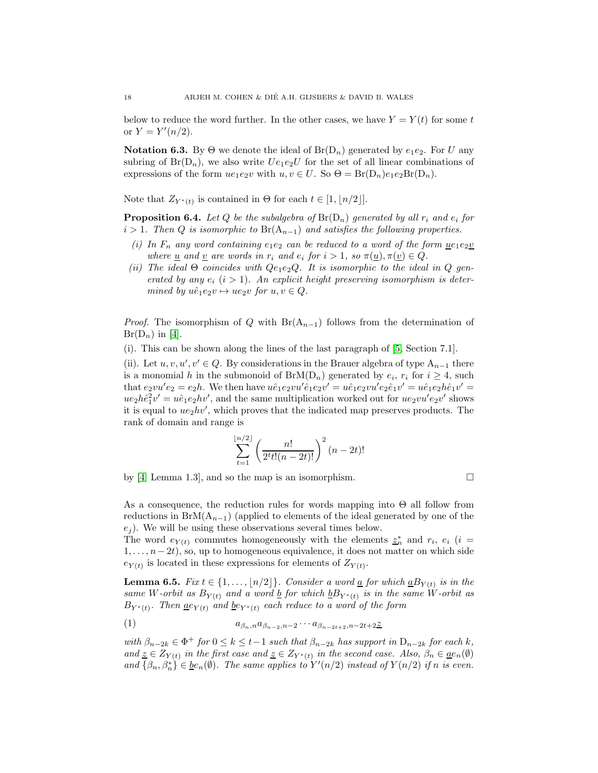below to reduce the word further. In the other cases, we have  $Y = Y(t)$  for some t or  $Y = Y'(n/2)$ .

<span id="page-17-0"></span>**Notation 6.3.** By  $\Theta$  we denote the ideal of  $Br(D_n)$  generated by  $e_1e_2$ . For U any subring of  $Br(D_n)$ , we also write  $Ue_1e_2U$  for the set of all linear combinations of expressions of the form  $ue_1e_2v$  with  $u, v \in U$ . So  $\Theta = Br(D_n)e_1e_2Br(D_n)$ .

Note that  $Z_{Y^*(t)}$  is contained in  $\Theta$  for each  $t \in [1, \lfloor n/2 \rfloor].$ 

<span id="page-17-1"></span>**Proposition 6.4.** Let Q be the subalgebra of  $Br(D_n)$  generated by all  $r_i$  and  $e_i$  for  $i > 1$ . Then Q is isomorphic to Br(A<sub>n-1</sub>) and satisfies the following properties.

- (i) In  $F_n$  any word containing  $e_1e_2$  can be reduced to a word of the form  $u e_1 e_2 v$ where <u>u</u> and <u>v</u> are words in  $r_i$  and  $e_i$  for  $i > 1$ , so  $\pi(\underline{u}), \pi(\underline{v}) \in Q$ .
- (ii) The ideal  $\Theta$  coincides with  $Qe_1e_2Q$ . It is isomorphic to the ideal in Q generated by any  $e_i$   $(i > 1)$ . An explicit height preserving isomorphism is determined by  $u\hat{e}_1e_2v \mapsto ue_2v$  for  $u, v \in Q$ .

*Proof.* The isomorphism of Q with  $Br(A_{n-1})$  follows from the determination of  $Br(D_n)$  in [\[4\]](#page-30-8).

(i). This can be shown along the lines of the last paragraph of [\[5,](#page-30-4) Section 7.1].

(ii). Let  $u, v, u', v' \in Q$ . By considerations in the Brauer algebra of type  $A_{n-1}$  there is a monomial h in the submonoid of  $BrM(D_n)$  generated by  $e_i$ ,  $r_i$  for  $i \geq 4$ , such that  $e_2vu'e_2 = e_2h$ . We then have  $u\hat{e}_1e_2vu'\hat{e}_1e_2v' = u\hat{e}_1e_2vu'e_2\hat{e}_1v' = u\hat{e}_1e_2h\hat{e}_1v' =$  $ue_2h\hat{e}_1^2v' = u\hat{e}_1e_2hv'$ , and the same multiplication worked out for  $ue_2vu'e_2v'$  shows it is equal to  $ue_2hv'$ , which proves that the indicated map preserves products. The rank of domain and range is

$$
\sum_{t=1}^{\lfloor n/2 \rfloor} \left( \frac{n!}{2^t t! (n-2t)!} \right)^2 (n-2t)!
$$

by [\[4,](#page-30-8) Lemma 1.3], and so the map is an isomorphism.  $\Box$ 

As a consequence, the reduction rules for words mapping into  $\Theta$  all follow from reductions in BrM( $A_{n-1}$ ) (applied to elements of the ideal generated by one of the  $e_i$ ). We will be using these observations several times below.

The word  $e_{Y(t)}$  commutes homogeneously with the elements  $z_n^*$  and  $r_i$ ,  $e_i$  (i =  $1, \ldots, n-2t$ , so, up to homogeneous equivalence, it does not matter on which side  $e_{Y(t)}$  is located in these expressions for elements of  $Z_{Y(t)}$ .

<span id="page-17-2"></span>**Lemma 6.5.** Fix  $t \in \{1, ..., \lfloor n/2 \rfloor\}$ . Consider a word <u>a</u> for which  $\underline{a}B_{Y(t)}$  is in the same W-orbit as  $B_{Y(t)}$  and a word <u>b</u> for which  $bB_{Y^*(t)}$  is in the same W-orbit as  $B_{Y^*(t)}$ . Then  $\underline{ae}_{Y(t)}$  and  $\underline{be}_{Y^*(t)}$  each reduce to a word of the form

$$
(1) \qquad a_{\beta_n,n} a_{\beta_{n-2},n-2} \cdots a_{\beta_{n-2t+2},n-2t+2} \underline{z}
$$

with  $\beta_{n-2k} \in \Phi^+$  for  $0 \leq k \leq t-1$  such that  $\beta_{n-2k}$  has support in  $D_{n-2k}$  for each k, and  $\underline{z} \in Z_{Y(t)}$  in the first case and  $\underline{z} \in Z_{Y^*(t)}$  in the second case. Also,  $\beta_n \in \underline{ae}_n(\emptyset)$ and  $\{\beta_n, \beta_n^*\}\in \underline{be}_n(\emptyset)$ . The same applies to  $Y'(n/2)$  instead of  $Y(n/2)$  if n is even.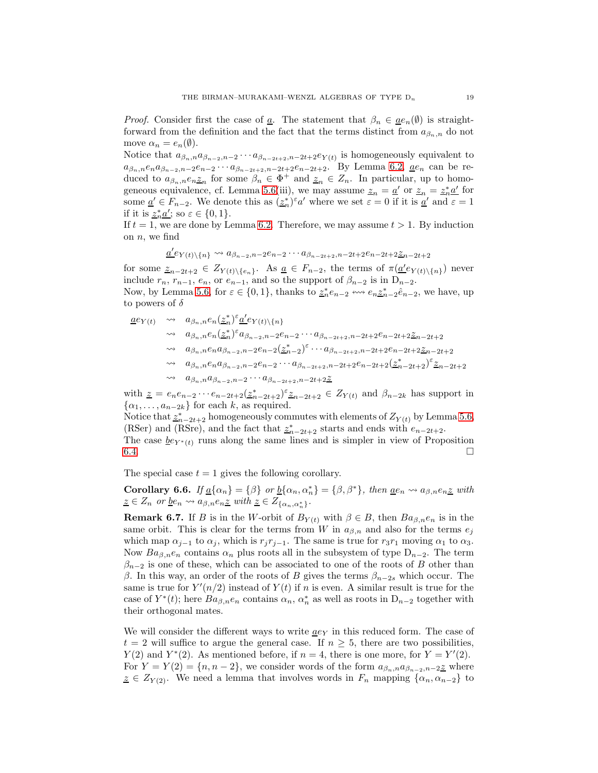*Proof.* Consider first the case of <u>a</u>. The statement that  $\beta_n \in \underline{ae}_n(\emptyset)$  is straightforward from the definition and the fact that the terms distinct from  $a_{\beta_n,n}$  do not move  $\alpha_n = e_n(\emptyset)$ .

Notice that  $a_{\beta_n,n}a_{\beta_{n-2},n-2}\cdots a_{\beta_{n-2}+2,n-2}e_{Y(t)}$  is homogeneously equivalent to  $a_{\beta_n,n}e_na_{\beta_{n-2},n-2}e_{n-2}\cdots a_{\beta_{n-2}+2,n-2}e_{n-2}e_{n-2}$ . By Lemma [6.2,](#page-15-2) <u>a</u>e<sub>n</sub> can be reduced to  $a_{\beta_n,n}e_n\leq_n$  for some  $\beta_n \in \Phi^+$  and  $\underline{z}_n \in \mathbb{Z}_n$ . In particular, up to homo-geneous equivalence, cf. Lemma [5.6\(](#page-12-0)iii), we may assume  $\underline{z}_n = \underline{a}'$  or  $\underline{z}_n = \underline{z}_n^* \underline{a}'$  for some  $\underline{a}' \in F_{n-2}$ . We denote this as  $(\underline{z}_n^*)^{\varepsilon} a'$  where we set  $\varepsilon = 0$  if it is  $\underline{a}'$  and  $\varepsilon = 1$ if it is  $\underline{z}_n^* \underline{a}'$ ; so  $\varepsilon \in \{0, 1\}$ .

If  $t = 1$ , we are done by Lemma [6.2.](#page-15-2) Therefore, we may assume  $t > 1$ . By induction on  $n$ , we find

$$
\underline{a}^{\prime}e_{Y(t)\setminus\{n\}} \leadsto a_{\beta_{n-2},n-2}e_{n-2}\cdots a_{\beta_{n-2}+2}, n-2t+2}e_{n-2t+2}\underline{z}_{n-2t+2}
$$

for some  $\underline{z}_{n-2t+2} \in Z_{Y(t)\setminus\{e_n\}}$ . As  $\underline{a} \in F_{n-2}$ , the terms of  $\pi(\underline{a}^{\prime}e_{Y(t)\setminus\{n\}})$  never include  $r_n$ ,  $r_{n-1}$ ,  $e_n$ , or  $e_{n-1}$ , and so the support of  $\beta_{n-2}$  is in  $D_{n-2}$ .

Now, by Lemma [5.6,](#page-12-0) for  $\varepsilon \in \{0, 1\}$ , thanks to  $\underline{z}_n^* e_{n-2} \leftrightarrow e_n \underline{z}_{n-2}^* \hat{e}_{n-2}$ , we have, up to powers of  $\delta$ 

$$
\begin{array}{lll}\n\underline{a}e_{Y(t)} & \leadsto & a_{\beta_n,n}e_n(\underline{z}_n^*)^{\varepsilon}\underline{a}^{\prime}e_{Y(t)}\backslash\{n\} \\
& \leadsto & a_{\beta_n,n}e_n(\underline{z}_n^*)^{\varepsilon}a_{\beta_{n-2},n-2}e_{n-2}\cdots a_{\beta_{n-2}t+2,n-2}t+2}e_{n-2t+2}\underline{z}_{n-2t+2} \\
& \leadsto & a_{\beta_n,n}e_n a_{\beta_{n-2},n-2}e_{n-2}(\underline{z}_n^*)^{\varepsilon}\cdots a_{\beta_{n-2}t+2,n-2}t+2}e_{n-2t+2}\underline{z}_{n-2t+2} \\
& \leadsto & a_{\beta_n,n}e_n a_{\beta_{n-2},n-2}e_{n-2}\cdots a_{\beta_{n-2}t+2,n-2}t+2}e_{n-2t+2}(\underline{z}_n^*-2t+2})^{\varepsilon}\underline{z}_{n-2t+2} \\
& \leadsto & a_{\beta_n,n}a_{\beta_{n-2},n-2}\cdots a_{\beta_{n-2}t+2,n-2}t+2}\underline{z}\n\end{array}
$$

with  $\underline{z} = e_n e_{n-2} \cdots e_{n-2t+2} (\underline{z}_{n-2t+2}^*)^{\varepsilon} \underline{z}_{n-2t+2} \in Z_{Y(t)}$  and  $\beta_{n-2k}$  has support in  $\{\alpha_1, \ldots, \alpha_{n-2k}\}\$  for each k, as required.

Notice that  $\underline{z}_{n-2t+2}^*$  homogeneously commutes with elements of  $Z_{Y(t)}$  by Lemma [5.6,](#page-12-0) (RSer) and (RSre), and the fact that  $\underline{z}_{n-2t+2}^*$  starts and ends with  $e_{n-2t+2}$ .

The case  $\underline{b}e_{Y^*(t)}$  runs along the same lines and is simpler in view of Proposition 6.4.  $6.4.$ 

The special case  $t = 1$  gives the following corollary.

<span id="page-18-0"></span>Corollary 6.6. If  $\underline{a}\{\alpha_n\} = \{\beta\}$  or  $\underline{b}\{\alpha_n, \alpha_n^*\} = \{\beta, \beta^*\}$ , then  $\underline{a}e_n \leadsto a_{\beta,n}e_n\underline{z}$  with  $\underline{z} \in Z_n$  or  $\underline{b}e_n \leadsto a_{\beta,n}e_n\underline{z}$  with  $\underline{z} \in Z_{\{\alpha_n,\alpha_n\}}$ .

**Remark 6.7.** If B is in the W-orbit of  $B_{Y(t)}$  with  $\beta \in B$ , then  $Ba_{\beta,n}e_n$  is in the same orbit. This is clear for the terms from W in  $a_{\beta,n}$  and also for the terms  $e_i$ which map  $\alpha_{j-1}$  to  $\alpha_j$ , which is  $r_j r_{j-1}$ . The same is true for  $r_3 r_1$  moving  $\alpha_1$  to  $\alpha_3$ . Now  $Ba_{\beta,n}e_n$  contains  $\alpha_n$  plus roots all in the subsystem of type  $D_{n-2}$ . The term  $\beta_{n-2}$  is one of these, which can be associated to one of the roots of B other than β. In this way, an order of the roots of B gives the terms  $β_{n-2s}$  which occur. The same is true for  $Y'(n/2)$  instead of  $Y(t)$  if n is even. A similar result is true for the case of  $Y^*(t)$ ; here  $Ba_{\beta,n}e_n$  contains  $\alpha_n$ ,  $\alpha_n^*$  as well as roots in  $D_{n-2}$  together with their orthogonal mates.

We will consider the different ways to write  $\underline{a}e_Y$  in this reduced form. The case of  $t = 2$  will suffice to argue the general case. If  $n \geq 5$ , there are two possibilities,  $Y(2)$  and  $Y^*(2)$ . As mentioned before, if  $n = 4$ , there is one more, for  $Y = Y'(2)$ . For  $Y = Y(2) = \{n, n-2\}$ , we consider words of the form  $a_{\beta_n,n}a_{\beta_{n-2},n-2}$  where  $\underline{z} \in Z_{Y(2)}$ . We need a lemma that involves words in  $F_n$  mapping  $\{\alpha_n, \alpha_{n-2}\}\)$  to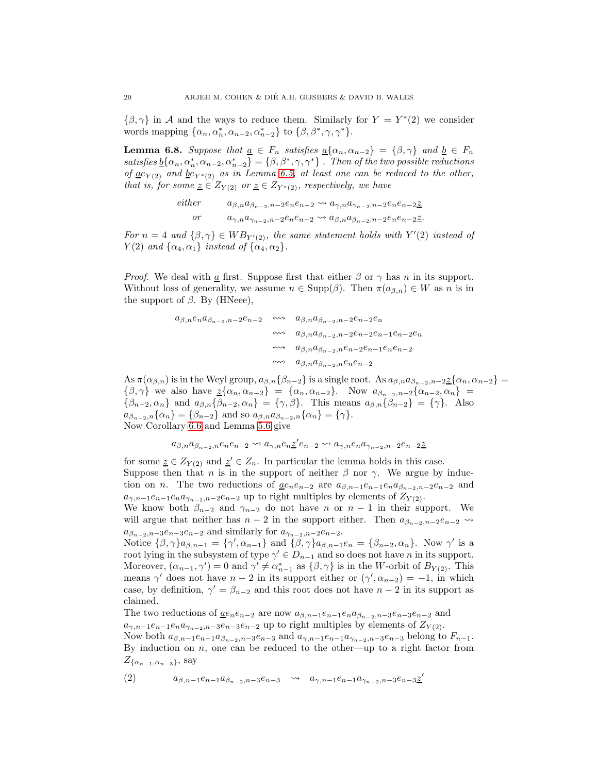$\{\beta, \gamma\}$  in A and the ways to reduce them. Similarly for  $Y = Y^*(2)$  we consider words mapping  $\{\alpha_n, \alpha_n^*, \alpha_{n-2}, \alpha_{n-2}^*\}$  to  $\{\beta, \beta^*, \gamma, \gamma^*\}.$ 

<span id="page-19-1"></span>**Lemma 6.8.** Suppose that  $\underline{a} \in F_n$  satisfies  $\underline{a}\{\alpha_n, \alpha_{n-2}\} = \{\beta, \gamma\}$  and  $\underline{b} \in F_n$ satisfies  $\underline{b}\{\alpha_n,\alpha^*_n,\alpha_{n-2},\alpha^*_{n-2}\} = \{\beta,\beta^*,\gamma,\gamma^*\}$ . Then of the two possible reductions of  $\underline{a}e_{Y(2)}$  and  $\underline{b}e_{Y^*(2)}$  as in Lemma [6.5,](#page-17-2) at least one can be reduced to the other, that is, for some  $\underline{z} \in Z_{Y(2)}$  or  $\underline{z} \in Z_{Y^*(2)}$ , respectively, we have

$$
either \qquad a_{\beta,n}a_{\beta_{n-2},n-2}e_ne_{n-2} \rightsquigarrow a_{\gamma,n}a_{\gamma_{n-2},n-2}e_ne_{n-2} \underline{\mathcal{Z}}
$$
  
or 
$$
a_{\gamma,n}a_{\gamma_{n-2},n-2}e_ne_{n-2} \rightsquigarrow a_{\beta,n}a_{\beta_{n-2},n-2}e_ne_{n-2} \underline{\mathcal{Z}}.
$$

For  $n = 4$  and  $\{\beta, \gamma\} \in WB_{Y'(2)}$ , the same statement holds with  $Y'(2)$  instead of  $Y(2)$  and  $\{\alpha_4, \alpha_1\}$  instead of  $\{\alpha_4, \alpha_2\}.$ 

*Proof.* We deal with  $\underline{a}$  first. Suppose first that either  $\beta$  or  $\gamma$  has n in its support. Without loss of generality, we assume  $n \in \text{Supp}(\beta)$ . Then  $\pi(a_{\beta,n}) \in W$  as n is in the support of  $\beta$ . By (HNeee),

$$
\begin{array}{cccc} a_{\beta,n}e_na_{\beta_{n-2},n-2}e_{n-2} & \stackrel{\scriptstyle\leftrightarrow\leftrightarrow}{} & a_{\beta,n}a_{\beta_{n-2},n-2}e_{n-2}e_n \\ & \stackrel{\scriptstyle\leftrightarrow\leftrightarrow}{} & a_{\beta,n}a_{\beta_{n-2},n-2}e_{n-2}e_{n-1}e_{n-2}e_n \\ & \stackrel{\scriptstyle\leftrightarrow\leftrightarrow}{} & a_{\beta,n}a_{\beta_{n-2},n}e_{n-2}e_{n-1}e_ne_{n-2} \\ & \stackrel{\scriptstyle\leftrightarrow\leftrightarrow}{} & a_{\beta,n}a_{\beta_{n-2},n}e_ne_{n-2} \end{array}
$$

As  $\pi(\alpha_{\beta,n})$  is in the Weyl group,  $a_{\beta,n}\{\beta_{n-2}\}\$ is a single root. As  $a_{\beta,n}a_{\beta_{n-2},n-2}\leq \{\alpha_n,\alpha_{n-2}\}$  ${\beta, \gamma}$  we also have  $\underline{z}\{\alpha_n, \alpha_{n-2}\} = \{\alpha_n, \alpha_{n-2}\}.$  Now  $a_{\beta_{n-2}, n-2}\{\alpha_{n-2}, \alpha_n\} =$  $\{\beta_{n-2}, \alpha_n\}$  and  $a_{\beta,n}\{\beta_{n-2}, \alpha_n\} = \{\gamma, \beta\}$ . This means  $a_{\beta,n}\{\beta_{n-2}\} = \{\gamma\}$ . Also  $a_{\beta_{n-2},n}\{\alpha_n\} = \{\beta_{n-2}\}\$ and so  $a_{\beta,n}a_{\beta_{n-2},n}\{\alpha_n\} = \{\gamma\}.$ Now Corollary [6.6](#page-18-0) and Lemma [5.6](#page-12-0) give

$$
a_{\beta,n}a_{\beta_{n-2},n}e_ne_{n-2} \rightsquigarrow a_{\gamma,n}e_n\underline{z}'e_{n-2} \rightsquigarrow a_{\gamma,n}e_na_{\gamma_{n-2},n-2}e_{n-2}\underline{z}
$$

for some  $\underline{z} \in Z_{Y(2)}$  and  $\underline{z}' \in Z_n$ . In particular the lemma holds in this case. Suppose then that n is in the support of neither  $\beta$  nor  $\gamma$ . We argue by induction on *n*. The two reductions of <u>a</u> $e_n e_{n-2}$  are  $a_{\beta,n-1}e_{n-1}e_n a_{\beta_{n-2},n-2}e_{n-2}$  and  $a_{\gamma,n-1}e_{n-1}e_na_{\gamma_{n-2},n-2}e_{n-2}$  up to right multiples by elements of  $Z_{Y(2)}$ . We know both  $\beta_{n-2}$  and  $\gamma_{n-2}$  do not have n or  $n-1$  in their support. We will argue that neither has  $n-2$  in the support either. Then  $a_{\beta_{n-2},n-2}e_{n-2} \rightarrow$ 

 $a_{\beta_{n-2},n-3}e_{n-3}e_{n-2}$  and similarly for  $a_{\gamma_{n-2},n-2}e_{n-2}$ .

Notice  $\{\beta, \gamma\}_{a_{\beta,n-1}} = \{\gamma', \alpha_{n-1}\}\$ and  $\{\beta, \gamma\}_{a_{\beta,n-1}e_n} = \{\beta_{n-2}, \alpha_n\}$ . Now  $\gamma'$  is a root lying in the subsystem of type  $\gamma' \in D_{n-1}$  and so does not have n in its support. Moreover,  $(\alpha_{n-1}, \gamma') = 0$  and  $\gamma' \neq \alpha_{n-1}^*$  as  $\{\beta, \gamma\}$  is in the W-orbit of  $B_{Y(2)}$ . This means  $\gamma'$  does not have  $n-2$  in its support either or  $(\gamma', \alpha_{n-2}) = -1$ , in which case, by definition,  $\gamma' = \beta_{n-2}$  and this root does not have  $n-2$  in its support as claimed.

The two reductions of  $\underline{a}e_ne_{n-2}$  are now  $a_{\beta,n-1}e_{n-1}e_na_{\beta_{n-2},n-3}e_{n-3}e_{n-2}$  and  $a_{\gamma,n-1}e_{n-1}e_na_{\gamma_{n-2},n-3}e_{n-3}e_{n-2}$  up to right multiples by elements of  $Z_{Y(2)}$ . Now both  $a_{\beta,n-1}e_{n-1}a_{\beta_{n-2},n-3}e_{n-3}$  and  $a_{\gamma,n-1}e_{n-1}a_{\gamma_{n-2},n-3}e_{n-3}$  belong to  $F_{n-1}$ . By induction on  $n$ , one can be reduced to the other—up to a right factor from  $Z_{\{\alpha_{n-1},\alpha_{n-3}\}}$ , say

<span id="page-19-0"></span>
$$
(2) \qquad a_{\beta,n-1}e_{n-1}a_{\beta_{n-2},n-3}e_{n-3} \quad \leadsto \quad a_{\gamma,n-1}e_{n-1}a_{\gamma_{n-2},n-3}e_{n-3}\underline{z}'
$$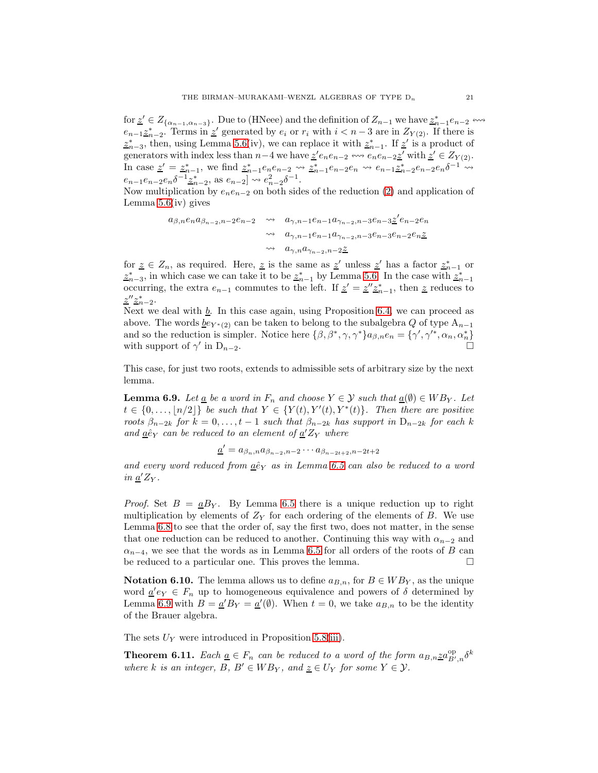for  $\underline{z}' \in Z_{\{\alpha_{n-1}, \alpha_{n-3}\}}$ . Due to (HNeee) and the definition of  $Z_{n-1}$  we have  $\underline{z}_{n-1}^* e_{n-2} \leftrightarrow$  $e_{n-1}\underline{z}_{n-2}^*$ . Terms in  $\underline{z}'$  generated by  $e_i$  or  $r_i$  with  $i < n-3$  are in  $Z_{Y(2)}$ . If there is  $z_{n-3}^*$ , then, using Lemma [5.6\(](#page-12-0)iv), we can replace it with  $z_{n-1}^*$ . If  $z'$  is a product of generators with index less than  $n-4$  we have  $\underline{z}'e_ne_{n-2} \leftrightarrow e_ne_{n-2}\underline{z}'$  with  $\underline{z}' \in Z_{Y(2)}$ . In case  $\underline{z}' = \underline{z}_{n-1}^*$ , we find  $\underline{z}_{n-1}^* e_n e_{n-2} \rightsquigarrow \underline{z}_{n-1}^* e_{n-2} e_n \rightsquigarrow e_{n-1} \underline{z}_{n-2}^* e_{n-2} e_n \delta^{-1} \rightsquigarrow$  $e_{n-1}e_{n-2}e_n\delta^{-1}\underline{z}_{n-2}^*$ , as  $e_{n-2}$   $\rightarrow$   $e_{n-2}^2\delta^{-1}$ .

Now multiplication by  $e_ne_{n-2}$  on both sides of the reduction [\(2\)](#page-19-0) and application of Lemma  $5.6(iv)$  gives

$$
a_{\beta,n}e_na_{\beta_{n-2},n-2}e_{n-2} \longrightarrow a_{\gamma,n-1}e_{n-1}a_{\gamma_{n-2},n-3}e_{n-3}\underline{z}'e_{n-2}e_n
$$
  

$$
\longrightarrow a_{\gamma,n-1}e_{n-1}a_{\gamma_{n-2},n-3}e_{n-3}e_{n-2}e_{n}\underline{z}
$$
  

$$
\longrightarrow a_{\gamma,n}a_{\gamma_{n-2},n-2}\underline{z}
$$

for  $\underline{z} \in Z_n$ , as required. Here,  $\underline{z}$  is the same as  $\underline{z}'$  unless  $\underline{z}'$  has a factor  $\underline{z}_{n-1}^*$  or  $z_{n-3}^*$ , in which case we can take it to be  $z_{n-1}^*$  by Lemma [5.6.](#page-12-0) In the case with  $z_{n-1}^*$ occurring, the extra  $e_{n-1}$  commutes to the left. If  $\underline{z}' = \underline{z}'' \underline{z}_{n-1}^*$ , then  $\underline{z}$  reduces to  $z^{\prime\prime}$  $\overline{z}_{n-2}^*$ .

Next we deal with  $\underline{b}$ . In this case again, using Proposition [6.4,](#page-17-1) we can proceed as above. The words  $be_{Y*(2)}$  can be taken to belong to the subalgebra Q of type  $A_{n-1}$ and so the reduction is simpler. Notice here  $\{\beta, \beta^*, \gamma, \gamma^*\}$  $a_{\beta,n}e_n = \{\gamma', \gamma'^*, \alpha_n, \alpha_n^*\}$ with support of  $\gamma'$  in D<sub>n−2</sub>.

This case, for just two roots, extends to admissible sets of arbitrary size by the next lemma.

<span id="page-20-1"></span>**Lemma 6.9.** Let  $\underline{a}$  be a word in  $F_n$  and choose  $Y \in \mathcal{Y}$  such that  $\underline{a}(\emptyset) \in WB_Y$ . Let  $t \in \{0, \ldots, \lfloor n/2 \rfloor\}$  be such that  $Y \in \{Y(t), Y'(t), Y^*(t)\}.$  Then there are positive roots  $\beta_{n-2k}$  for  $k = 0, \ldots, t-1$  such that  $\beta_{n-2k}$  has support in  $D_{n-2k}$  for each k and  $\underline{a} \hat{e}_Y$  can be reduced to an element of  $\underline{a}'Z_Y$  where

$$
\underline{a}' = a_{\beta_n, n} a_{\beta_{n-2}, n-2} \cdots a_{\beta_{n-2t+2}, n-2t+2}
$$

and every word reduced from  $a\hat{e}_Y$  as in Lemma [6.5](#page-17-2) can also be reduced to a word in  $\underline{a}'Z_Y$ .

*Proof.* Set  $B = \underline{a}B_Y$ . By Lemma [6.5](#page-17-2) there is a unique reduction up to right multiplication by elements of  $Z<sub>Y</sub>$  for each ordering of the elements of B. We use Lemma [6.8](#page-19-1) to see that the order of, say the first two, does not matter, in the sense that one reduction can be reduced to another. Continuing this way with  $\alpha_{n-2}$  and  $\alpha_{n-4}$ , we see that the words as in Lemma [6.5](#page-17-2) for all orders of the roots of B can be reduced to a particular one. This proves the lemma.

<span id="page-20-2"></span>**Notation 6.10.** The lemma allows us to define  $a_{B,n}$ , for  $B \in WB<sub>Y</sub>$ , as the unique word  $\underline{a}'e_Y \in F_n$  up to homogeneous equivalence and powers of  $\delta$  determined by Lemma [6.9](#page-20-1) with  $B = \underline{a}'B_Y = \underline{a}'(\emptyset)$ . When  $t = 0$ , we take  $a_{B,n}$  to be the identity of the Brauer algebra.

The sets  $U_Y$  were introduced in Proposition [5.8](#page-14-0)[\(iii\)](#page-14-1).

<span id="page-20-0"></span>**Theorem 6.11.** Each  $\underline{a} \in F_n$  can be reduced to a word of the form  $a_{B,n} \underline{z} a_{B',n}^{\text{op}} \delta^k$ where k is an integer, B,  $B' \in WB_Y$ , and  $\underline{z} \in U_Y$  for some  $Y \in \mathcal{Y}$ .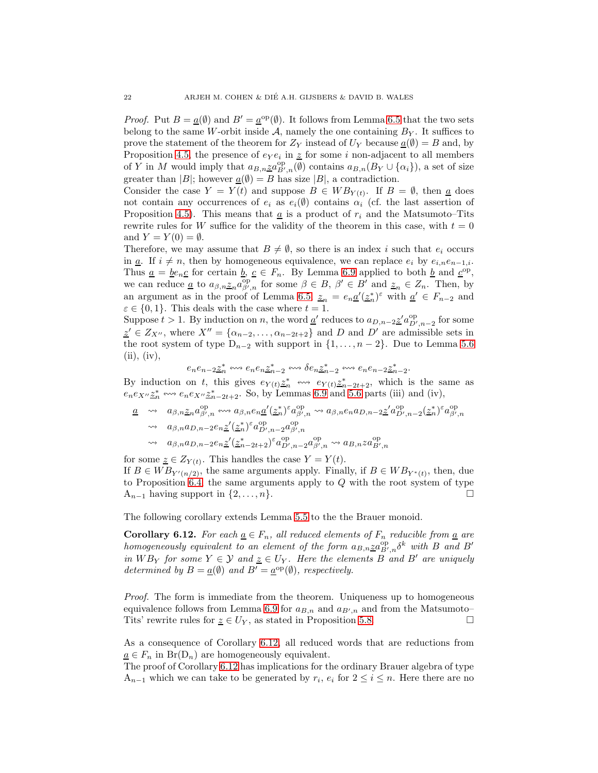*Proof.* Put  $B = \underline{a}(\emptyset)$  and  $B' = \underline{a}^{\text{op}}(\emptyset)$ . It follows from Lemma [6.5](#page-17-2) that the two sets belong to the same W-orbit inside  $A$ , namely the one containing  $B_Y$ . It suffices to prove the statement of the theorem for  $Z_Y$  instead of  $U_Y$  because  $\underline{a}(\emptyset) = B$  and, by Proposition [4.5,](#page-8-2) the presence of  $e_Y e_i$  in  $\underline{z}$  for some i non-adjacent to all members of Y in M would imply that  $a_{B,n}\underline{z}a_{B',n}^{op}(\emptyset)$  contains  $a_{B,n}(B_Y \cup {\alpha_i})$ , a set of size greater than |B|; however  $\underline{a}(\emptyset) = B$  has size |B|, a contradiction.

Consider the case  $Y = Y(t)$  and suppose  $B \in WB_{Y(t)}$ . If  $B = \emptyset$ , then  $\underline{a}$  does not contain any occurrences of  $e_i$  as  $e_i(\emptyset)$  contains  $\alpha_i$  (cf. the last assertion of Proposition [4.5\)](#page-8-2). This means that  $\underline{a}$  is a product of  $r_i$  and the Matsumoto–Tits rewrite rules for W suffice for the validity of the theorem in this case, with  $t = 0$ and  $Y = Y(0) = \emptyset$ .

Therefore, we may assume that  $B \neq \emptyset$ , so there is an index i such that  $e_i$  occurs in  $\underline{a}$ . If  $i \neq n$ , then by homogeneous equivalence, we can replace  $e_i$  by  $e_{i,n}e_{n-1,i}$ . Thus  $\underline{a} = \underline{be}_n \underline{c}$  for certain  $\underline{b}$ ,  $\underline{c} \in F_n$ . By Lemma [6.9](#page-20-1) applied to both  $\underline{b}$  and  $\underline{c}^{\text{op}}$ , we can reduce <u>a</u> to  $a_{\beta,n} \underline{z}_n a_{\beta',n}^{\text{op}}$  for some  $\beta \in B, \beta' \in B'$  and  $\underline{z}_n \in Z_n$ . Then, by an argument as in the proof of Lemma [6.5,](#page-17-2)  $z_n = e_n \underline{a}'(\underline{z}_n^*)^{\varepsilon}$  with  $\underline{a}' \in F_{n-2}$  and  $\varepsilon \in \{0,1\}$ . This deals with the case where  $t = 1$ .

Suppose  $t > 1$ . By induction on n, the word  $\underline{a}'$  reduces to  $a_{D,n-2}\underline{z}'a_{D',n-2}^{op}$  for some  $\underline{z}' \in Z_{X''}$ , where  $X'' = {\alpha_{n-2}, \ldots, \alpha_{n-2t+2}}$  and D and D' are admissible sets in the root system of type  $D_{n-2}$  with support in  $\{1,\ldots,n-2\}$ . Due to Lemma [5.6](#page-12-0)  $(ii), (iv),$ 

$$
e_ne_{n-2}\underline{z}_n^* \iff e_ne_n\underline{z}_{n-2}^* \iff \delta e_n\underline{z}_{n-2}^* \iff e_ne_{n-2}\underline{z}_{n-2}^*.
$$

By induction on t, this gives  $e_{Y(t)}\underline{z}_n^* \iff e_{Y(t)}\underline{z}_{n-2t+2}^*$ , which is the same as  $e_n e_{X''} \stackrel{\sim}{\sim} e_n e_{X''} \stackrel{\sim}{\sim} \frac{1}{2}e_{n-2t+2}$ . So, by Lemmas [6.9](#page-20-1) and [5.6](#page-12-0) parts (iii) and (iv),

$$
\underline{a} \quad \leadsto \quad a_{\beta,n} \underline{z}_n a_{\beta',n}^{\text{op}} \longleftrightarrow \quad a_{\beta,n} e_n \underline{a'} (\underline{z}_n^*)^{\varepsilon} a_{\beta',n}^{\text{op}} \longleftrightarrow \quad a_{\beta,n} e_n a_{D,n-2} \underline{z'} a_{D',n-2}^{\text{op}} (\underline{z}_n^*)^{\varepsilon} a_{\beta',n}^{\text{op}} \\
\leadsto \quad a_{\beta,n} a_{D,n-2} e_n \underline{z'} (\underline{z}_n^*)^{\varepsilon} a_{D',n-2}^{\text{op}} a_{\beta',n}^{\text{op}} \\
\leadsto \quad a_{\beta,n} a_{D,n-2} e_n \underline{z'} (\underline{z}_n^* - 2t + 2)^{\varepsilon} a_{D',n-2}^{\text{op}} a_{\beta',n}^{\text{op}} \leftrightarrow a_{B,n} z a_{B',n}^{\text{op}} \\
\leadsto \quad a_{\beta,n} a_{D,n-2} e_n \underline{z'} (\underline{z}_n^* - 2t + 2)^{\varepsilon} a_{D',n-2}^{\text{op}} a_{\beta',n}^{\text{op}} \leftrightarrow a_{B,n} z a_{B',n}^{\text{op}}
$$

for some  $\underline{z} \in Z_{Y(t)}$ . This handles the case  $Y = Y(t)$ . If  $B \in WB_{Y'(n/2)}$ , the same arguments apply. Finally, if  $B \in WB_{Y^*(t)}$ , then, due to Proposition [6.4,](#page-17-1) the same arguments apply to  $Q$  with the root system of type  $A_{n-1}$  having support in  $\{2, \ldots, n\}.$ 

The following corollary extends Lemma [5.5](#page-11-0) to the the Brauer monoid.

<span id="page-21-0"></span>**Corollary 6.12.** For each  $\underline{a} \in F_n$ , all reduced elements of  $F_n$  reducible from  $\underline{a}$  are homogeneously equivalent to an element of the form  $a_{B,n}\underline{z}a_{B',n}^{\text{op}}\delta^k$  with B and B' in  $WB_Y$  for some  $Y \in \mathcal{Y}$  and  $z \in U_Y$ . Here the elements B and B' are uniquely determined by  $B = \underline{a}(\emptyset)$  and  $B' = \underline{a}^{\text{op}}(\emptyset)$ , respectively.

Proof. The form is immediate from the theorem. Uniqueness up to homogeneous equivalence follows from Lemma [6.9](#page-20-1) for  $a_{B,n}$  and  $a_{B',n}$  and from the Matsumoto-Tits' rewrite rules for  $\underline{z} \in U_Y$ , as stated in Proposition [5.8.](#page-14-0)

As a consequence of Corollary [6.12,](#page-21-0) all reduced words that are reductions from  $a \in F_n$  in  $Br(D_n)$  are homogeneously equivalent.

The proof of Corollary [6.12](#page-21-0) has implications for the ordinary Brauer algebra of type  $A_{n-1}$  which we can take to be generated by  $r_i$ ,  $e_i$  for  $2 \le i \le n$ . Here there are no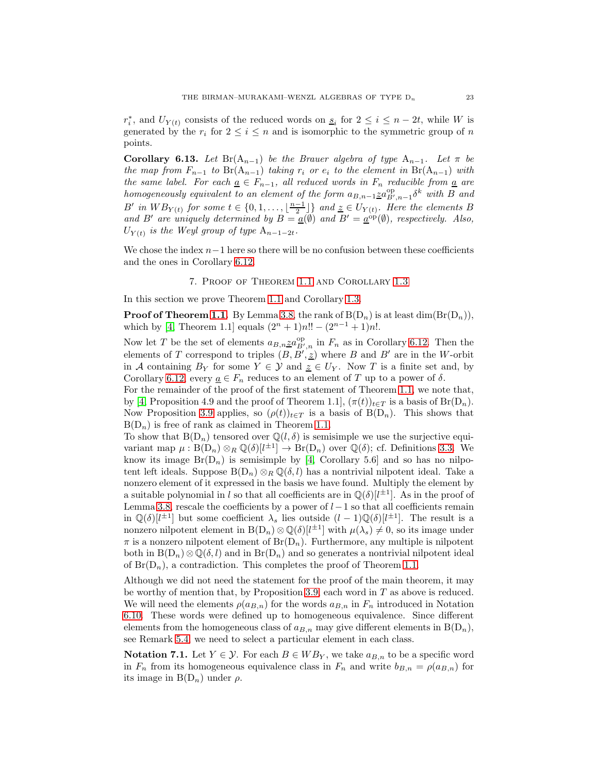$r_i^*$ , and  $U_{Y(t)}$  consists of the reduced words on  $\underline{s}_i$  for  $2 \leq i \leq n-2t$ , while W is generated by the  $r_i$  for  $2 \leq i \leq n$  and is isomorphic to the symmetric group of n points.

<span id="page-22-2"></span>**Corollary 6.13.** Let  $\text{Br}(\mathbf{A}_{n-1})$  be the Brauer algebra of type  $\mathbf{A}_{n-1}$ . Let  $\pi$  be the map from  $F_{n-1}$  to  $Br(A_{n-1})$  taking  $r_i$  or  $e_i$  to the element in  $Br(A_{n-1})$  with the same label. For each  $\underline{a} \in F_{n-1}$ , all reduced words in  $F_n$  reducible from  $\underline{a}$  are homogeneously equivalent to an element of the form  $a_{B,n-1} \underline{z} a_{B',n-1}^{\text{op}} \delta^k$  with B and B' in  $WB_{Y(t)}$  for some  $t \in \{0, 1, \ldots, \lfloor \frac{n-1}{2} \rfloor \}$  and  $\underline{z} \in U_{Y(t)}$ . Here the elements B and B' are uniquely determined by  $B = \underline{a}(\emptyset)$  and  $B' = \underline{a}^{\text{op}}(\emptyset)$ , respectively. Also,  $U_{Y(t)}$  is the Weyl group of type  $A_{n-1-2t}$ .

<span id="page-22-0"></span>We chose the index  $n-1$  here so there will be no confusion between these coefficients and the ones in Corollary [6.12.](#page-21-0)

7. Proof of Theorem [1.1](#page-1-0) and Corollary [1.3](#page-1-1)

In this section we prove Theorem [1.1](#page-1-0) and Corollary [1.3.](#page-1-1)

**Proof of Theorem [1.1.](#page-1-0)** By Lemma [3.8,](#page-6-1) the rank of  $B(D_n)$  is at least dim $(Br(D_n))$ , which by [\[4,](#page-30-8) Theorem 1.1] equals  $(2^{n} + 1)n!! - (2^{n-1} + 1)n!$ .

Now let T be the set of elements  $a_{B,n} \underline{z} a_{B',n}^{\text{op}}$  in  $F_n$  as in Corollary [6.12.](#page-21-0) Then the elements of T correspond to triples  $(B, B', \underline{z})$  where B and B' are in the W-orbit in A containing  $B_Y$  for some  $Y \in \mathcal{Y}$  and  $z \in U_Y$ . Now T is a finite set and, by Corollary [6.12,](#page-21-0) every  $\underline{a} \in F_n$  reduces to an element of T up to a power of  $\delta$ .

For the remainder of the proof of the first statement of Theorem [1.1,](#page-1-0) we note that, by [\[4,](#page-30-8) Proposition 4.9 and the proof of Theorem 1.1],  $(\pi(t))_{t\in T}$  is a basis of Br(D<sub>n</sub>). Now Proposition [3.9](#page-6-2) applies, so  $(\rho(t))_{t\in T}$  is a basis of B(D<sub>n</sub>). This shows that  $B(D_n)$  is free of rank as claimed in Theorem [1.1.](#page-1-0)

To show that  $B(D_n)$  tensored over  $\mathbb{Q}(l, \delta)$  is semisimple we use the surjective equivariant map  $\mu : B(D_n) \otimes_R \mathbb{Q}(\delta)[l^{\pm 1}] \to Br(D_n)$  over  $\mathbb{Q}(\delta)$ ; cf. Definitions [3.3.](#page-4-0) We know its image  $Br(D_n)$  is semisimple by [\[4,](#page-30-8) Corollary 5.6] and so has no nilpotent left ideals. Suppose  $B(D_n) \otimes_R \mathbb{Q}(\delta, l)$  has a nontrivial nilpotent ideal. Take a nonzero element of it expressed in the basis we have found. Multiply the element by a suitable polynomial in l so that all coefficients are in  $\mathbb{Q}(\delta)[l^{\pm 1}]$ . As in the proof of Lemma [3.8,](#page-6-1) rescale the coefficients by a power of  $l-1$  so that all coefficients remain in  $\mathbb{Q}(\delta)[l^{\pm 1}]$  but some coefficient  $\lambda_s$  lies outside  $(l-1)\mathbb{Q}(\delta)[l^{\pm 1}]$ . The result is a nonzero nilpotent element in  $B(D_n) \otimes \mathbb{Q}(\delta)[l^{\pm 1}]$  with  $\mu(\lambda_s) \neq 0$ , so its image under  $\pi$  is a nonzero nilpotent element of  $Br(D_n)$ . Furthermore, any multiple is nilpotent both in  $B(D_n) \otimes \mathbb{Q}(\delta, l)$  and in  $Br(D_n)$  and so generates a nontrivial nilpotent ideal of  $Br(D_n)$ , a contradiction. This completes the proof of Theorem [1.1.](#page-1-0)

Although we did not need the statement for the proof of the main theorem, it may be worthy of mention that, by Proposition [3.9,](#page-6-2) each word in  $T$  as above is reduced. We will need the elements  $\rho(a_{B,n})$  for the words  $a_{B,n}$  in  $F_n$  introduced in Notation [6.10.](#page-20-2) These words were defined up to homogeneous equivalence. Since different elements from the homogeneous class of  $a_{B,n}$  may give different elements in  $B(D_n)$ , see Remark [5.4,](#page-11-1) we need to select a particular element in each class.

<span id="page-22-1"></span>**Notation 7.1.** Let  $Y \in \mathcal{Y}$ . For each  $B \in WB_Y$ , we take  $a_{B,n}$  to be a specific word in  $F_n$  from its homogeneous equivalence class in  $F_n$  and write  $b_{B,n} = \rho(a_{B,n})$  for its image in  $B(D_n)$  under  $\rho$ .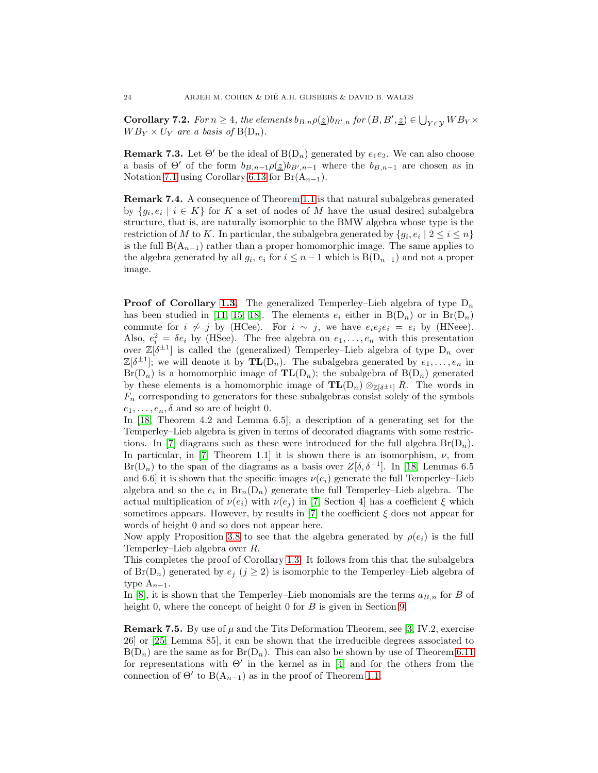<span id="page-23-2"></span>**Corollary 7.2.** For  $n \geq 4$ , the elements  $b_{B,n}\rho(\underline{z})b_{B',n}$  for  $(B, B', \underline{z}) \in \bigcup_{Y \in \mathcal{Y}} WB_Y \times$  $WB_Y \times U_Y$  are a basis of  $B(D_n)$ .

<span id="page-23-1"></span>**Remark 7.3.** Let  $\Theta'$  be the ideal of  $B(D_n)$  generated by  $e_1e_2$ . We can also choose a basis of  $\Theta'$  of the form  $b_{B,n-1}\rho(z)b_{B',n-1}$  where the  $b_{B,n-1}$  are chosen as in Notation [7.1](#page-22-1) using Corollary [6.13](#page-22-2) for Br $(A_{n-1})$ .

Remark 7.4. A consequence of Theorem [1.1](#page-1-0) is that natural subalgebras generated by  $\{g_i, e_i \mid i \in K\}$  for K a set of nodes of M have the usual desired subalgebra structure, that is, are naturally isomorphic to the BMW algebra whose type is the restriction of M to K. In particular, the subalgebra generated by  $\{g_i, e_i \mid 2 \leq i \leq n\}$ is the full  $B(A_{n-1})$  rather than a proper homomorphic image. The same applies to the algebra generated by all  $g_i$ ,  $e_i$  for  $i \leq n-1$  which is  $B(D_{n-1})$  and not a proper image.

**Proof of Corollary [1.3.](#page-1-1)** The generalized Temperley–Lieb algebra of type  $D_n$ has been studied in [\[11,](#page-30-1) [15,](#page-31-3) [18\]](#page-31-5). The elements  $e_i$  either in  $B(D_n)$  or in  $Br(D_n)$ commute for  $i \nsim j$  by (HCee). For  $i \nsim j$ , we have  $e_i e_j e_i = e_i$  by (HNeee). Also,  $e_i^2 = \delta e_i$  by (HSee). The free algebra on  $e_1, \ldots, e_n$  with this presentation over  $\mathbb{Z}[\delta^{\pm 1}]$  is called the (generalized) Temperley-Lieb algebra of type  $D_n$  over  $\mathbb{Z}[\delta^{\pm 1}]$ ; we will denote it by  $\mathbf{TL}(D_n)$ . The subalgebra generated by  $e_1, \ldots, e_n$  in  $Br(D_n)$  is a homomorphic image of  $\mathbf{TL}(D_n)$ ; the subalgebra of  $B(D_n)$  generated by these elements is a homomorphic image of  $TL(D_n) \otimes_{\mathbb{Z}[\delta^{\pm 1}]} R$ . The words in  $F_n$  corresponding to generators for these subalgebras consist solely of the symbols  $e_1, \ldots, e_n, \delta$  and so are of height 0.

In [\[18,](#page-31-5) Theorem 4.2 and Lemma 6.5], a description of a generating set for the Temperley–Lieb algebra is given in terms of decorated diagrams with some restric-tions. In [\[7\]](#page-30-6) diagrams such as these were introduced for the full algebra  $Br(D_n)$ . In particular, in [\[7,](#page-30-6) Theorem 1.1] it is shown there is an isomorphism,  $\nu$ , from  $Br(D_n)$  to the span of the diagrams as a basis over  $Z[\delta, \delta^{-1}]$ . In [\[18,](#page-31-5) Lemmas 6.5] and 6.6] it is shown that the specific images  $\nu(e_i)$  generate the full Temperley–Lieb algebra and so the  $e_i$  in  $\text{Br}_n(D_n)$  generate the full Temperley–Lieb algebra. The actual multiplication of  $\nu(e_i)$  with  $\nu(e_i)$  in [\[7,](#page-30-6) Section 4] has a coefficient  $\xi$  which sometimes appears. However, by results in [\[7\]](#page-30-6) the coefficient  $\xi$  does not appear for words of height 0 and so does not appear here.

Now apply Proposition [3.8](#page-6-1) to see that the algebra generated by  $\rho(e_i)$  is the full Temperley–Lieb algebra over R.

This completes the proof of Corollary [1.3.](#page-1-1) It follows from this that the subalgebra of  $Br(D_n)$  generated by  $e_i$   $(j \geq 2)$  is isomorphic to the Temperley–Lieb algebra of type  $A_{n-1}$ .

In [\[8\]](#page-30-7), it is shown that the Temperley–Lieb monomials are the terms  $a_{B,n}$  for B of height 0, where the concept of height 0 for B is given in Section [9.](#page-29-0)

<span id="page-23-0"></span>**Remark 7.5.** By use of  $\mu$  and the Tits Deformation Theorem, see [\[3,](#page-30-10) IV.2, exercise 26] or [\[25,](#page-31-14) Lemma 85], it can be shown that the irreducible degrees associated to  $B(D_n)$  are the same as for  $Br(D_n)$ . This can also be shown by use of Theorem [6.11](#page-20-0) for representations with  $\Theta'$  in the kernel as in [\[4\]](#page-30-8) and for the others from the connection of  $\Theta'$  to  $B(A_{n-1})$  as in the proof of Theorem [1.1.](#page-1-0)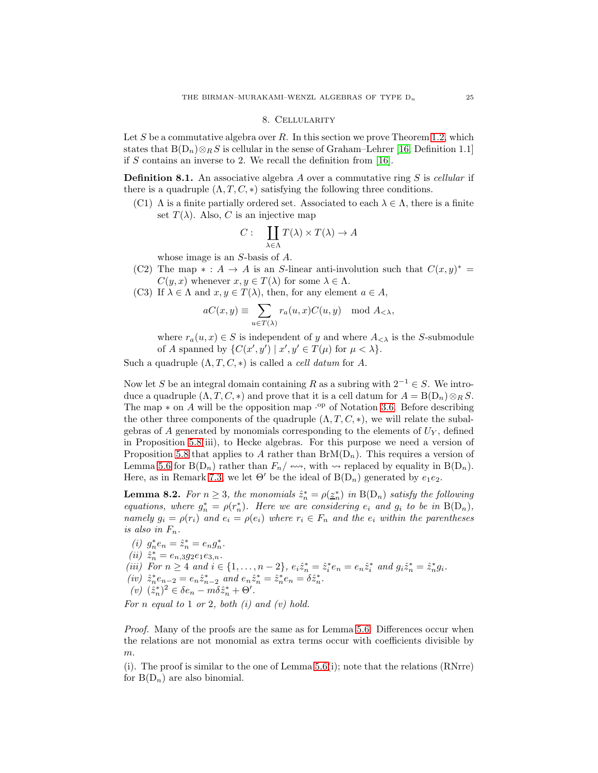#### 8. Cellularity

<span id="page-24-0"></span>Let  $S$  be a commutative algebra over  $R$ . In this section we prove Theorem [1.2,](#page-1-2) which states that  $B(D_n) \otimes_R S$  is cellular in the sense of Graham–Lehrer [\[16,](#page-31-8) Definition 1.1] if  $S$  contains an inverse to 2. We recall the definition from [\[16\]](#page-31-8).

**Definition 8.1.** An associative algebra A over a commutative ring S is cellular if there is a quadruple  $(\Lambda, T, C, *)$  satisfying the following three conditions.

(C1)  $\Lambda$  is a finite partially ordered set. Associated to each  $\lambda \in \Lambda$ , there is a finite set  $T(\lambda)$ . Also, C is an injective map

$$
C: \quad \coprod_{\lambda \in \Lambda} T(\lambda) \times T(\lambda) \to A
$$

whose image is an S-basis of A.

- (C2) The map  $* : A \to A$  is an S-linear anti-involution such that  $C(x, y)^* =$  $C(y, x)$  whenever  $x, y \in T(\lambda)$  for some  $\lambda \in \Lambda$ .
- (C3) If  $\lambda \in \Lambda$  and  $x, y \in T(\lambda)$ , then, for any element  $a \in A$ ,

$$
aC(x,y) \equiv \sum_{u \in T(\lambda)} r_a(u,x)C(u,y) \mod A_{< \lambda},
$$

where  $r_a(u, x) \in S$  is independent of y and where  $A_{\leq \lambda}$  is the S-submodule of A spanned by  $\{C(x', y') \mid x', y' \in T(\mu) \text{ for } \mu < \lambda\}.$ 

Such a quadruple  $(\Lambda, T, C, *)$  is called a *cell datum* for A.

Now let S be an integral domain containing R as a subring with  $2^{-1} \in S$ . We introduce a quadruple  $(\Lambda, T, C, *)$  and prove that it is a cell datum for  $A = B(D_n) \otimes_R S$ . The map  $*$  on A will be the opposition map  $\cdot^{\rm op}$  of Notation [3.6.](#page-6-3) Before describing the other three components of the quadruple  $(\Lambda, T, C, *)$ , we will relate the subalgebras of  $A$  generated by monomials corresponding to the elements of  $U_Y$ , defined in Proposition [5.8\(](#page-14-0)iii), to Hecke algebras. For this purpose we need a version of Proposition [5.8](#page-14-0) that applies to A rather than  $BrM(D_n)$ . This requires a version of Lemma [5.6](#page-12-0) for  $B(D_n)$  rather than  $F_n/\leftrightarrow\to$ , with  $\leftrightarrow$  replaced by equality in  $B(D_n)$ . Here, as in Remark [7.3,](#page-23-1) we let  $\Theta'$  be the ideal of  $B(D_n)$  generated by  $e_1e_2$ .

<span id="page-24-1"></span>**Lemma 8.2.** For  $n \geq 3$ , the monomials  $\hat{z}_n^* = \rho(\underline{z}_n^*)$  in  $B(D_n)$  satisfy the following equations, where  $g_n^* = \rho(r_n^*)$ . Here we are considering  $e_i$  and  $g_i$  to be in  $B(D_n)$ , namely  $g_i = \rho(r_i)$  and  $e_i = \rho(e_i)$  where  $r_i \in F_n$  and the  $e_i$  within the parentheses is also in  $F_n$ .

(*i*)  $g_n^* e_n = \hat{z}_n^* = e_n g_n^*.$ (*ii*)  $\hat{z}_n^* = e_{n,3}g_2e_1e_{3,n}.$ (iii) For  $n \geq 4$  and  $i \in \{1, ..., n-2\}$ ,  $e_i \hat{z}_n^* = \hat{z}_i^* e_n = e_n \hat{z}_i^*$  and  $g_i \hat{z}_n^* = \hat{z}_n^* g_i$ . (iv)  $\hat{z}_n^* e_{n-2} = e_n \hat{z}_{n-2}^*$  and  $e_n \hat{z}_n^* = \hat{z}_n^* e_n = \delta \hat{z}_n^*$ . (v)  $(\hat{z}_n^*)^2 \in \delta e_n - m \delta \hat{z}_n^* + \Theta'.$ 

For n equal to  $1$  or  $2$ , both  $(i)$  and  $(v)$  hold.

Proof. Many of the proofs are the same as for Lemma [5.6.](#page-12-0) Differences occur when the relations are not monomial as extra terms occur with coefficients divisible by m.

 $(i)$ . The proof is similar to the one of Lemma [5.6\(](#page-12-0)i); note that the relations (RNrre) for  $B(D_n)$  are also binomial.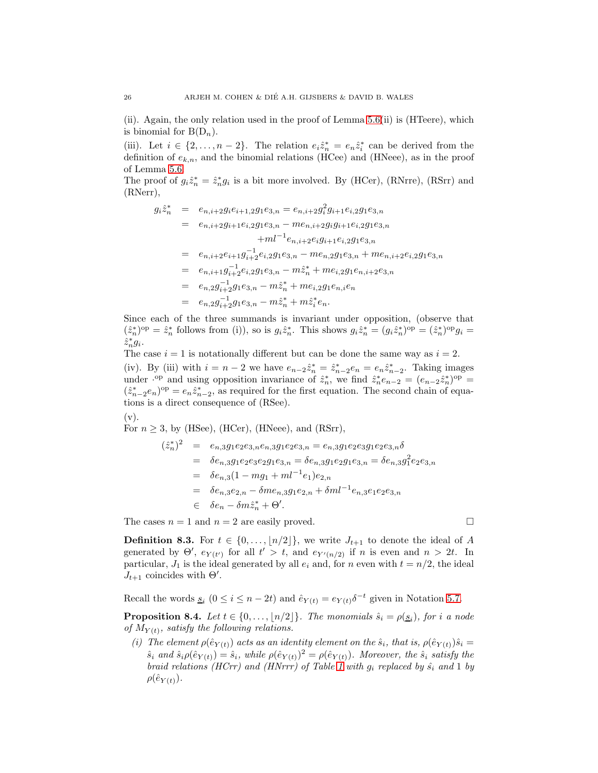(ii). Again, the only relation used in the proof of Lemma  $5.6(i)$  is (HTeere), which is binomial for  $B(D_n)$ .

(iii). Let  $i \in \{2, ..., n-2\}$ . The relation  $e_i \hat{z}_n^* = e_n \hat{z}_i^*$  can be derived from the definition of  $e_{k,n}$ , and the binomial relations (HCee) and (HNeee), as in the proof of Lemma [5.6.](#page-12-0)

The proof of  $g_i\hat{z}_n^* = \hat{z}_n^*g_i$  is a bit more involved. By (HCer), (RNrre), (RSrr) and (RNerr),

$$
g_i \hat{z}_n^* = e_{n,i+2} g_i e_{i+1,2} g_1 e_{3,n} = e_{n,i+2} g_i^2 g_{i+1} e_{i,2} g_1 e_{3,n}
$$
  
\n
$$
= e_{n,i+2} g_{i+1} e_{i,2} g_1 e_{3,n} - m e_{n,i+2} g_i g_{i+1} e_{i,2} g_1 e_{3,n}
$$
  
\n
$$
+ m l^{-1} e_{n,i+2} e_i g_{i+1} e_{i,2} g_1 e_{3,n}
$$
  
\n
$$
= e_{n,i+2} e_{i+1} g_{i+2}^{-1} e_{i,2} g_1 e_{3,n} - m e_{n,2} g_1 e_{3,n} + m e_{n,i+2} e_{i,2} g_1 e_{3,n}
$$
  
\n
$$
= e_{n,i+1} g_{i+2}^{-1} e_{i,2} g_1 e_{3,n} - m \hat{z}_n^* + m e_{i,2} g_1 e_{n,i+2} e_{3,n}
$$
  
\n
$$
= e_{n,2} g_{i+2}^{-1} g_1 e_{3,n} - m \hat{z}_n^* + m \hat{z}_i^* e_n.
$$
  
\n
$$
= e_{n,2} g_{i+2}^{-1} g_1 e_{3,n} - m \hat{z}_n^* + m \hat{z}_i^* e_n.
$$

Since each of the three summands is invariant under opposition, (observe that  $(\hat{z}_n^*)^{\mathrm{op}} = \hat{z}_n^*$  follows from (i)), so is  $g_i \hat{z}_n^*$ . This shows  $g_i \hat{z}_n^* = (g_i \hat{z}_n^*)^{\mathrm{op}} = (\hat{z}_n^*)^{\mathrm{op}} g_i =$  $\hat{z}_n^* g_i.$ 

The case  $i = 1$  is notationally different but can be done the same way as  $i = 2$ .

(iv). By (iii) with  $i = n - 2$  we have  $e_{n-2} \hat{z}_n^* = \hat{z}_{n-2}^* e_n = e_n \hat{z}_{n-2}^*$ . Taking images under  $\cdot^{\text{op}}$  and using opposition invariance of  $\hat{z}_n^*$ , we find  $\hat{z}_n^* e_{n-2} = (e_{n-2}\hat{z}_n^*)^{\text{op}}$  $(\hat{z}_{n-2}^* e_n)^{\text{op}} = e_n \hat{z}_{n-2}^*$ , as required for the first equation. The second chain of equations is a direct consequence of (RSee).

$$
(v).
$$

For  $n \geq 3$ , by (HSee), (HCer), (HNeee), and (RSrr),

$$
( \hat{z}_{n}^{*} )^{2} = e_{n,3}g_{1}e_{2}e_{3,n}e_{n,3}g_{1}e_{2}e_{3,n} = e_{n,3}g_{1}e_{2}e_{3}g_{1}e_{2}e_{3,n} \delta
$$
  
\n
$$
= \delta e_{n,3}g_{1}e_{2}e_{3}e_{2}g_{1}e_{3,n} = \delta e_{n,3}g_{1}e_{2}g_{1}e_{3,n} = \delta e_{n,3}g_{1}^{2}e_{2}e_{3,n}
$$
  
\n
$$
= \delta e_{n,3}(1 - mg_{1} + ml^{-1}e_{1})e_{2,n}
$$
  
\n
$$
= \delta e_{n,3}e_{2,n} - \delta me_{n,3}g_{1}e_{2,n} + \delta ml^{-1}e_{n,3}e_{1}e_{2}e_{3,n}
$$
  
\n
$$
\in \delta e_{n} - \delta m \hat{z}_{n}^{*} + \Theta'.
$$

The cases  $n = 1$  and  $n = 2$  are easily proved.

**Definition 8.3.** For  $t \in \{0, \ldots, \lfloor n/2 \rfloor\}$ , we write  $J_{t+1}$  to denote the ideal of A generated by  $\Theta'$ ,  $e_{Y(t')}$  for all  $t' > t$ , and  $e_{Y'(n/2)}$  if n is even and  $n > 2t$ . In particular,  $J_1$  is the ideal generated by all  $e_i$  and, for n even with  $t = n/2$ , the ideal  $J_{t+1}$  coincides with  $\Theta'$ .

Recall the words  $\underline{s}_i$   $(0 \le i \le n-2t)$  and  $\hat{e}_{Y(t)} = e_{Y(t)} \delta^{-t}$  given in Notation [5.7.](#page-13-0)

<span id="page-25-0"></span>**Proposition 8.4.** Let  $t \in \{0, \ldots, \lfloor n/2 \rfloor\}$ . The monomials  $\hat{s}_i = \rho(\underline{s}_i)$ , for i a node of  $M_{Y(t)}$ , satisfy the following relations.

(i) The element  $\rho(\hat{e}_{Y(t)})$  acts as an identity element on the  $\hat{s}_i$ , that is,  $\rho(\hat{e}_{Y(t)})\hat{s}_i =$  $\hat{s}_i$  and  $\hat{s}_i \rho(\hat{e}_{Y(t)}) = \hat{s}_i$ , while  $\rho(\hat{e}_{Y(t)})^2 = \rho(\hat{e}_{Y(t)})$ . Moreover, the  $\hat{s}_i$  satisfy the braid relations (HCrr) and (HNrrr) of Table [1](#page-3-0) with  $g_i$  replaced by  $\hat{s_i}$  and 1 by  $\rho(\hat{e}_{Y(t)})$ .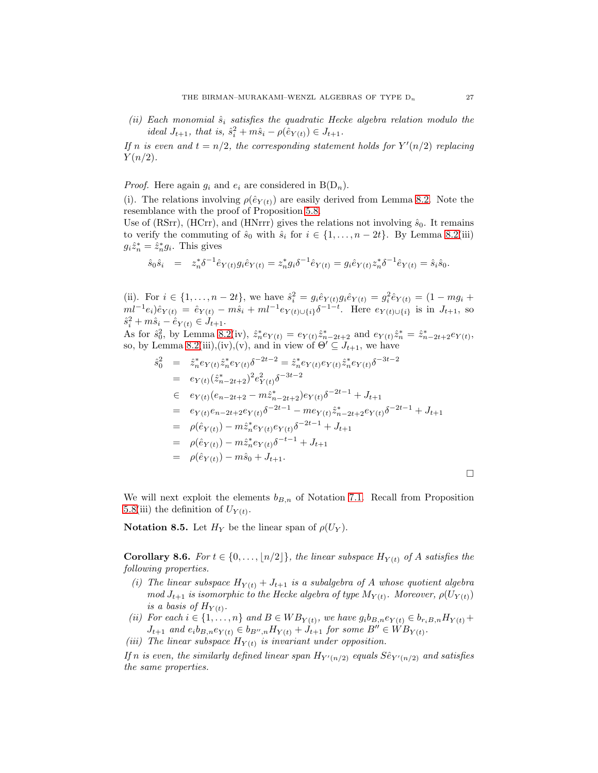(ii) Each monomial  $\hat{s}_i$  satisfies the quadratic Hecke algebra relation modulo the ideal  $J_{t+1}$ , that is,  $\hat{s}_i^2 + m\hat{s}_i - \rho(\hat{e}_{Y(t)}) \in J_{t+1}$ .

If n is even and  $t = n/2$ , the corresponding statement holds for  $Y'(n/2)$  replacing  $Y(n/2)$ .

*Proof.* Here again  $q_i$  and  $e_i$  are considered in  $B(D_n)$ .

(i). The relations involving  $\rho(\hat{e}_{Y(t)})$  are easily derived from Lemma [8.2.](#page-24-1) Note the resemblance with the proof of Proposition [5.8.](#page-14-0)

Use of (RSrr), (HCrr), and (HNrrr) gives the relations not involving  $\hat{s}_0$ . It remains to verify the commuting of  $\hat{s}_0$  with  $\hat{s}_i$  for  $i \in \{1, \ldots, n-2t\}$ . By Lemma [8.2\(](#page-24-1)iii)  $g_i \hat{z}_n^* = \hat{z}_n^* g_i$ . This gives

$$
\hat{s}_0 \hat{s}_i = z_n^* \delta^{-1} \hat{e}_{Y(t)} g_i \hat{e}_{Y(t)} = z_n^* g_i \delta^{-1} \hat{e}_{Y(t)} = g_i \hat{e}_{Y(t)} z_n^* \delta^{-1} \hat{e}_{Y(t)} = \hat{s}_i \hat{s}_0.
$$

(ii). For  $i \in \{1, ..., n-2t\}$ , we have  $\hat{s}_i^2 = g_i \hat{e}_{Y(t)} g_i \hat{e}_{Y(t)} = g_i^2 \hat{e}_{Y(t)} = (1 - mg_i +$  $ml^{-1}e_i)\hat{e}_{Y(t)} = \hat{e}_{Y(t)} - m\hat{s}_i + ml^{-1}e_{Y(t)\cup\{i\}}\delta^{-1-t}$ . Here  $e_{Y(t)\cup\{i\}}$  is in  $J_{t+1}$ , so  $\hat{s}_i^2 + m\hat{s}_i - \hat{e}_{Y(t)} \in J_{t+1}.$ 

As for  $\hat{s}_0^2$ , by Lemma [8.2\(](#page-24-1)iv),  $\hat{z}_n^* e_{Y(t)} = e_{Y(t)} \hat{z}_{n-2t+2}^*$  and  $e_{Y(t)} \hat{z}_n^* = \hat{z}_{n-2t+2}^* e_{Y(t)}$ , so, by Lemma [8.2\(](#page-24-1)iii),(iv),(v), and in view of  $\Theta' \subseteq J_{t+1}$ , we have

$$
\hat{s}_0^2 = \hat{z}_n^* e_{Y(t)} \hat{z}_n^* e_{Y(t)} \delta^{-2t-2} = \hat{z}_n^* e_{Y(t)} e_{Y(t)} \hat{z}_n^* e_{Y(t)} \delta^{-3t-2}
$$
\n
$$
= e_{Y(t)} (\hat{z}_{n-2t+2}^*)^2 e_{Y(t)}^2 \delta^{-3t-2}
$$
\n
$$
\in e_{Y(t)} (e_{n-2t+2} - m \hat{z}_{n-2t+2}^*) e_{Y(t)} \delta^{-2t-1} + J_{t+1}
$$
\n
$$
= e_{Y(t)} e_{n-2t+2} e_{Y(t)} \delta^{-2t-1} - m e_{Y(t)} \hat{z}_{n-2t+2}^* e_{Y(t)} \delta^{-2t-1} + J_{t+1}
$$
\n
$$
= \rho(\hat{e}_{Y(t)}) - m \hat{z}_n^* e_{Y(t)} e_{Y(t)} \delta^{-2t-1} + J_{t+1}
$$
\n
$$
= \rho(\hat{e}_{Y(t)}) - m \hat{z}_n^* e_{Y(t)} \delta^{-t-1} + J_{t+1}
$$
\n
$$
= \rho(\hat{e}_{Y(t)}) - m \hat{s}_0 + J_{t+1}.
$$

We will next exploit the elements  $b_{B,n}$  of Notation [7.1.](#page-22-1) Recall from Proposition [5.8\(](#page-14-0)iii) the definition of  $U_{Y(t)}$ .

**Notation 8.5.** Let  $H_Y$  be the linear span of  $\rho(U_Y)$ .

<span id="page-26-0"></span>Corollary 8.6. For  $t \in \{0, \ldots, \lfloor n/2 \rfloor\}$ , the linear subspace  $H_{Y(t)}$  of A satisfies the following properties.

- (i) The linear subspace  $H_{Y(t)} + J_{t+1}$  is a subalgebra of A whose quotient algebra mod  $J_{t+1}$  is isomorphic to the Hecke algebra of type  $M_{Y(t)}$ . Moreover,  $\rho(U_{Y(t)})$ is a basis of  $H_{Y(t)}$ .
- (ii) For each  $i \in \{1, \ldots, n\}$  and  $B \in WB_{Y(t)}$ , we have  $g_i b_{B,n} e_{Y(t)} \in b_{r_i B,n} H_{Y(t)} +$  $J_{t+1}$  and  $e_i b_{B,n} e_{Y(t)} \in b_{B'',n} H_{Y(t)} + J_{t+1}$  for some  $B'' \in W B_{Y(t)}$ .
- <span id="page-26-1"></span>(iii) The linear subspace  $H_{Y(t)}$  is invariant under opposition.

If n is even, the similarly defined linear span  $H_{Y'(n/2)}$  equals  $S \hat{\epsilon}_{Y'(n/2)}$  and satisfies the same properties.

 $\Box$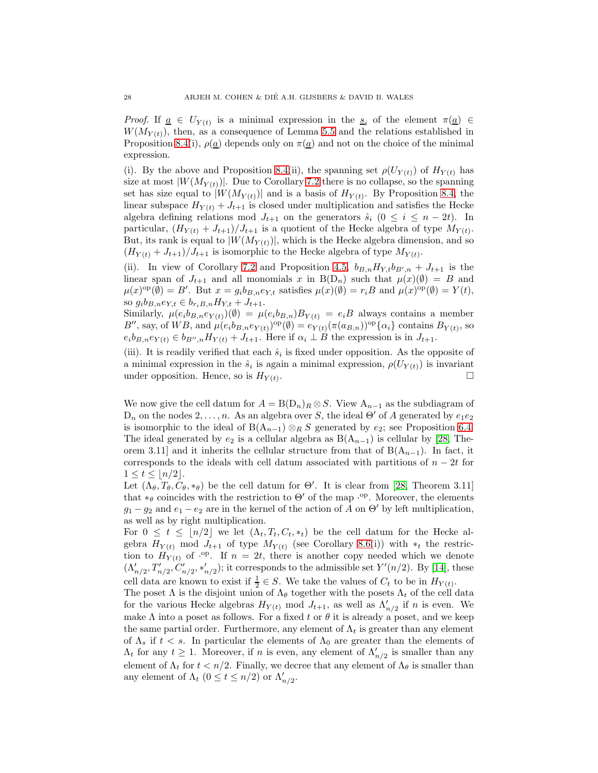*Proof.* If  $\underline{a} \in U_{Y(t)}$  is a minimal expression in the  $\underline{s}_i$  of the element  $\pi(\underline{a}) \in$  $W(M_{Y(t)})$ , then, as a consequence of Lemma [5.5](#page-11-0) and the relations established in Proposition [8.4\(](#page-25-0)i),  $\rho(\underline{a})$  depends only on  $\pi(\underline{a})$  and not on the choice of the minimal expression.

(i). By the above and Proposition [8.4\(](#page-25-0)ii), the spanning set  $\rho(U_{Y(t)})$  of  $H_{Y(t)}$  has size at most  $|W(M_{Y(t)})|$ . Due to Corollary [7.2](#page-23-2) there is no collapse, so the spanning set has size equal to  $|W(M_{Y(t)})|$  and is a basis of  $H_{Y(t)}$ . By Proposition [8.4,](#page-25-0) the linear subspace  $H_{Y(t)} + J_{t+1}$  is closed under multiplication and satisfies the Hecke algebra defining relations mod  $J_{t+1}$  on the generators  $\hat{s}_i$  ( $0 \leq i \leq n-2t$ ). In particular,  $(H_{Y(t)} + J_{t+1})/J_{t+1}$  is a quotient of the Hecke algebra of type  $M_{Y(t)}$ . But, its rank is equal to  $|W(M_{Y(t)})|$ , which is the Hecke algebra dimension, and so  $(H_{Y(t)} + J_{t+1})/J_{t+1}$  is isomorphic to the Hecke algebra of type  $M_{Y(t)}$ .

(ii). In view of Corollary [7.2](#page-23-2) and Proposition [4.5,](#page-8-2)  $b_{B,n}H_{Y,t}b_{B',n} + J_{t+1}$  is the linear span of  $J_{t+1}$  and all monomials x in B(D<sub>n</sub>) such that  $\mu(x)(\emptyset) = B$  and  $\mu(x)$ <sup>op</sup>( $\emptyset$ ) = B'. But  $x = g_i b_{B,n} e_{Y,t}$  satisfies  $\mu(x)$ ( $\emptyset$ ) =  $r_i B$  and  $\mu(x)$ <sup>op</sup>( $\emptyset$ ) =  $Y(t)$ , so  $g_i b_{B,n} e_{Y,t} \in b_{r_i B,n} H_{Y,t} + J_{t+1}.$ 

Similarly,  $\mu(e_i b_{B,n} e_{Y(t)})(\emptyset) = \mu(e_i b_{B,n}) B_{Y(t)} = e_i B$  always contains a member B'', say, of WB, and  $\mu(e_i b_{B,n} e_{Y(t)})^{\text{op}}(\emptyset) = e_{Y(t)} (\pi(a_{B,n}))^{\text{op}} {\{\alpha_i\}}$  contains  $B_{Y(t)}$ , so  $e_i b_{B,n} e_{Y(t)} \in b_{B'',n} H_{Y(t)} + J_{t+1}$ . Here if  $\alpha_i \perp B$  the expression is in  $J_{t+1}$ .

(iii). It is readily verified that each  $\hat{s}_i$  is fixed under opposition. As the opposite of a minimal expression in the  $\hat{s}_i$  is again a minimal expression,  $\rho(U_{Y(t)})$  is invariant under opposition. Hence, so is  $H_{Y(t)}$ . .

We now give the cell datum for  $A = B(D_n)<sub>R</sub> \otimes S$ . View  $A_{n-1}$  as the subdiagram of  $D_n$  on the nodes  $2, \ldots, n$ . As an algebra over S, the ideal  $\Theta'$  of A generated by  $e_1e_2$ is isomorphic to the ideal of B( $A_{n-1}$ ) ⊗R S generated by  $e_2$ ; see Proposition [6.4.](#page-17-1) The ideal generated by  $e_2$  is a cellular algebra as  $B(A_{n-1})$  is cellular by [\[28,](#page-31-9) Theorem 3.11] and it inherits the cellular structure from that of  $B(A_{n-1})$ . In fact, it corresponds to the ideals with cell datum associated with partitions of  $n - 2t$  for  $1 \le t \le \frac{n}{2}$ .

Let  $(\Lambda_{\theta}, T_{\theta}, C_{\theta}, *_{\theta})$  be the cell datum for  $\Theta'$ . It is clear from [\[28,](#page-31-9) Theorem 3.11] that  $*_\theta$  coincides with the restriction to  $\Theta'$  of the map ·<sup>op</sup>. Moreover, the elements  $g_1 - g_2$  and  $e_1 - e_2$  are in the kernel of the action of A on  $\Theta'$  by left multiplication, as well as by right multiplication.

For  $0 \leq t \leq |n/2|$  we let  $(\Lambda_t, T_t, C_t, *_t)$  be the cell datum for the Hecke algebra  $H_{Y(t)}$  mod  $J_{t+1}$  of type  $M_{Y(t)}$  (see Corollary [8.6\(](#page-26-0)i)) with  $*_t$  the restriction to  $H_{Y(t)}$  of  $\cdot^{op}$ . If  $n = 2t$ , there is another copy needed which we denote  $(\Lambda'_{n/2}, T'_{n/2}, C'_{n/2}, *'_{n/2})$ ; it corresponds to the admissible set  $Y'(n/2)$ . By [\[14\]](#page-31-10), these cell data are known to exist if  $\frac{1}{2} \in S$ . We take the values of  $C_t$  to be in  $H_{Y(t)}$ .

The poset  $\Lambda$  is the disjoint union of  $\Lambda_{\theta}$  together with the posets  $\Lambda_t$  of the cell data for the various Hecke algebras  $H_{Y(t)}$  mod  $J_{t+1}$ , as well as  $\Lambda'_{n/2}$  if n is even. We make  $\Lambda$  into a poset as follows. For a fixed t or  $\theta$  it is already a poset, and we keep the same partial order. Furthermore, any element of  $\Lambda_t$  is greater than any element of  $\Lambda_s$  if  $t < s$ . In particular the elements of  $\Lambda_0$  are greater than the elements of  $\Lambda_t$  for any  $t \geq 1$ . Moreover, if n is even, any element of  $\Lambda'_{n/2}$  is smaller than any element of  $\Lambda_t$  for  $t < n/2$ . Finally, we decree that any element of  $\Lambda_\theta$  is smaller than any element of  $\Lambda_t$   $(0 \le t \le n/2)$  or  $\Lambda'_{n/2}$ .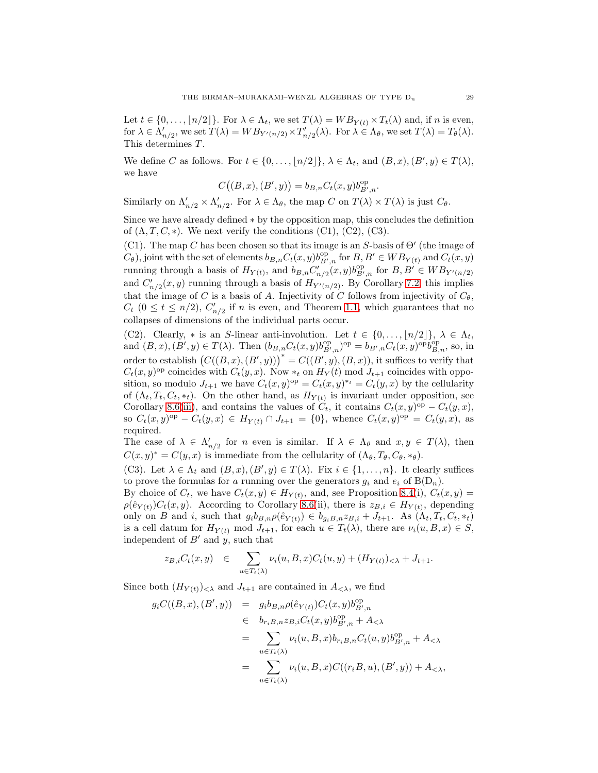Let  $t \in \{0, \ldots, \lfloor n/2 \rfloor\}$ . For  $\lambda \in \Lambda_t$ , we set  $T(\lambda) = W B_{Y(t)} \times T_t(\lambda)$  and, if n is even, for  $\lambda \in \Lambda'_{n/2}$ , we set  $T(\lambda) = W B_{Y'(n/2)} \times T'_{n/2}(\lambda)$ . For  $\lambda \in \Lambda_{\theta}$ , we set  $T(\lambda) = T_{\theta}(\lambda)$ . This determines T.

We define C as follows. For  $t \in \{0, \ldots, \lfloor n/2 \rfloor\}, \lambda \in \Lambda_t$ , and  $(B, x), (B', y) \in T(\lambda)$ , we have

$$
C((B, x), (B', y)) = b_{B,n} C_t(x, y) b_{B', n}^{\text{op}}.
$$

Similarly on  $\Lambda'_{n/2} \times \Lambda'_{n/2}$ . For  $\lambda \in \Lambda_{\theta}$ , the map C on  $T(\lambda) \times T(\lambda)$  is just  $C_{\theta}$ .

Since we have already defined ∗ by the opposition map, this concludes the definition of  $(\Lambda, T, C, *)$ . We next verify the conditions  $(C1)$ ,  $(C2)$ ,  $(C3)$ .

(C1). The map C has been chosen so that its image is an S-basis of  $\Theta'$  (the image of  $(C_{\theta})$ , joint with the set of elements  $b_{B,n}C_t(x,y)b_{B',n}^{\text{op}}$  for  $B, B' \in WB_{Y(t)}$  and  $C_t(x, y)$ running through a basis of  $H_{Y(t)}$ , and  $b_{B,n}C'_{n/2}(x,y)b_{B',n}^{\text{op}}$  for  $B, B' \in WB_{Y'(n/2)}$ and  $C'_{n/2}(x, y)$  running through a basis of  $H_{Y'(n/2)}$ . By Corollary [7.2,](#page-23-2) this implies that the image of C is a basis of A. Injectivity of C follows from injectivity of  $C_{\theta}$ ,  $C_t$  ( $0 \le t \le n/2$ ),  $C'_{n/2}$  if n is even, and Theorem [1.1,](#page-1-0) which guarantees that no collapses of dimensions of the individual parts occur.

(C2). Clearly,  $*$  is an S-linear anti-involution. Let  $t \in \{0, \ldots, \lfloor n/2 \rfloor\}, \lambda \in \Lambda_t$ , and  $(B, x), (B', y) \in T(\lambda)$ . Then  $(b_{B,n}C_t(x, y)b_{B', n}^{op})^{\text{op}} = b_{B', n}C_t(x, y)^{\text{op}}b_{B, n}^{\text{op}},$  so, in order to establish  $(C((B, x), (B', y)))^* = C((B', y), (B, x))$ , it suffices to verify that  $C_t(x,y)$ <sup>op</sup> coincides with  $C_t(y,x)$ . Now  $*_t$  on  $H_Y(t)$  mod  $J_{t+1}$  coincides with opposition, so modulo  $J_{t+1}$  we have  $C_t(x,y)$ <sup>op</sup> =  $C_t(x,y)^{*_t} = C_t(y,x)$  by the cellularity of  $(\Lambda_t, T_t, C_t, *_t)$ . On the other hand, as  $H_{Y(t)}$  is invariant under opposition, see Corollary [8.6\(](#page-26-0)[iii\)](#page-26-1), and contains the values of  $C_t$ , it contains  $C_t(x,y)^\text{op} - C_t(y,x)$ , so  $C_t(x,y)$ <sup>op</sup> –  $C_t(y,x) \in H_{Y(t)} \cap J_{t+1} = \{0\}$ , whence  $C_t(x,y)$ <sup>op</sup> =  $C_t(y,x)$ , as required.

The case of  $\lambda \in \Lambda'_{n/2}$  for n even is similar. If  $\lambda \in \Lambda_{\theta}$  and  $x, y \in T(\lambda)$ , then  $C(x, y)^* = C(y, x)$  is immediate from the cellularity of  $(\Lambda_{\theta}, T_{\theta}, C_{\theta}, *_{\theta}).$ 

(C3). Let  $\lambda \in \Lambda_t$  and  $(B, x), (B', y) \in T(\lambda)$ . Fix  $i \in \{1, ..., n\}$ . It clearly suffices to prove the formulas for a running over the generators  $g_i$  and  $e_i$  of  $B(D_n)$ .

By choice of  $C_t$ , we have  $C_t(x,y) \in H_{Y(t)}$ , and, see Proposition [8.4\(](#page-25-0)i),  $C_t(x,y)$  =  $\rho(\hat{e}_{Y(t)})C_t(x,y)$ . According to Corollary [8.6\(](#page-26-0)ii), there is  $z_{B,i} \in H_{Y(t)}$ , depending only on B and i, such that  $g_i b_{B,n} \rho(\hat{e}_{Y(t)}) \in b_{g_i B,n} z_{B,i} + J_{t+1}$ . As  $(\Lambda_t, T_t, C_t, *_t)$ is a cell datum for  $H_{Y(t)}$  mod  $J_{t+1}$ , for each  $u \in T_t(\lambda)$ , there are  $\nu_i(u, B, x) \in S$ , independent of  $B'$  and  $y$ , such that

$$
z_{B,i}C_t(x,y) \in \sum_{u \in T_t(\lambda)} \nu_i(u, B, x)C_t(u, y) + (H_{Y(t)})_{< \lambda} + J_{t+1}.
$$

Since both  $(H_Y(t))_{\leq \lambda}$  and  $J_{t+1}$  are contained in  $A_{\leq \lambda}$ , we find

$$
g_i C((B, x), (B', y)) = g_i b_{B,n} \rho(\hat{e}_{Y(t)}) C_t(x, y) b_{B',n}^{\text{op}}
$$
  
\n
$$
\in b_{r_i B,n} z_{B,i} C_t(x, y) b_{B',n}^{\text{op}} + A_{< \lambda}
$$
  
\n
$$
= \sum_{u \in T_t(\lambda)} \nu_i(u, B, x) b_{r_i B,n} C_t(u, y) b_{B',n}^{\text{op}} + A_{< \lambda}
$$
  
\n
$$
= \sum_{u \in T_t(\lambda)} \nu_i(u, B, x) C((r_i B, u), (B', y)) + A_{< \lambda},
$$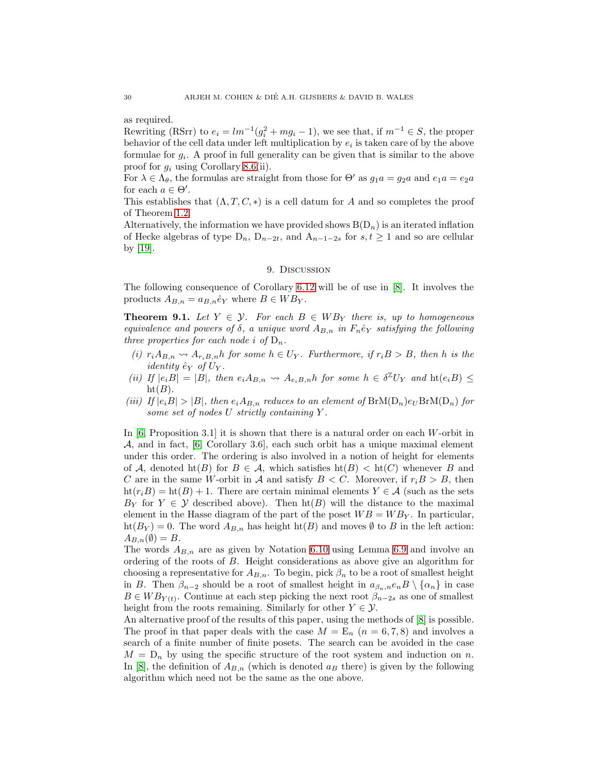as required.

Rewriting (RSrr) to  $e_i = lm^{-1}(g_i^2 + mg_i - 1)$ , we see that, if  $m^{-1} \in S$ , the proper behavior of the cell data under left multiplication by  $e_i$  is taken care of by the above formulae for  $g_i$ . A proof in full generality can be given that is similar to the above proof for  $g_i$  using Corollary [8.6\(](#page-26-0)ii).

For  $\lambda \in \Lambda_{\theta}$ , the formulas are straight from those for  $\Theta'$  as  $g_1 a = g_2 a$  and  $e_1 a = e_2 a$ for each  $a \in \Theta'$ .

This establishes that  $(\Lambda, T, C, *)$  is a cell datum for A and so completes the proof of Theorem [1.2.](#page-1-2)

Alternatively, the information we have provided shows  $B(D_n)$  is an iterated inflation of Hecke algebras of type  $D_n$ ,  $D_{n-2t}$ , and  $A_{n-1-2s}$  for  $s, t \geq 1$  and so are cellular by [\[19\]](#page-31-15).

#### 9. Discussion

<span id="page-29-0"></span>The following consequence of Corollary [6.12](#page-21-0) will be of use in [\[8\]](#page-30-7). It involves the products  $A_{B,n} = a_{B,n} \hat{e}_Y$  where  $B \in WB_Y$ .

**Theorem 9.1.** Let  $Y \in \mathcal{Y}$ . For each  $B \in WB$  there is, up to homogeneous equivalence and powers of  $\delta$ , a unique word  $A_{B,n}$  in  $F_n\hat{e}_Y$  satisfying the following three properties for each node i of  $D_n$ .

- (i)  $r_i A_{B,n} \rightsquigarrow A_{r_i B,n} h$  for some  $h \in U_Y$ . Furthermore, if  $r_i B > B$ , then h is the *identity*  $\hat{e}_Y$  of  $U_Y$ .
- (ii) If  $|e_iB| = |B|$ , then  $e_iA_{B,n} \leadsto A_{e_iB,n}$  for some  $h \in \delta^{\mathbb{Z}}U_Y$  and  $\text{ht}(e_iB) \le$  $ht(B).$
- (iii) If  $|e_iB| > |B|$ , then  $e_iA_{B,n}$  reduces to an element of  $BrM(D_n)e_UBrM(D_n)$  for some set of nodes U strictly containing Y .

In  $[6,$  Proposition 3.1 it is shown that there is a natural order on each W-orbit in  $\mathcal{A}$ , and in fact,  $[6,$  Corollary 3.6, each such orbit has a unique maximal element under this order. The ordering is also involved in a notion of height for elements of A, denoted ht(B) for  $B \in \mathcal{A}$ , which satisfies  $h(B) < h(C)$  whenever B and C are in the same W-orbit in A and satisfy  $B < C$ . Moreover, if  $r_i B > B$ , then  $\text{ht}(r_iB) = \text{ht}(B) + 1$ . There are certain minimal elements  $Y \in \mathcal{A}$  (such as the sets  $B_Y$  for  $Y \in \mathcal{Y}$  described above). Then  $ht(B)$  will the distance to the maximal element in the Hasse diagram of the part of the poset  $WB = WB<sub>Y</sub>$ . In particular,  $\text{ht}(B_Y) = 0$ . The word  $A_{B,n}$  has height  $\text{ht}(B)$  and moves  $\emptyset$  to B in the left action:  $A_{B,n}(\emptyset) = B.$ 

The words  $A_{B,n}$  are as given by Notation [6.10](#page-20-2) using Lemma [6.9](#page-20-1) and involve an ordering of the roots of B. Height considerations as above give an algorithm for choosing a representative for  $A_{B,n}$ . To begin, pick  $\beta_n$  to be a root of smallest height in B. Then  $\beta_{n-2}$  should be a root of smallest height in  $a_{\beta_n,n}e_nB \setminus \{a_n\}$  in case  $B \in WB_{Y(t)}$ . Continue at each step picking the next root  $\beta_{n-2s}$  as one of smallest height from the roots remaining. Similarly for other  $Y \in \mathcal{Y}$ .

An alternative proof of the results of this paper, using the methods of  $|8|$  is possible. The proof in that paper deals with the case  $M = \mathbb{E}_n$  ( $n = 6, 7, 8$ ) and involves a search of a finite number of finite posets. The search can be avoided in the case  $M = D_n$  by using the specific structure of the root system and induction on n. In [\[8\]](#page-30-7), the definition of  $A_{B,n}$  (which is denoted  $a_B$  there) is given by the following algorithm which need not be the same as the one above.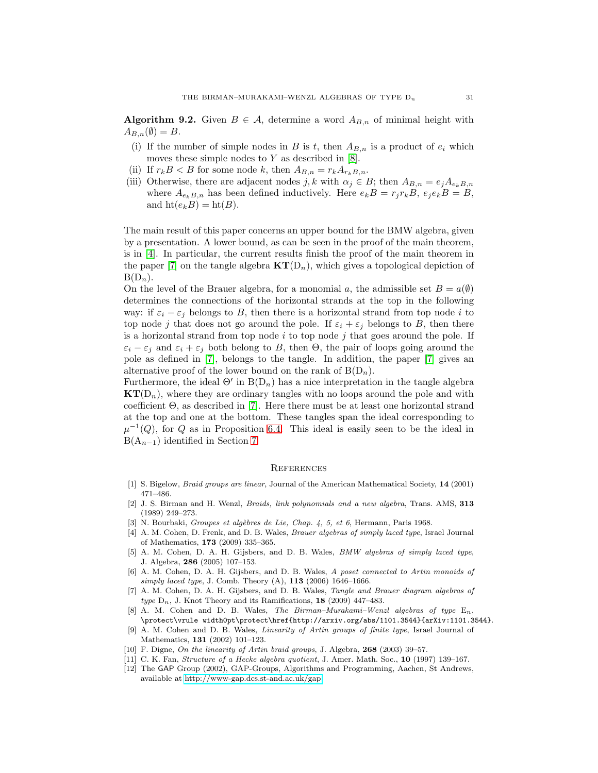**Algorithm 9.2.** Given  $B \in \mathcal{A}$ , determine a word  $A_{B,n}$  of minimal height with  $A_{B,n}(\emptyset) = B.$ 

- (i) If the number of simple nodes in B is t, then  $A_{B,n}$  is a product of  $e_i$  which moves these simple nodes to  $Y$  as described in [\[8\]](#page-30-7).
- (ii) If  $r_k B < B$  for some node k, then  $A_{B,n} = r_k A_{r_k B,n}$ .
- (iii) Otherwise, there are adjacent nodes j, k with  $\alpha_j \in B$ ; then  $A_{B,n} = e_j A_{e_k B,n}$ where  $A_{e_kB,n}$  has been defined inductively. Here  $e_kB = r_jr_kB$ ,  $e_je_kB = B$ , and  $\text{ht}(e_kB) = \text{ht}(B)$ .

The main result of this paper concerns an upper bound for the BMW algebra, given by a presentation. A lower bound, as can be seen in the proof of the main theorem, is in [\[4\]](#page-30-8). In particular, the current results finish the proof of the main theorem in the paper [\[7\]](#page-30-6) on the tangle algebra  $KT(D_n)$ , which gives a topological depiction of  $B(D_n)$ .

On the level of the Brauer algebra, for a monomial a, the admissible set  $B = a(\emptyset)$ determines the connections of the horizontal strands at the top in the following way: if  $\varepsilon_i - \varepsilon_j$  belongs to B, then there is a horizontal strand from top node i to top node j that does not go around the pole. If  $\varepsilon_i + \varepsilon_j$  belongs to B, then there is a horizontal strand from top node  $i$  to top node  $j$  that goes around the pole. If  $\varepsilon_i - \varepsilon_j$  and  $\varepsilon_i + \varepsilon_j$  both belong to B, then  $\Theta$ , the pair of loops going around the pole as defined in [\[7\]](#page-30-6), belongs to the tangle. In addition, the paper [\[7\]](#page-30-6) gives an alternative proof of the lower bound on the rank of  $B(D_n)$ .

Furthermore, the ideal  $\Theta'$  in  $B(D_n)$  has a nice interpretation in the tangle algebra  $KT(D_n)$ , where they are ordinary tangles with no loops around the pole and with coefficient Θ, as described in [\[7\]](#page-30-6). Here there must be at least one horizontal strand at the top and one at the bottom. These tangles span the ideal corresponding to  $\mu^{-1}(Q)$ , for Q as in Proposition [6.4.](#page-17-1) This ideal is easily seen to be the ideal in  $B(A_{n-1})$  identified in Section [7.](#page-22-0)

#### **REFERENCES**

- <span id="page-30-5"></span><span id="page-30-0"></span>[1] S. Bigelow, Braid groups are linear, Journal of the American Mathematical Society, 14 (2001) 471–486.
- [2] J. S. Birman and H. Wenzl, Braids, link polynomials and a new algebra, Trans. AMS, 313 (1989) 249–273.
- <span id="page-30-10"></span><span id="page-30-8"></span>[3] N. Bourbaki, Groupes et algèbres de Lie, Chap. 4, 5, et 6, Hermann, Paris 1968.
- [4] A. M. Cohen, D. Frenk, and D. B. Wales, *Brauer algebras of simply laced type*, Israel Journal of Mathematics, 173 (2009) 335–365.
- <span id="page-30-4"></span>[5] A. M. Cohen, D. A. H. Gijsbers, and D. B. Wales, BMW algebras of simply laced type, J. Algebra, 286 (2005) 107–153.
- <span id="page-30-9"></span>[6] A. M. Cohen, D. A. H. Gijsbers, and D. B. Wales, A poset connected to Artin monoids of simply laced type, J. Comb. Theory  $(A)$ , 113 (2006) 1646–1666.
- <span id="page-30-6"></span>[7] A. M. Cohen, D. A. H. Gijsbers, and D. B. Wales, Tangle and Brauer diagram algebras of type  $D_n$ , J. Knot Theory and its Ramifications, 18 (2009) 447–483.
- <span id="page-30-7"></span>[8] A. M. Cohen and D. B. Wales, The Birman–Murakami–Wenzl algebras of type  $E_n$ , \protect\vrule width0pt\protect\href{http://arxiv.org/abs/1101.3544}{arXiv:1101.3544}.
- <span id="page-30-2"></span>[9] A. M. Cohen and D. B. Wales, Linearity of Artin groups of finite type, Israel Journal of Mathematics, 131 (2002) 101–123.
- <span id="page-30-3"></span><span id="page-30-1"></span>[10] F. Digne, On the linearity of Artin braid groups, J. Algebra, 268 (2003) 39–57.
- [11] C. K. Fan, Structure of a Hecke algebra quotient, J. Amer. Math. Soc., 10 (1997) 139-167.
- [12] The GAP Group (2002), GAP-Groups, Algorithms and Programming, Aachen, St Andrews, available at [http://www-gap.dcs.st-and.ac.uk/gap.](http://www-gap.dcs.st-and.ac.uk/gap)